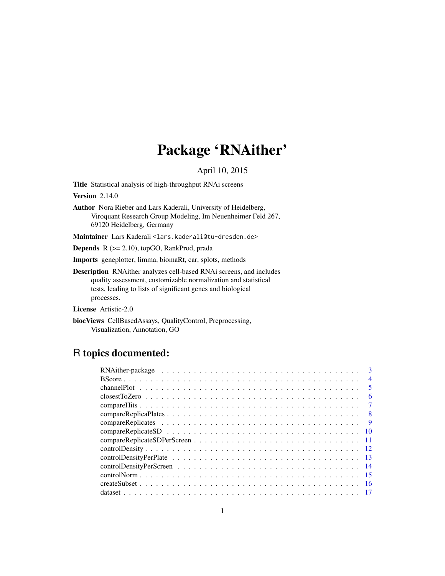# Package 'RNAither'

# April 10, 2015

Title Statistical analysis of high-throughput RNAi screens

**Version 2.14.0** 

Author Nora Rieber and Lars Kaderali, University of Heidelberg, Viroquant Research Group Modeling, Im Neuenheimer Feld 267, 69120 Heidelberg, Germany

Maintainer Lars Kaderali <lars.kaderali@tu-dresden.de>

Depends R (>= 2.10), topGO, RankProd, prada

Imports geneplotter, limma, biomaRt, car, splots, methods

Description RNAither analyzes cell-based RNAi screens, and includes quality assessment, customizable normalization and statistical tests, leading to lists of significant genes and biological processes.

License Artistic-2.0

biocViews CellBasedAssays, QualityControl, Preprocessing, Visualization, Annotation, GO

# R topics documented:

|     | $\mathbf{R}$   |
|-----|----------------|
|     | $\overline{4}$ |
|     | -5             |
|     | 6              |
|     | -7             |
|     |                |
| - 9 |                |
|     |                |
|     |                |
|     |                |
|     |                |
|     |                |
|     |                |
|     |                |
|     |                |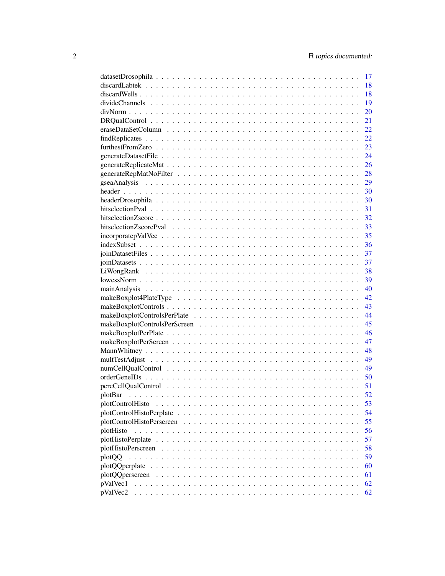|                  | 17 |
|------------------|----|
|                  | 18 |
|                  | 18 |
|                  | 19 |
|                  | 20 |
|                  | 21 |
|                  | 22 |
|                  | 22 |
|                  | 23 |
|                  | 24 |
|                  | 26 |
|                  | 28 |
|                  | 29 |
|                  | 30 |
|                  | 30 |
|                  | 31 |
|                  | 32 |
|                  | 33 |
|                  | 35 |
|                  |    |
|                  | 36 |
|                  | 37 |
|                  | 37 |
|                  | 38 |
|                  | 39 |
|                  | 40 |
|                  | 42 |
|                  | 43 |
|                  | 44 |
|                  | 45 |
|                  | 46 |
|                  | 47 |
|                  | 48 |
|                  | 49 |
|                  | 49 |
|                  | 50 |
|                  | 51 |
|                  | 52 |
| plotControlHisto | 53 |
|                  | 54 |
|                  | 55 |
| plotHisto        | 56 |
|                  | 57 |
|                  | 58 |
| plotQQ           | 59 |
|                  | 60 |
|                  | 61 |
| pValVec1         | 62 |
| pValVec2         | 62 |
|                  |    |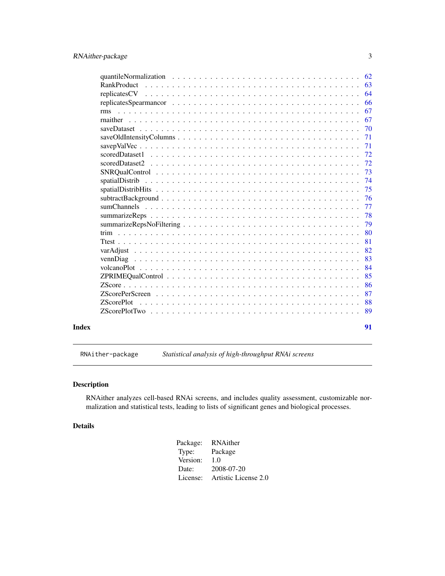<span id="page-2-0"></span>

|       |                                                                                                                | 64 |
|-------|----------------------------------------------------------------------------------------------------------------|----|
|       |                                                                                                                | 66 |
|       | rms                                                                                                            | 67 |
|       |                                                                                                                | 67 |
|       |                                                                                                                | 70 |
|       | $saveOld IntensityColumns \dots \dots \dots \dots \dots \dots \dots \dots \dots \dots \dots \dots \dots \dots$ | 71 |
|       |                                                                                                                | 71 |
|       |                                                                                                                | 72 |
|       |                                                                                                                | 72 |
|       |                                                                                                                | 73 |
|       |                                                                                                                | 74 |
|       |                                                                                                                | 75 |
|       |                                                                                                                | 76 |
|       |                                                                                                                | 77 |
|       |                                                                                                                | 78 |
|       |                                                                                                                | 79 |
|       |                                                                                                                | 80 |
|       |                                                                                                                | 81 |
|       |                                                                                                                | 82 |
|       |                                                                                                                | 83 |
|       |                                                                                                                | 84 |
|       |                                                                                                                | 85 |
|       |                                                                                                                | 86 |
|       |                                                                                                                | 87 |
|       | <b>ZScorePlot</b>                                                                                              | 88 |
|       |                                                                                                                | 89 |
| Index |                                                                                                                | 91 |

RNAither-package *Statistical analysis of high-throughput RNAi screens*

# Description

RNAither analyzes cell-based RNAi screens, and includes quality assessment, customizable normalization and statistical tests, leading to lists of significant genes and biological processes.

# Details

| Package: | RNAither             |
|----------|----------------------|
| Type:    | Package              |
| Version: | 1.0                  |
| Date:    | 2008-07-20           |
| License: | Artistic License 2.0 |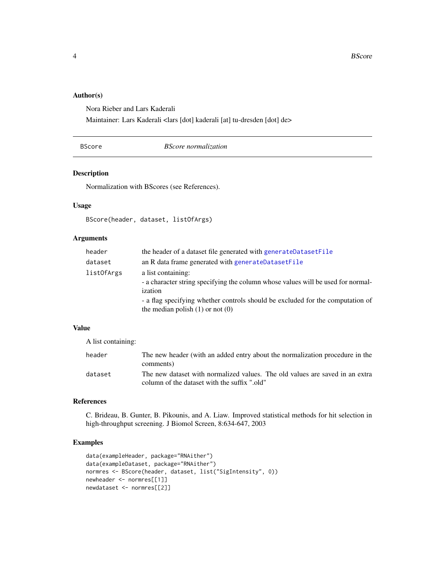# <span id="page-3-0"></span>Author(s)

Nora Rieber and Lars Kaderali

Maintainer: Lars Kaderali <lars [dot] kaderali [at] tu-dresden [dot] de>

#### BScore *BScore normalization*

#### Description

Normalization with BScores (see References).

### Usage

```
BScore(header, dataset, listOfArgs)
```
# Arguments

| header     | the header of a dataset file generated with generateDatasetFile                  |
|------------|----------------------------------------------------------------------------------|
| dataset    | an R data frame generated with generateDatasetFile                               |
| listOfArgs | a list containing:                                                               |
|            | - a character string specifying the column whose values will be used for normal- |
|            | ization                                                                          |
|            | - a flag specifying whether controls should be excluded for the computation of   |
|            | the median polish $(1)$ or not $(0)$                                             |

# Value

A list containing:

| header  | The new header (with an added entry about the normalization procedure in the<br>comments)                                    |
|---------|------------------------------------------------------------------------------------------------------------------------------|
| dataset | The new dataset with normalized values. The old values are saved in an extra<br>column of the dataset with the suffix ".old" |

# References

C. Brideau, B. Gunter, B. Pikounis, and A. Liaw. Improved statistical methods for hit selection in high-throughput screening. J Biomol Screen, 8:634-647, 2003

# Examples

```
data(exampleHeader, package="RNAither")
data(exampleDataset, package="RNAither")
normres <- BScore(header, dataset, list("SigIntensity", 0))
newheader <- normres[[1]]
newdataset <- normres[[2]]
```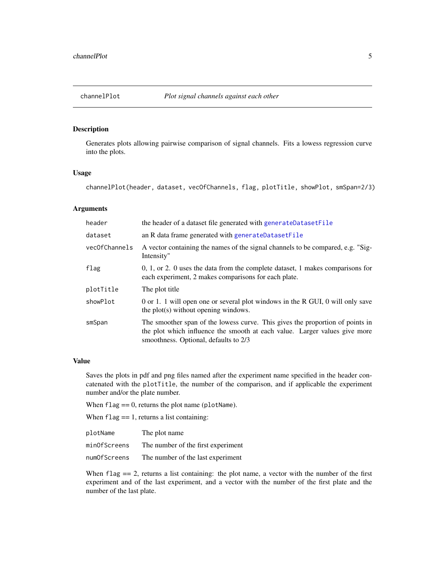<span id="page-4-0"></span>

Generates plots allowing pairwise comparison of signal channels. Fits a lowess regression curve into the plots.

#### Usage

channelPlot(header, dataset, vecOfChannels, flag, plotTitle, showPlot, smSpan=2/3)

# Arguments

| header        | the header of a dataset file generated with generateDatasetFile                                                                                                                                      |
|---------------|------------------------------------------------------------------------------------------------------------------------------------------------------------------------------------------------------|
| dataset       | an R data frame generated with generateDatasetFile                                                                                                                                                   |
| vecOfChannels | A vector containing the names of the signal channels to be compared, e.g. "Sig-<br>Intensity"                                                                                                        |
| flag          | $0, 1,$ or $2. 0$ uses the data from the complete dataset, 1 makes comparisons for<br>each experiment, 2 makes comparisons for each plate.                                                           |
| plotTitle     | The plot title                                                                                                                                                                                       |
| showPlot      | 0 or 1. 1 will open one or several plot windows in the R GUI, 0 will only save<br>the plot(s) without opening windows.                                                                               |
| smSpan        | The smoother span of the lowess curve. This gives the proportion of points in<br>the plot which influence the smooth at each value. Larger values give more<br>smoothness. Optional, defaults to 2/3 |

#### Value

Saves the plots in pdf and png files named after the experiment name specified in the header concatenated with the plotTitle, the number of the comparison, and if applicable the experiment number and/or the plate number.

When  $flag == 0$ , returns the plot name (plotName).

When  $flag = 1$ , returns a list containing:

| plotName     | The plot name                      |
|--------------|------------------------------------|
| minOfScreens | The number of the first experiment |
| numOfScreens | The number of the last experiment  |

When  $flag = 2$ , returns a list containing: the plot name, a vector with the number of the first experiment and of the last experiment, and a vector with the number of the first plate and the number of the last plate.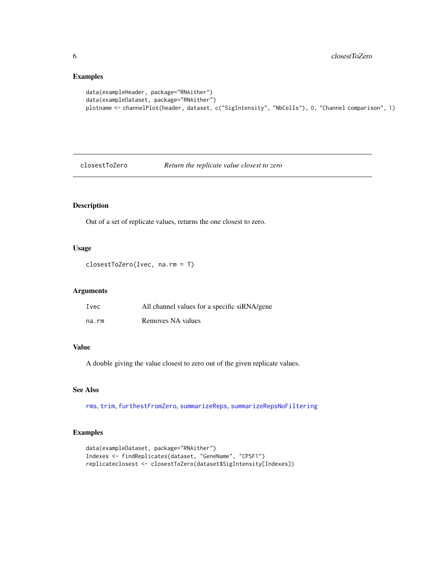```
data(exampleHeader, package="RNAither")
data(exampleDataset, package="RNAither")
plotname <- channelPlot(header, dataset, c("SigIntensity", "NbCells"), 0, "Channel comparison", 1)
```
<span id="page-5-1"></span>closestToZero *Return the replicate value closest to zero*

# Description

Out of a set of replicate values, returns the one closest to zero.

# Usage

```
closestToZero(Ivec, na.rm = T)
```
# Arguments

| Ivec  | All channel values for a specific siRNA/gene |
|-------|----------------------------------------------|
| na.rm | Removes NA values                            |

#### Value

A double giving the value closest to zero out of the given replicate values.

# See Also

[rms](#page-66-1), [trim](#page-79-1), [furthestFromZero](#page-22-1), [summarizeReps](#page-77-1), [summarizeRepsNoFiltering](#page-78-1)

# Examples

```
data(exampleDataset, package="RNAither")
Indexes <- findReplicates(dataset, "GeneName", "CPSF1")
replicateclosest <- closestToZero(dataset$SigIntensity[Indexes])
```
<span id="page-5-0"></span>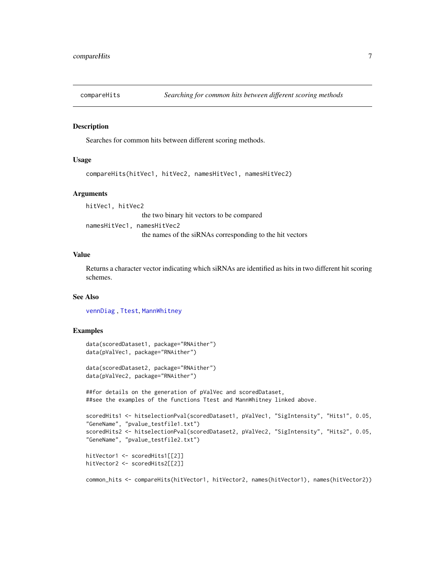<span id="page-6-0"></span>

Searches for common hits between different scoring methods.

# Usage

compareHits(hitVec1, hitVec2, namesHitVec1, namesHitVec2)

#### **Arguments**

hitVec1, hitVec2 the two binary hit vectors to be compared namesHitVec1, namesHitVec2 the names of the siRNAs corresponding to the hit vectors

#### Value

Returns a character vector indicating which siRNAs are identified as hits in two different hit scoring schemes.

# See Also

[vennDiag](#page-82-1) , [Ttest](#page-80-1), [MannWhitney](#page-47-1)

#### Examples

```
data(scoredDataset1, package="RNAither")
data(pValVec1, package="RNAither")
```

```
data(scoredDataset2, package="RNAither")
data(pValVec2, package="RNAither")
```
##for details on the generation of pValVec and scoredDataset, ##see the examples of the functions Ttest and MannWhitney linked above.

```
scoredHits1 <- hitselectionPval(scoredDataset1, pValVec1, "SigIntensity", "Hits1", 0.05,
"GeneName", "pvalue_testfile1.txt")
scoredHits2 <- hitselectionPval(scoredDataset2, pValVec2, "SigIntensity", "Hits2", 0.05,
"GeneName", "pvalue_testfile2.txt")
```

```
hitVector1 <- scoredHits1[[2]]
hitVector2 <- scoredHits2[[2]]
```
common\_hits <- compareHits(hitVector1, hitVector2, names(hitVector1), names(hitVector2))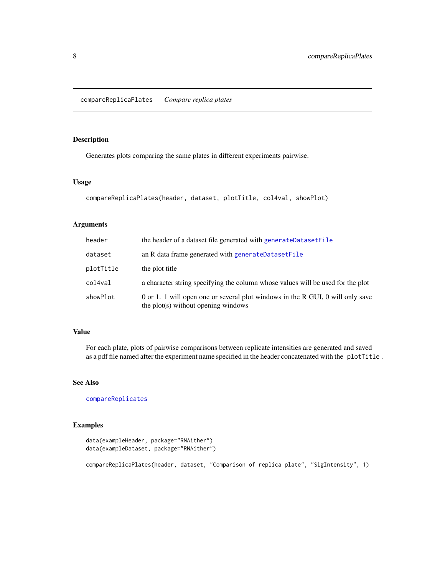<span id="page-7-1"></span><span id="page-7-0"></span>Generates plots comparing the same plates in different experiments pairwise.

#### Usage

```
compareReplicaPlates(header, dataset, plotTitle, col4val, showPlot)
```
# Arguments

| header    | the header of a dataset file generated with generateDatasetFile                                                       |
|-----------|-----------------------------------------------------------------------------------------------------------------------|
| dataset   | an R data frame generated with generateDatasetFile                                                                    |
| plotTitle | the plot title                                                                                                        |
| col4val   | a character string specifying the column whose values will be used for the plot                                       |
| showPlot  | 0 or 1. 1 will open one or several plot windows in the R GUI, 0 will only save<br>the plot(s) without opening windows |

## Value

For each plate, plots of pairwise comparisons between replicate intensities are generated and saved as a pdf file named after the experiment name specified in the header concatenated with the plotTitle .

# See Also

[compareReplicates](#page-8-1)

# Examples

```
data(exampleHeader, package="RNAither")
data(exampleDataset, package="RNAither")
```
compareReplicaPlates(header, dataset, "Comparison of replica plate", "SigIntensity", 1)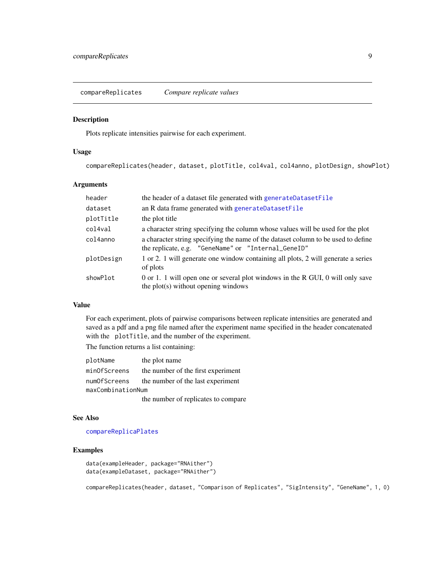<span id="page-8-1"></span><span id="page-8-0"></span>compareReplicates *Compare replicate values*

#### Description

Plots replicate intensities pairwise for each experiment.

## Usage

compareReplicates(header, dataset, plotTitle, col4val, col4anno, plotDesign, showPlot)

# Arguments

| header     | the header of a dataset file generated with generateDatasetFile                                                                          |
|------------|------------------------------------------------------------------------------------------------------------------------------------------|
| dataset    | an R data frame generated with generateDatasetFile                                                                                       |
| plotTitle  | the plot title                                                                                                                           |
| col4val    | a character string specifying the column whose values will be used for the plot                                                          |
| col4anno   | a character string specifying the name of the dataset column to be used to define<br>the replicate, e.g. "GeneName" or "Internal_GeneID" |
| plotDesign | 1 or 2. 1 will generate one window containing all plots, 2 will generate a series<br>of plots                                            |
| showPlot   | 0 or 1. 1 will open one or several plot windows in the R GUI, 0 will only save<br>the plot(s) without opening windows                    |

# Value

For each experiment, plots of pairwise comparisons between replicate intensities are generated and saved as a pdf and a png file named after the experiment name specified in the header concatenated with the plotTitle, and the number of the experiment.

The function returns a list containing:

| plotName          | the plot name                       |  |
|-------------------|-------------------------------------|--|
| minOfScreens      | the number of the first experiment  |  |
| numOfScreens      | the number of the last experiment   |  |
| maxCombinationNum |                                     |  |
|                   | the number of replicates to compare |  |

#### See Also

[compareReplicaPlates](#page-7-1)

#### Examples

```
data(exampleHeader, package="RNAither")
data(exampleDataset, package="RNAither")
```
compareReplicates(header, dataset, "Comparison of Replicates", "SigIntensity", "GeneName", 1, 0)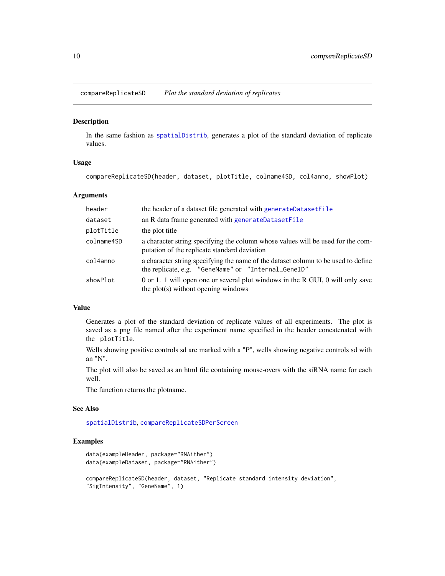<span id="page-9-1"></span><span id="page-9-0"></span>compareReplicateSD *Plot the standard deviation of replicates*

#### Description

In the same fashion as [spatialDistrib](#page-73-1), generates a plot of the standard deviation of replicate values.

#### Usage

```
compareReplicateSD(header, dataset, plotTitle, colname4SD, col4anno, showPlot)
```
#### **Arguments**

| header     | the header of a dataset file generated with generateDatasetFile                                                                          |
|------------|------------------------------------------------------------------------------------------------------------------------------------------|
| dataset    | an R data frame generated with generateDatasetFile                                                                                       |
| plotTitle  | the plot title                                                                                                                           |
| colname4SD | a character string specifying the column whose values will be used for the com-<br>putation of the replicate standard deviation          |
| col4anno   | a character string specifying the name of the dataset column to be used to define<br>the replicate, e.g. "GeneName" or "Internal_GeneID" |
| showPlot   | 0 or 1. 1 will open one or several plot windows in the R GUI, 0 will only save<br>the plot(s) without opening windows                    |

# Value

Generates a plot of the standard deviation of replicate values of all experiments. The plot is saved as a png file named after the experiment name specified in the header concatenated with the plotTitle.

Wells showing positive controls sd are marked with a "P", wells showing negative controls sd with an "N".

The plot will also be saved as an html file containing mouse-overs with the siRNA name for each well.

The function returns the plotname.

#### See Also

[spatialDistrib](#page-73-1), [compareReplicateSDPerScreen](#page-10-1)

#### Examples

```
data(exampleHeader, package="RNAither")
data(exampleDataset, package="RNAither")
compareReplicateSD(header, dataset, "Replicate standard intensity deviation",
"SigIntensity", "GeneName", 1)
```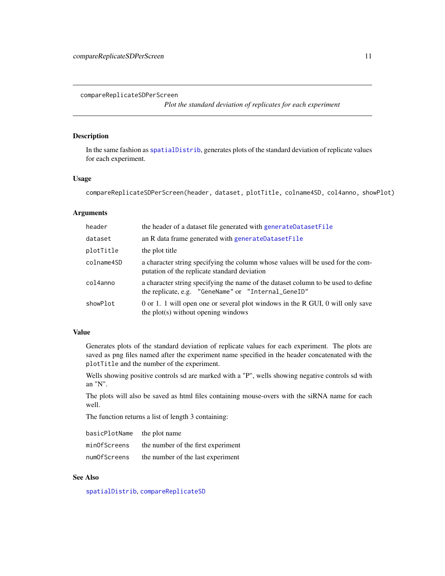<span id="page-10-1"></span><span id="page-10-0"></span>compareReplicateSDPerScreen

*Plot the standard deviation of replicates for each experiment*

# Description

In the same fashion as [spatialDistrib](#page-73-1), generates plots of the standard deviation of replicate values for each experiment.

#### Usage

compareReplicateSDPerScreen(header, dataset, plotTitle, colname4SD, col4anno, showPlot)

# Arguments

| header     | the header of a dataset file generated with generateDatasetFile                                                                          |
|------------|------------------------------------------------------------------------------------------------------------------------------------------|
| dataset    | an R data frame generated with generateDatasetFile                                                                                       |
| plotTitle  | the plot title                                                                                                                           |
| colname4SD | a character string specifying the column whose values will be used for the com-<br>putation of the replicate standard deviation          |
| col4anno   | a character string specifying the name of the dataset column to be used to define<br>the replicate, e.g. "GeneName" or "Internal_GeneID" |
| showPlot   | 0 or 1. 1 will open one or several plot windows in the R GUI, 0 will only save<br>the plot(s) without opening windows                    |

# Value

Generates plots of the standard deviation of replicate values for each experiment. The plots are saved as png files named after the experiment name specified in the header concatenated with the plotTitle and the number of the experiment.

Wells showing positive controls sd are marked with a "P", wells showing negative controls sd with an "N".

The plots will also be saved as html files containing mouse-overs with the siRNA name for each well.

The function returns a list of length 3 containing:

| basicPlotName | the plot name                      |
|---------------|------------------------------------|
| minOfScreens  | the number of the first experiment |
| numOfScreens  | the number of the last experiment  |

# See Also

[spatialDistrib](#page-73-1), [compareReplicateSD](#page-9-1)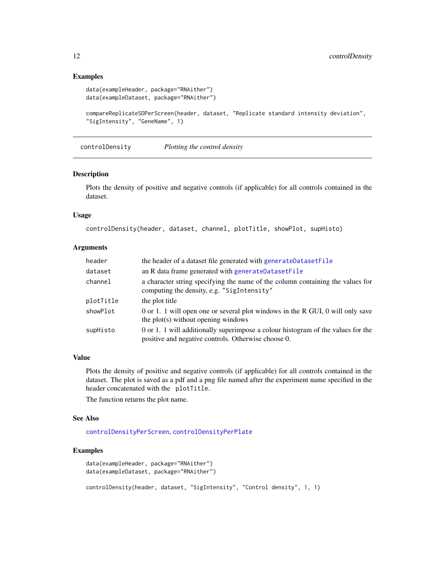```
data(exampleHeader, package="RNAither")
data(exampleDataset, package="RNAither")
```

```
compareReplicateSDPerScreen(header, dataset, "Replicate standard intensity deviation",
"SigIntensity", "GeneName", 1)
```
<span id="page-11-1"></span>controlDensity *Plotting the control density*

#### Description

Plots the density of positive and negative controls (if applicable) for all controls contained in the dataset.

# Usage

controlDensity(header, dataset, channel, plotTitle, showPlot, supHisto)

#### Arguments

| header    | the header of a dataset file generated with generateDatasetFile                                                                         |
|-----------|-----------------------------------------------------------------------------------------------------------------------------------------|
| dataset   | an R data frame generated with generateDatasetFile                                                                                      |
| channel   | a character string specifying the name of the column containing the values for<br>computing the density, e.g. "SigIntensity"            |
| plotTitle | the plot title                                                                                                                          |
| showPlot  | 0 or 1. 1 will open one or several plot windows in the R GUI, 0 will only save<br>the plot(s) without opening windows                   |
| supHisto  | 0 or 1. 1 will additionally superimpose a colour histogram of the values for the<br>positive and negative controls. Otherwise choose 0. |

#### Value

Plots the density of positive and negative controls (if applicable) for all controls contained in the dataset. The plot is saved as a pdf and a png file named after the experiment name specified in the header concatenated with the plotTitle.

The function returns the plot name.

#### See Also

[controlDensityPerScreen](#page-13-1), [controlDensityPerPlate](#page-12-1)

# Examples

```
data(exampleHeader, package="RNAither")
data(exampleDataset, package="RNAither")
controlDensity(header, dataset, "SigIntensity", "Control density", 1, 1)
```
<span id="page-11-0"></span>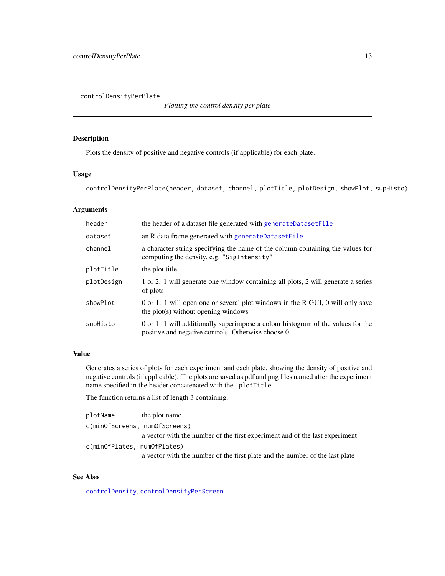<span id="page-12-1"></span><span id="page-12-0"></span>controlDensityPerPlate

*Plotting the control density per plate*

# Description

Plots the density of positive and negative controls (if applicable) for each plate.

### Usage

controlDensityPerPlate(header, dataset, channel, plotTitle, plotDesign, showPlot, supHisto)

# Arguments

| header     | the header of a dataset file generated with generateDatasetFile                                                                         |
|------------|-----------------------------------------------------------------------------------------------------------------------------------------|
| dataset    | an R data frame generated with generateDatasetFile                                                                                      |
| channel    | a character string specifying the name of the column containing the values for<br>computing the density, e.g. "SigIntensity"            |
| plotTitle  | the plot title                                                                                                                          |
| plotDesign | 1 or 2. 1 will generate one window containing all plots, 2 will generate a series<br>of plots                                           |
| showPlot   | 0 or 1. 1 will open one or several plot windows in the R GUI, 0 will only save<br>the plot(s) without opening windows                   |
| supHisto   | 0 or 1. 1 will additionally superimpose a colour histogram of the values for the<br>positive and negative controls. Otherwise choose 0. |

# Value

Generates a series of plots for each experiment and each plate, showing the density of positive and negative controls (if applicable). The plots are saved as pdf and png files named after the experiment name specified in the header concatenated with the plotTitle.

The function returns a list of length 3 containing:

| plotName                      | the plot name                                                                |
|-------------------------------|------------------------------------------------------------------------------|
| c(minOfScreens, numOfScreens) |                                                                              |
|                               | a vector with the number of the first experiment and of the last experiment  |
| c(minOfPlates, numOfPlates)   |                                                                              |
|                               | a vector with the number of the first plate and the number of the last plate |

# See Also

[controlDensity](#page-11-1), [controlDensityPerScreen](#page-13-1)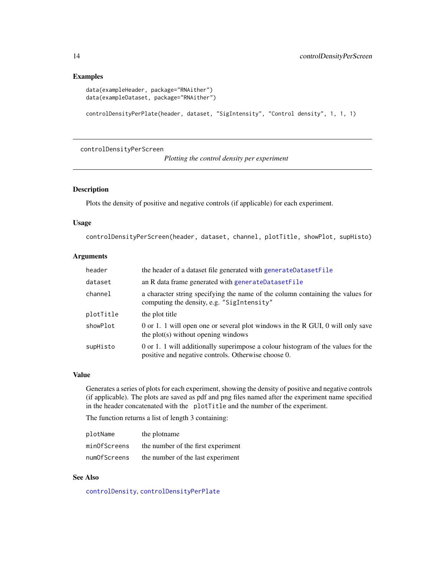```
data(exampleHeader, package="RNAither")
data(exampleDataset, package="RNAither")
```

```
controlDensityPerPlate(header, dataset, "SigIntensity", "Control density", 1, 1, 1)
```
<span id="page-13-1"></span>controlDensityPerScreen

*Plotting the control density per experiment*

# Description

Plots the density of positive and negative controls (if applicable) for each experiment.

#### Usage

controlDensityPerScreen(header, dataset, channel, plotTitle, showPlot, supHisto)

# Arguments

| header    | the header of a dataset file generated with generateDatasetFile                                                                         |
|-----------|-----------------------------------------------------------------------------------------------------------------------------------------|
| dataset   | an R data frame generated with generateDatasetFile                                                                                      |
| channel   | a character string specifying the name of the column containing the values for<br>computing the density, e.g. "SigIntensity"            |
| plotTitle | the plot title                                                                                                                          |
| showPlot  | 0 or 1. 1 will open one or several plot windows in the R GUI, 0 will only save<br>the plot(s) without opening windows                   |
| supHisto  | 0 or 1. 1 will additionally superimpose a colour histogram of the values for the<br>positive and negative controls. Otherwise choose 0. |

#### Value

Generates a series of plots for each experiment, showing the density of positive and negative controls (if applicable). The plots are saved as pdf and png files named after the experiment name specified in the header concatenated with the plotTitle and the number of the experiment.

The function returns a list of length 3 containing:

| plotName     | the plotname                       |
|--------------|------------------------------------|
| minOfScreens | the number of the first experiment |
| numOfScreens | the number of the last experiment  |

#### See Also

[controlDensity](#page-11-1), [controlDensityPerPlate](#page-12-1)

<span id="page-13-0"></span>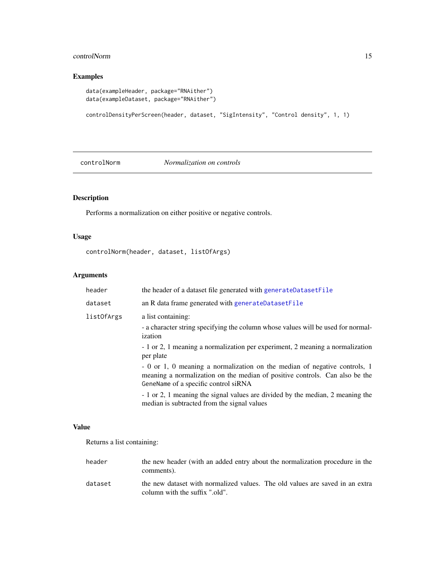# <span id="page-14-0"></span>controlNorm and the control of the control of the control Norm and the control Norm and the control Norm and the control Norm and the control Norm and the control Norm and the control Norm and the control Norm and the cont

# Examples

```
data(exampleHeader, package="RNAither")
data(exampleDataset, package="RNAither")
```

```
controlDensityPerScreen(header, dataset, "SigIntensity", "Control density", 1, 1)
```
controlNorm *Normalization on controls*

# Description

Performs a normalization on either positive or negative controls.

# Usage

controlNorm(header, dataset, listOfArgs)

# Arguments

|  | header     | the header of a dataset file generated with generateDatasetFile                                                                                                                                  |
|--|------------|--------------------------------------------------------------------------------------------------------------------------------------------------------------------------------------------------|
|  | dataset    | an R data frame generated with generateDatasetFile                                                                                                                                               |
|  | listOfArgs | a list containing:                                                                                                                                                                               |
|  |            | - a character string specifying the column whose values will be used for normal-<br>ization                                                                                                      |
|  |            | - 1 or 2, 1 meaning a normalization per experiment, 2 meaning a normalization<br>per plate                                                                                                       |
|  |            | - 0 or 1, 0 meaning a normalization on the median of negative controls, 1<br>meaning a normalization on the median of positive controls. Can also be the<br>GeneName of a specific control siRNA |
|  |            | - 1 or 2, 1 meaning the signal values are divided by the median, 2 meaning the<br>median is subtracted from the signal values                                                                    |

#### Value

Returns a list containing:

| header  | the new header (with an added entry about the normalization procedure in the<br>comments).                     |
|---------|----------------------------------------------------------------------------------------------------------------|
| dataset | the new dataset with normalized values. The old values are saved in an extra<br>column with the suffix ".old". |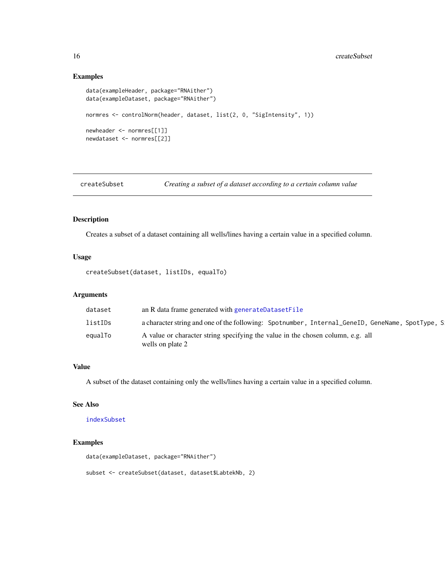```
data(exampleHeader, package="RNAither")
data(exampleDataset, package="RNAither")
normres <- controlNorm(header, dataset, list(2, 0, "SigIntensity", 1))
newheader <- normres[[1]]
newdataset <- normres[[2]]
```
<span id="page-15-1"></span>createSubset *Creating a subset of a dataset according to a certain column value*

# Description

Creates a subset of a dataset containing all wells/lines having a certain value in a specified column.

#### Usage

```
createSubset(dataset, listIDs, equalTo)
```
#### Arguments

#### Value

A subset of the dataset containing only the wells/lines having a certain value in a specified column.

# See Also

[indexSubset](#page-35-1)

# Examples

```
data(exampleDataset, package="RNAither")
```
subset <- createSubset(dataset, dataset\$LabtekNb, 2)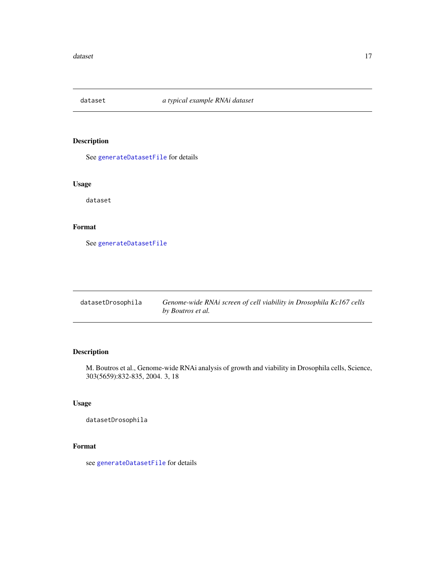<span id="page-16-0"></span>

See [generateDatasetFile](#page-23-1) for details

# Usage

dataset

# Format

See [generateDatasetFile](#page-23-1)

| datasetDrosophila | Genome-wide RNAi screen of cell viability in Drosophila Kc167 cells |
|-------------------|---------------------------------------------------------------------|
|                   | by Boutros et al.                                                   |

# Description

M. Boutros et al., Genome-wide RNAi analysis of growth and viability in Drosophila cells, Science, 303(5659):832-835, 2004. 3, 18

# Usage

datasetDrosophila

# Format

see [generateDatasetFile](#page-23-1) for details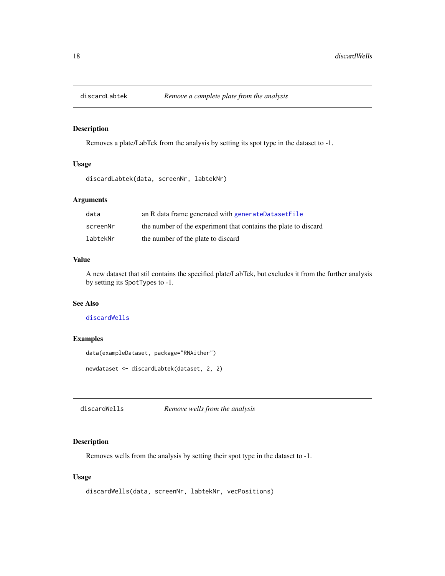<span id="page-17-2"></span><span id="page-17-0"></span>

Removes a plate/LabTek from the analysis by setting its spot type in the dataset to -1.

# Usage

discardLabtek(data, screenNr, labtekNr)

# Arguments

| data     | an R data frame generated with generateDatasetFile              |
|----------|-----------------------------------------------------------------|
| screenNr | the number of the experiment that contains the plate to discard |
| labtekNr | the number of the plate to discard                              |

#### Value

A new dataset that stil contains the specified plate/LabTek, but excludes it from the further analysis by setting its SpotTypes to -1.

#### See Also

[discardWells](#page-17-1)

#### Examples

```
data(exampleDataset, package="RNAither")
```
newdataset <- discardLabtek(dataset, 2, 2)

<span id="page-17-1"></span>discardWells *Remove wells from the analysis*

#### Description

Removes wells from the analysis by setting their spot type in the dataset to -1.

# Usage

```
discardWells(data, screenNr, labtekNr, vecPositions)
```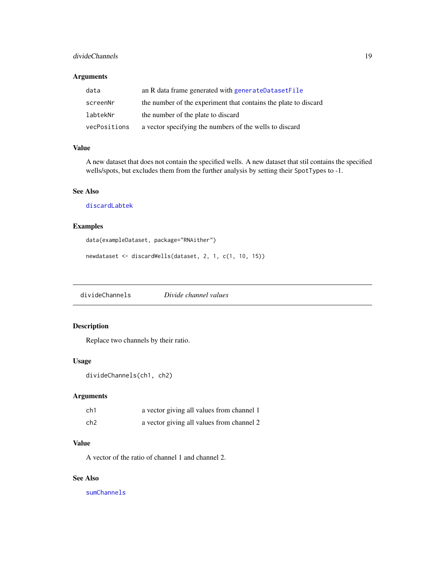#### <span id="page-18-0"></span>divideChannels 19

#### Arguments

| data         | an R data frame generated with generateDatasetFile              |
|--------------|-----------------------------------------------------------------|
| screenNr     | the number of the experiment that contains the plate to discard |
| labtekNr     | the number of the plate to discard                              |
| vecPositions | a vector specifying the numbers of the wells to discard         |

#### Value

A new dataset that does not contain the specified wells. A new dataset that stil contains the specified wells/spots, but excludes them from the further analysis by setting their SpotTypes to -1.

# See Also

[discardLabtek](#page-17-2)

# Examples

```
data(exampleDataset, package="RNAither")
```

```
newdataset <- discardWells(dataset, 2, 1, c(1, 10, 15))
```
divideChannels *Divide channel values*

# Description

Replace two channels by their ratio.

#### Usage

```
divideChannels(ch1, ch2)
```
#### Arguments

| ch1 | a vector giving all values from channel 1 |
|-----|-------------------------------------------|
| ch2 | a vector giving all values from channel 2 |

# Value

A vector of the ratio of channel 1 and channel 2.

#### See Also

[sumChannels](#page-76-1)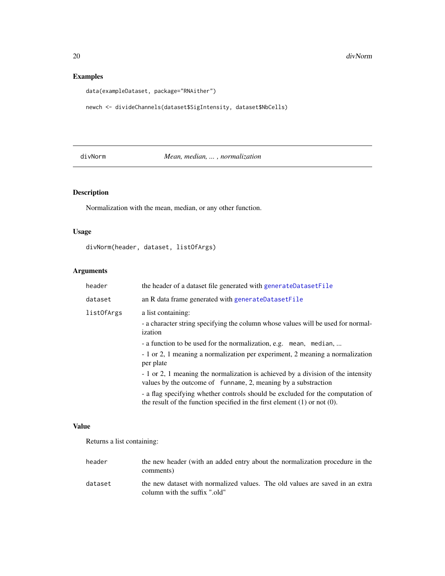```
data(exampleDataset, package="RNAither")
```

```
newch <- divideChannels(dataset$SigIntensity, dataset$NbCells)
```
# divNorm *Mean, median, ... , normalization*

# Description

Normalization with the mean, median, or any other function.

# Usage

divNorm(header, dataset, listOfArgs)

# Arguments

|                   | header                                                                                                            | the header of a dataset file generated with generateDatasetFile                                                                                                  |
|-------------------|-------------------------------------------------------------------------------------------------------------------|------------------------------------------------------------------------------------------------------------------------------------------------------------------|
|                   | dataset                                                                                                           | an R data frame generated with generateDatasetFile                                                                                                               |
| <i>listOfArgs</i> | a list containing:<br>- a character string specifying the column whose values will be used for normal-<br>ization |                                                                                                                                                                  |
|                   |                                                                                                                   | - a function to be used for the normalization, e.g. mean, median,<br>- 1 or 2, 1 meaning a normalization per experiment, 2 meaning a normalization<br>per plate  |
|                   |                                                                                                                   | - 1 or 2, 1 meaning the normalization is achieved by a division of the intensity<br>values by the outcome of funname, 2, meaning by a substraction               |
|                   |                                                                                                                   | - a flag specifying whether controls should be excluded for the computation of<br>the result of the function specified in the first element $(1)$ or not $(0)$ . |

#### Value

Returns a list containing:

| header  | the new header (with an added entry about the normalization procedure in the<br>comments)                     |
|---------|---------------------------------------------------------------------------------------------------------------|
| dataset | the new dataset with normalized values. The old values are saved in an extra<br>column with the suffix ".old" |

<span id="page-19-0"></span>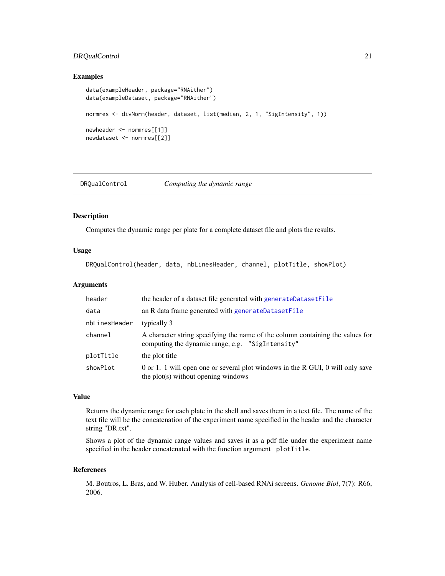# <span id="page-20-0"></span>DRQualControl 21

#### Examples

```
data(exampleHeader, package="RNAither")
data(exampleDataset, package="RNAither")
normres <- divNorm(header, dataset, list(median, 2, 1, "SigIntensity", 1))
newheader <- normres[[1]]
newdataset <- normres[[2]]
```
DRQualControl *Computing the dynamic range*

# Description

Computes the dynamic range per plate for a complete dataset file and plots the results.

#### Usage

DRQualControl(header, data, nbLinesHeader, channel, plotTitle, showPlot)

#### Arguments

| header        | the header of a dataset file generated with generateDatasetFile                                                                    |
|---------------|------------------------------------------------------------------------------------------------------------------------------------|
| data          | an R data frame generated with generateDatasetFile                                                                                 |
| nbLinesHeader | typically 3                                                                                                                        |
| channel       | A character string specifying the name of the column containing the values for<br>computing the dynamic range, e.g. "SigIntensity" |
| plotTitle     | the plot title                                                                                                                     |
| showPlot      | 0 or 1. 1 will open one or several plot windows in the R GUI, 0 will only save<br>the plot(s) without opening windows              |

#### Value

Returns the dynamic range for each plate in the shell and saves them in a text file. The name of the text file will be the concatenation of the experiment name specified in the header and the character string "DR.txt".

Shows a plot of the dynamic range values and saves it as a pdf file under the experiment name specified in the header concatenated with the function argument plotTitle.

#### References

M. Boutros, L. Bras, and W. Huber. Analysis of cell-based RNAi screens. *Genome Biol*, 7(7): R66, 2006.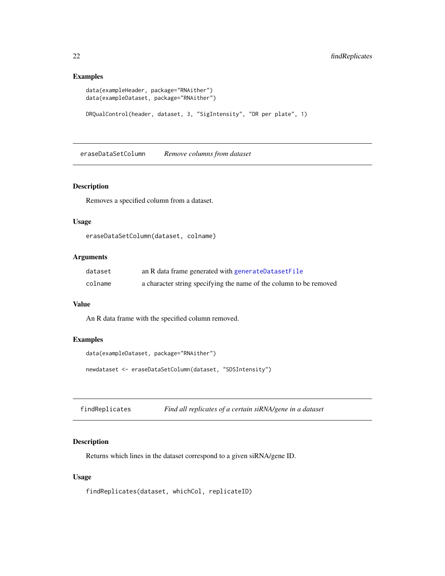```
data(exampleHeader, package="RNAither")
data(exampleDataset, package="RNAither")
DRQualControl(header, dataset, 3, "SigIntensity", "DR per plate", 1)
```
eraseDataSetColumn *Remove columns from dataset*

#### Description

Removes a specified column from a dataset.

# Usage

eraseDataSetColumn(dataset, colname)

# Arguments

| dataset | an R data frame generated with generateDatasetFile                 |
|---------|--------------------------------------------------------------------|
| colname | a character string specifying the name of the column to be removed |

# Value

An R data frame with the specified column removed.

# Examples

```
data(exampleDataset, package="RNAither")
```
newdataset <- eraseDataSetColumn(dataset, "SDSIntensity")

findReplicates *Find all replicates of a certain siRNA/gene in a dataset*

#### Description

Returns which lines in the dataset correspond to a given siRNA/gene ID.

# Usage

findReplicates(dataset, whichCol, replicateID)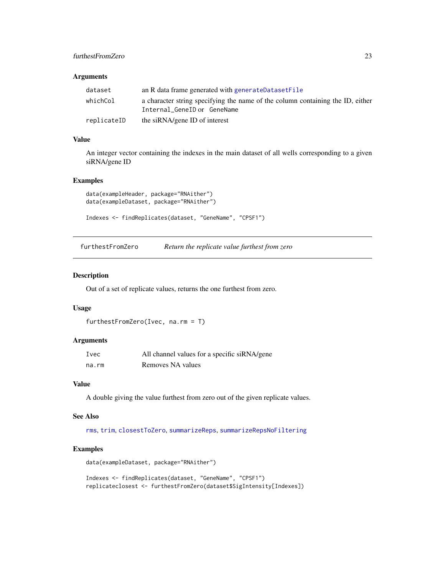# <span id="page-22-0"></span>furthestFromZero 23

#### Arguments

| dataset     | an R data frame generated with generateDatasetFile                                                            |
|-------------|---------------------------------------------------------------------------------------------------------------|
| whichCol    | a character string specifying the name of the column containing the ID, either<br>Internal GeneID or GeneName |
| replicateID | the siRNA/gene ID of interest                                                                                 |

# Value

An integer vector containing the indexes in the main dataset of all wells corresponding to a given siRNA/gene ID

#### Examples

```
data(exampleHeader, package="RNAither")
data(exampleDataset, package="RNAither")
```

```
Indexes <- findReplicates(dataset, "GeneName", "CPSF1")
```
<span id="page-22-1"></span>furthestFromZero *Return the replicate value furthest from zero*

# Description

Out of a set of replicate values, returns the one furthest from zero.

#### Usage

```
furthestFromZero(Ivec, na.rm = T)
```
### Arguments

| Ivec  | All channel values for a specific siRNA/gene |
|-------|----------------------------------------------|
| na.rm | Removes NA values                            |

#### Value

A double giving the value furthest from zero out of the given replicate values.

#### See Also

[rms](#page-66-1), [trim](#page-79-1), [closestToZero](#page-5-1), [summarizeReps](#page-77-1), [summarizeRepsNoFiltering](#page-78-1)

# Examples

```
data(exampleDataset, package="RNAither")
```
Indexes <- findReplicates(dataset, "GeneName", "CPSF1") replicateclosest <- furthestFromZero(dataset\$SigIntensity[Indexes])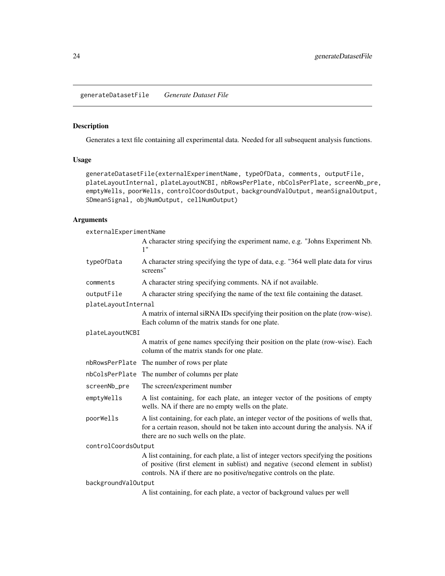<span id="page-23-1"></span><span id="page-23-0"></span>generateDatasetFile *Generate Dataset File*

# Description

Generates a text file containing all experimental data. Needed for all subsequent analysis functions.

# Usage

generateDatasetFile(externalExperimentName, typeOfData, comments, outputFile, plateLayoutInternal, plateLayoutNCBI, nbRowsPerPlate, nbColsPerPlate, screenNb\_pre, emptyWells, poorWells, controlCoordsOutput, backgroundValOutput, meanSignalOutput, SDmeanSignal, objNumOutput, cellNumOutput)

# Arguments

externalExperimentName

|                     | A character string specifying the experiment name, e.g. "Johns Experiment Nb.<br>1"                                                                                                                                                               |
|---------------------|---------------------------------------------------------------------------------------------------------------------------------------------------------------------------------------------------------------------------------------------------|
| type0fData          | A character string specifying the type of data, e.g. "364 well plate data for virus<br>screens"                                                                                                                                                   |
| comments            | A character string specifying comments. NA if not available.                                                                                                                                                                                      |
| outputFile          | A character string specifying the name of the text file containing the dataset.                                                                                                                                                                   |
| plateLayoutInternal |                                                                                                                                                                                                                                                   |
|                     | A matrix of internal siRNA IDs specifying their position on the plate (row-wise).<br>Each column of the matrix stands for one plate.                                                                                                              |
| plateLayoutNCBI     |                                                                                                                                                                                                                                                   |
|                     | A matrix of gene names specifying their position on the plate (row-wise). Each<br>column of the matrix stands for one plate.                                                                                                                      |
|                     | nbRowsPerPlate The number of rows per plate                                                                                                                                                                                                       |
| nbColsPerPlate      | The number of columns per plate                                                                                                                                                                                                                   |
| screenNb_pre        | The screen/experiment number                                                                                                                                                                                                                      |
| emptyWells          | A list containing, for each plate, an integer vector of the positions of empty<br>wells. NA if there are no empty wells on the plate.                                                                                                             |
| poorWells           | A list containing, for each plate, an integer vector of the positions of wells that,<br>for a certain reason, should not be taken into account during the analysis. NA if<br>there are no such wells on the plate.                                |
| controlCoordsOutput |                                                                                                                                                                                                                                                   |
|                     | A list containing, for each plate, a list of integer vectors specifying the positions<br>of positive (first element in sublist) and negative (second element in sublist)<br>controls. NA if there are no positive/negative controls on the plate. |
| backgroundValOutput |                                                                                                                                                                                                                                                   |
|                     |                                                                                                                                                                                                                                                   |

A list containing, for each plate, a vector of background values per well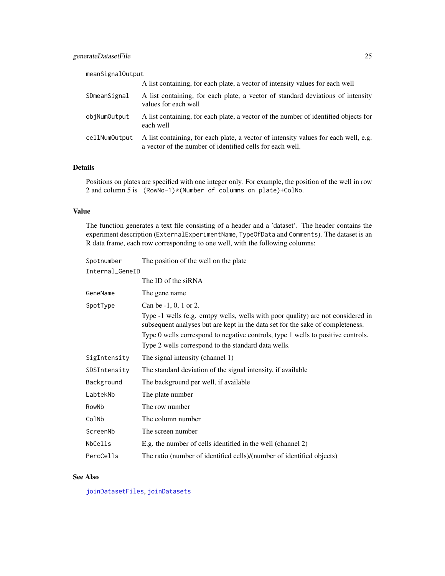| meanSignalOutput |                                                                                                                                                  |
|------------------|--------------------------------------------------------------------------------------------------------------------------------------------------|
|                  | A list containing, for each plate, a vector of intensity values for each well                                                                    |
| SDmeanSignal     | A list containing, for each plate, a vector of standard deviations of intensity<br>values for each well                                          |
| objNumOutput     | A list containing, for each plate, a vector of the number of identified objects for<br>each well                                                 |
| cellNumOutput    | A list containing, for each plate, a vector of intensity values for each well, e.g.<br>a vector of the number of identified cells for each well. |

# Details

Positions on plates are specified with one integer only. For example, the position of the well in row 2 and column 5 is (RowNo-1)\*(Number of columns on plate)+ColNo.

#### Value

The function generates a text file consisting of a header and a 'dataset'. The header contains the experiment description (ExternalExperimentName, TypeOfData and Comments). The dataset is an R data frame, each row corresponding to one well, with the following columns:

| Spotnumber      | The position of the well on the plate                                                                                                                             |
|-----------------|-------------------------------------------------------------------------------------------------------------------------------------------------------------------|
| Internal_GeneID |                                                                                                                                                                   |
|                 | The ID of the siRNA                                                                                                                                               |
| GeneName        | The gene name                                                                                                                                                     |
| SpotType        | Can be -1, 0, 1 or 2.                                                                                                                                             |
|                 | Type -1 wells (e.g. emtpy wells, wells with poor quality) are not considered in<br>subsequent analyses but are kept in the data set for the sake of completeness. |
|                 | Type 0 wells correspond to negative controls, type 1 wells to positive controls.                                                                                  |
|                 | Type 2 wells correspond to the standard data wells.                                                                                                               |
| SigIntensity    | The signal intensity (channel 1)                                                                                                                                  |
| SDSIntensity    | The standard deviation of the signal intensity, if available                                                                                                      |
| Background      | The background per well, if available                                                                                                                             |
| LabtekNb        | The plate number                                                                                                                                                  |
| RowNb           | The row number                                                                                                                                                    |
| ColNb           | The column number                                                                                                                                                 |
| ScreenNb        | The screen number                                                                                                                                                 |
| NbCells         | E.g. the number of cells identified in the well (channel 2)                                                                                                       |
| PercCells       | The ratio (number of identified cells)/(number of identified objects)                                                                                             |

# See Also

[joinDatasetFiles](#page-36-1), [joinDatasets](#page-36-2)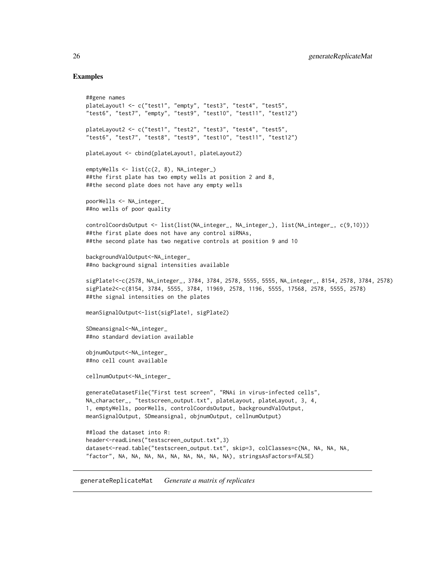```
##gene names
plateLayout1 <- c("test1", "empty", "test3", "test4", "test5",
"test6", "test7", "empty", "test9", "test10", "test11", "test12")
plateLayout2 <- c("test1", "test2", "test3", "test4", "test5",
"test6", "test7", "test8", "test9", "test10", "test11", "test12")
plateLayout <- cbind(plateLayout1, plateLayout2)
emptyWells <- list(c(2, 8), NA_integer_)
##the first plate has two empty wells at position 2 and 8,
##the second plate does not have any empty wells
poorWells <- NA_integer_
##no wells of poor quality
controlCoordsOutput <- list(list(NA_integer_, NA_integer_), list(NA_integer_, c(9,10)))
##the first plate does not have any control siRNAs,
##the second plate has two negative controls at position 9 and 10
backgroundValOutput<-NA_integer_
##no background signal intensities available
sigPlate1<-c(2578, NA_integer_, 3784, 3784, 2578, 5555, 5555, NA_integer_, 8154, 2578, 3784, 2578)
sigPlate2<-c(8154, 3784, 5555, 3784, 11969, 2578, 1196, 5555, 17568, 2578, 5555, 2578)
##the signal intensities on the plates
meanSignalOutput<-list(sigPlate1, sigPlate2)
SDmeansignal<-NA_integer_
##no standard deviation available
objnumOutput<-NA_integer_
##no cell count available
cellnumOutput<-NA_integer_
generateDatasetFile("First test screen", "RNAi in virus-infected cells",
NA_character_, "testscreen_output.txt", plateLayout, plateLayout, 3, 4,
1, emptyWells, poorWells, controlCoordsOutput, backgroundValOutput,
meanSignalOutput, SDmeansignal, objnumOutput, cellnumOutput)
##load the dataset into R:
header<-readLines("testscreen_output.txt",3)
dataset<-read.table("testscreen_output.txt", skip=3, colClasses=c(NA, NA, NA, NA,
"factor", NA, NA, NA, NA, NA, NA, NA, NA, NA), stringsAsFactors=FALSE)
```
<span id="page-25-1"></span>generateReplicateMat *Generate a matrix of replicates*

<span id="page-25-0"></span>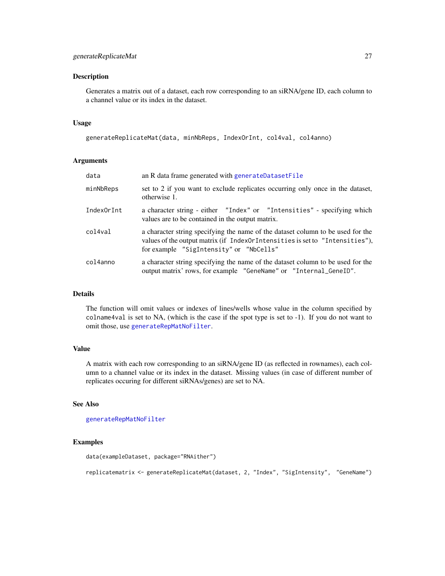Generates a matrix out of a dataset, each row corresponding to an siRNA/gene ID, each column to a channel value or its index in the dataset.

#### Usage

```
generateReplicateMat(data, minNbReps, IndexOrInt, col4val, col4anno)
```
#### Arguments

| data       | an R data frame generated with generateDatasetFile                                                                                                                                                         |
|------------|------------------------------------------------------------------------------------------------------------------------------------------------------------------------------------------------------------|
| minNbReps  | set to 2 if you want to exclude replicates occurring only once in the dataset,<br>otherwise 1.                                                                                                             |
| IndexOrInt | a character string - either "Index" or "Intensities" - specifying which<br>values are to be contained in the output matrix.                                                                                |
| col4val    | a character string specifying the name of the dataset column to be used for the<br>values of the output matrix (if IndexOrIntensities is set to "Intensities"),<br>for example "SigIntensity" or "NbCells" |
| col4anno   | a character string specifying the name of the dataset column to be used for the<br>output matrix' rows, for example "GeneName" or "Internal_GeneID".                                                       |

#### Details

The function will omit values or indexes of lines/wells whose value in the column specified by colname4val is set to NA, (which is the case if the spot type is set to -1). If you do not want to omit those, use [generateRepMatNoFilter](#page-27-1).

#### Value

A matrix with each row corresponding to an siRNA/gene ID (as reflected in rownames), each column to a channel value or its index in the dataset. Missing values (in case of different number of replicates occuring for different siRNAs/genes) are set to NA.

# See Also

# [generateRepMatNoFilter](#page-27-1)

#### Examples

```
data(exampleDataset, package="RNAither")
```
replicatematrix <- generateReplicateMat(dataset, 2, "Index", "SigIntensity", "GeneName")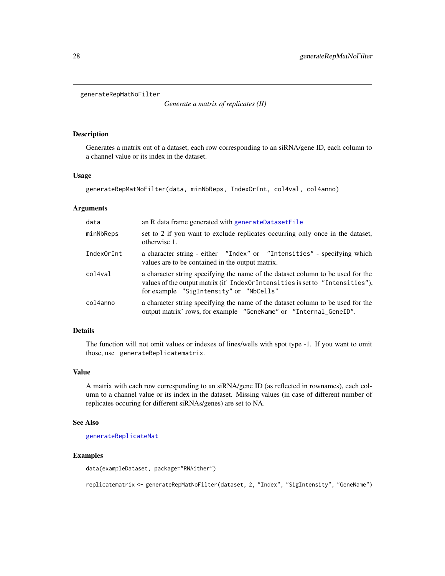<span id="page-27-1"></span><span id="page-27-0"></span>generateRepMatNoFilter

*Generate a matrix of replicates (II)*

#### Description

Generates a matrix out of a dataset, each row corresponding to an siRNA/gene ID, each column to a channel value or its index in the dataset.

#### Usage

```
generateRepMatNoFilter(data, minNbReps, IndexOrInt, col4val, col4anno)
```
#### Arguments

| data       | an R data frame generated with generateDatasetFile                                                                                                                                                         |
|------------|------------------------------------------------------------------------------------------------------------------------------------------------------------------------------------------------------------|
| minNbReps  | set to 2 if you want to exclude replicates occurring only once in the dataset,<br>otherwise 1.                                                                                                             |
| IndexOrInt | a character string - either "Index" or "Intensities" - specifying which<br>values are to be contained in the output matrix.                                                                                |
| col4val    | a character string specifying the name of the dataset column to be used for the<br>values of the output matrix (if IndexOrIntensities is set to "Intensities"),<br>for example "SigIntensity" or "NbCells" |
| col4anno   | a character string specifying the name of the dataset column to be used for the<br>output matrix' rows, for example "GeneName" or "Internal_GeneID".                                                       |

#### Details

The function will not omit values or indexes of lines/wells with spot type -1. If you want to omit those, use generateReplicatematrix.

#### Value

A matrix with each row corresponding to an siRNA/gene ID (as reflected in rownames), each column to a channel value or its index in the dataset. Missing values (in case of different number of replicates occuring for different siRNAs/genes) are set to NA.

#### See Also

[generateReplicateMat](#page-25-1)

#### Examples

data(exampleDataset, package="RNAither")

replicatematrix <- generateRepMatNoFilter(dataset, 2, "Index", "SigIntensity", "GeneName")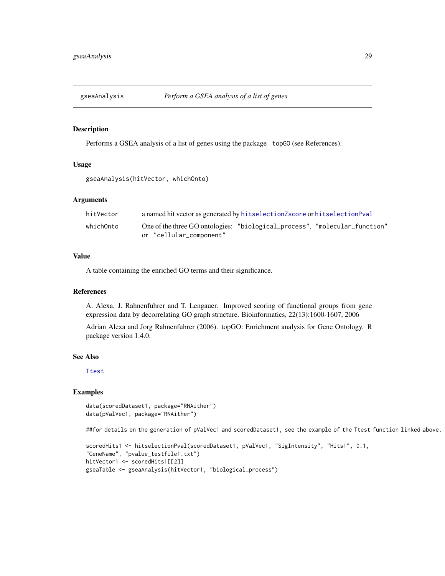<span id="page-28-0"></span>

Performs a GSEA analysis of a list of genes using the package topGO (see References).

#### Usage

gseaAnalysis(hitVector, whichOnto)

# Arguments

| hitVector | a named hit vector as generated by hit selection Z score or hit selection Pval                        |
|-----------|-------------------------------------------------------------------------------------------------------|
| whichOnto | One of the three GO ontologies: "biological_process", "molecular_function"<br>or "cellular_component" |

# Value

A table containing the enriched GO terms and their significance.

#### References

A. Alexa, J. Rahnenfuhrer and T. Lengauer. Improved scoring of functional groups from gene expression data by decorrelating GO graph structure. Bioinformatics, 22(13):1600-1607, 2006

Adrian Alexa and Jorg Rahnenfuhrer (2006). topGO: Enrichment analysis for Gene Ontology. R package version 1.4.0.

#### See Also

[Ttest](#page-80-1)

# Examples

```
data(scoredDataset1, package="RNAither")
data(pValVec1, package="RNAither")
```
##for details on the generation of pValVec1 and scoredDataset1, see the example of the Ttest function linked above.

```
scoredHits1 <- hitselectionPval(scoredDataset1, pValVec1, "SigIntensity", "Hits1", 0.1,
"GeneName", "pvalue_testfile1.txt")
hitVector1 <- scoredHits1[[2]]
gseaTable <- gseaAnalysis(hitVector1, "biological_process")
```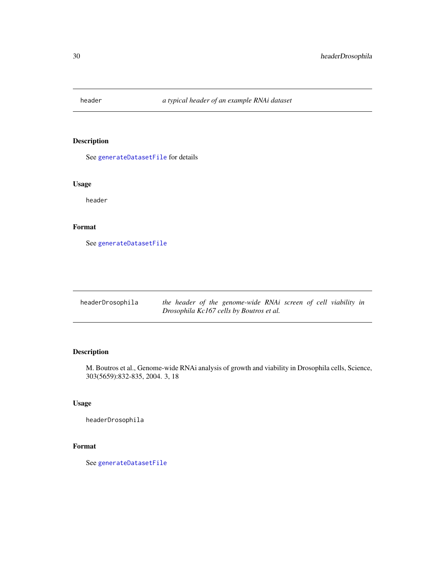<span id="page-29-0"></span>

See [generateDatasetFile](#page-23-1) for details

# Usage

header

# Format

See [generateDatasetFile](#page-23-1)

| headerDrosophila | the header of the genome-wide RNAi screen of cell viability in |  |
|------------------|----------------------------------------------------------------|--|
|                  | Drosophila Kc167 cells by Boutros et al.                       |  |

# Description

M. Boutros et al., Genome-wide RNAi analysis of growth and viability in Drosophila cells, Science, 303(5659):832-835, 2004. 3, 18

# Usage

headerDrosophila

# Format

See [generateDatasetFile](#page-23-1)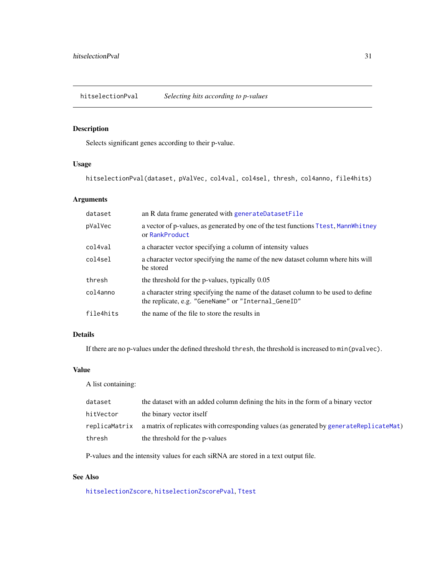<span id="page-30-1"></span><span id="page-30-0"></span>hitselectionPval *Selecting hits according to p-values*

# Description

Selects significant genes according to their p-value.

# Usage

hitselectionPval(dataset, pValVec, col4val, col4sel, thresh, col4anno, file4hits)

# Arguments

| dataset   | an R data frame generated with generateDatasetFile                                                                                       |
|-----------|------------------------------------------------------------------------------------------------------------------------------------------|
| pValVec   | a vector of p-values, as generated by one of the test functions Ttest, MannWhitney<br>or RankProduct                                     |
| col4val   | a character vector specifying a column of intensity values                                                                               |
| col4sel   | a character vector specifying the name of the new dataset column where hits will<br>be stored                                            |
| thresh    | the threshold for the p-values, typically 0.05                                                                                           |
| col4anno  | a character string specifying the name of the dataset column to be used to define<br>the replicate, e.g. "GeneName" or "Internal_GeneID" |
| file4hits | the name of the file to store the results in                                                                                             |

#### Details

If there are no p-values under the defined threshold thresh, the threshold is increased to min(pvalvec).

# Value

A list containing:

| dataset   | the dataset with an added column defining the hits in the form of a binary vector                     |
|-----------|-------------------------------------------------------------------------------------------------------|
| hitVector | the binary vector itself                                                                              |
|           | replicaMatrix a matrix of replicates with corresponding values (as generated by generateReplicateMat) |
| thresh    | the threshold for the p-values                                                                        |

P-values and the intensity values for each siRNA are stored in a text output file.

# See Also

[hitselectionZscore](#page-31-1), [hitselectionZscorePval](#page-32-1), [Ttest](#page-80-1)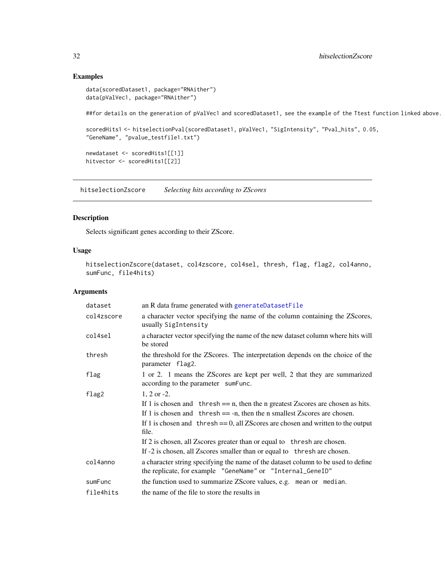```
data(scoredDataset1, package="RNAither")
data(pValVec1, package="RNAither")
```
##for details on the generation of pValVec1 and scoredDataset1, see the example of the Ttest function linked above.

```
scoredHits1 <- hitselectionPval(scoredDataset1, pValVec1, "SigIntensity", "Pval_hits", 0.05,
"GeneName", "pvalue_testfile1.txt")
```
newdataset <- scoredHits1[[1]] hitvector <- scoredHits1[[2]]

<span id="page-31-1"></span>hitselectionZscore *Selecting hits according to ZScores*

# Description

Selects significant genes according to their ZScore.

# Usage

hitselectionZscore(dataset, col4zscore, col4sel, thresh, flag, flag2, col4anno, sumFunc, file4hits)

#### Arguments

| dataset    | an R data frame generated with generateDatasetFile                                                                                              |
|------------|-------------------------------------------------------------------------------------------------------------------------------------------------|
| col4zscore | a character vector specifying the name of the column containing the ZScores,<br>usually SigIntensity                                            |
| col4sel    | a character vector specifying the name of the new dataset column where hits will<br>be stored                                                   |
| thresh     | the threshold for the ZScores. The interpretation depends on the choice of the<br>parameter flag2.                                              |
| flag       | 1 or 2. 1 means the ZScores are kept per well, 2 that they are summarized<br>according to the parameter sumFunc.                                |
| flag2      | $1, 2$ or $-2$ .                                                                                                                                |
|            | If 1 is chosen and thresh $== n$ , then the n greatest Zscores are chosen as hits.                                                              |
|            | If 1 is chosen and thresh $==$ -n, then the n smallest Zscores are chosen.                                                                      |
|            | If 1 is chosen and thresh $== 0$ , all ZScores are chosen and written to the output<br>file.                                                    |
|            | If 2 is chosen, all Zscores greater than or equal to thresh are chosen.                                                                         |
|            | If -2 is chosen, all Zscores smaller than or equal to thresh are chosen.                                                                        |
| col4anno   | a character string specifying the name of the dataset column to be used to define<br>the replicate, for example "GeneName" or "Internal_GeneID" |
| sumFunc    | the function used to summarize ZScore values, e.g. mean or median.                                                                              |
| file4hits  | the name of the file to store the results in                                                                                                    |

<span id="page-31-0"></span>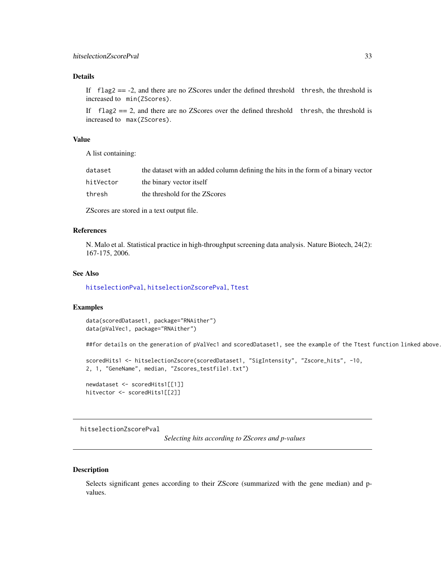#### <span id="page-32-0"></span>Details

If  $flag2 = -2$ , and there are no ZScores under the defined threshold thresh, the threshold is increased to min(ZScores).

If  $flag2 == 2$ , and there are no ZScores over the defined threshold thresh, the threshold is increased to max(ZScores).

# Value

A list containing:

| dataset   | the dataset with an added column defining the hits in the form of a binary vector |
|-----------|-----------------------------------------------------------------------------------|
| hitVector | the binary vector itself                                                          |
| thresh    | the threshold for the ZScores                                                     |

ZScores are stored in a text output file.

#### References

N. Malo et al. Statistical practice in high-throughput screening data analysis. Nature Biotech, 24(2): 167-175, 2006.

#### See Also

[hitselectionPval](#page-30-1), [hitselectionZscorePval](#page-32-1), [Ttest](#page-80-1)

#### Examples

data(scoredDataset1, package="RNAither") data(pValVec1, package="RNAither")

##for details on the generation of pValVec1 and scoredDataset1, see the example of the Ttest function linked above.

```
scoredHits1 <- hitselectionZscore(scoredDataset1, "SigIntensity", "Zscore_hits", -10,
2, 1, "GeneName", median, "Zscores_testfile1.txt")
```
newdataset <- scoredHits1[[1]] hitvector <- scoredHits1[[2]]

<span id="page-32-1"></span>hitselectionZscorePval

*Selecting hits according to ZScores and p-values*

#### Description

Selects significant genes according to their ZScore (summarized with the gene median) and pvalues.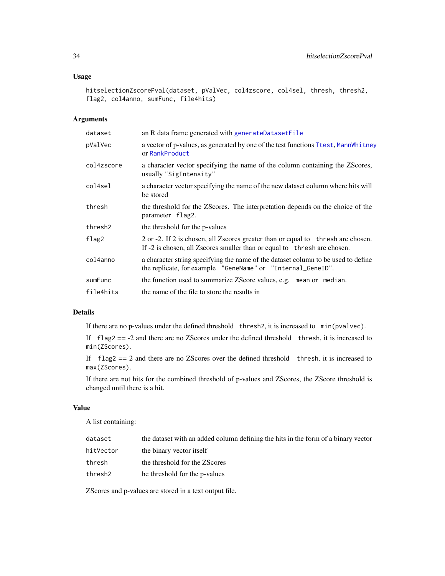# Usage

```
hitselectionZscorePval(dataset, pValVec, col4zscore, col4sel, thresh, thresh2,
flag2, col4anno, sumFunc, file4hits)
```
# Arguments

| dataset    | an R data frame generated with generateDatasetFile                                                                                                            |
|------------|---------------------------------------------------------------------------------------------------------------------------------------------------------------|
| pValVec    | a vector of p-values, as generated by one of the test functions Ttest, MannWhitney<br>or RankProduct                                                          |
| col4zscore | a character vector specifying the name of the column containing the ZScores,<br>usually "SigIntensity"                                                        |
| col4sel    | a character vector specifying the name of the new dataset column where hits will<br>be stored                                                                 |
| thresh     | the threshold for the ZScores. The interpretation depends on the choice of the<br>parameter flag2.                                                            |
| thresh2    | the threshold for the p-values                                                                                                                                |
| flag2      | 2 or -2. If 2 is chosen, all Zscores greater than or equal to thresh are chosen.<br>If -2 is chosen, all Z scores smaller than or equal to thresh are chosen. |
| col4anno   | a character string specifying the name of the dataset column to be used to define<br>the replicate, for example "GeneName" or "Internal_GeneID".              |
| sumFunc    | the function used to summarize ZScore values, e.g. mean or median.                                                                                            |
| file4hits  | the name of the file to store the results in                                                                                                                  |

# Details

If there are no p-values under the defined threshold thresh2, it is increased to min(pvalvec).

If flag2 == -2 and there are no ZScores under the defined threshold thresh, it is increased to min(ZScores).

If  $flag2 == 2$  and there are no ZScores over the defined threshold thresh, it is increased to max(ZScores).

If there are not hits for the combined threshold of p-values and ZScores, the ZScore threshold is changed until there is a hit.

# Value

A list containing:

| dataset   | the dataset with an added column defining the hits in the form of a binary vector |
|-----------|-----------------------------------------------------------------------------------|
| hitVector | the binary vector itself                                                          |
| thresh    | the threshold for the ZScores                                                     |
| thresh2   | he threshold for the p-values                                                     |
|           |                                                                                   |

ZScores and p-values are stored in a text output file.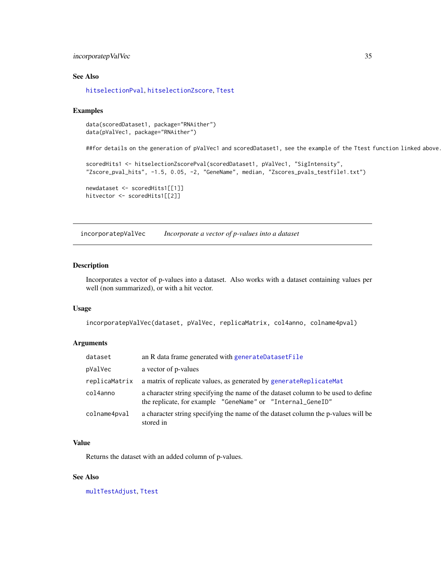# <span id="page-34-0"></span>incorporatepValVec 35

#### See Also

[hitselectionPval](#page-30-1), [hitselectionZscore](#page-31-1), [Ttest](#page-80-1)

#### Examples

```
data(scoredDataset1, package="RNAither")
data(pValVec1, package="RNAither")
```
##for details on the generation of pValVec1 and scoredDataset1, see the example of the Ttest function linked above.

```
scoredHits1 <- hitselectionZscorePval(scoredDataset1, pValVec1, "SigIntensity",
"Zscore_pval_hits", -1.5, 0.05, -2, "GeneName", median, "Zscores_pvals_testfile1.txt")
newdataset <- scoredHits1[[1]]
```

```
hitvector <- scoredHits1[[2]]
```
incorporatepValVec *Incorporate a vector of p-values into a dataset*

#### Description

Incorporates a vector of p-values into a dataset. Also works with a dataset containing values per well (non summarized), or with a hit vector.

#### Usage

incorporatepValVec(dataset, pValVec, replicaMatrix, col4anno, colname4pval)

#### Arguments

| dataset       | an R data frame generated with generateDatasetFile                                                                                              |
|---------------|-------------------------------------------------------------------------------------------------------------------------------------------------|
| pValVec       | a vector of p-values                                                                                                                            |
| replicaMatrix | a matrix of replicate values, as generated by generateReplicateMat                                                                              |
| col4anno      | a character string specifying the name of the dataset column to be used to define<br>the replicate, for example "GeneName" or "Internal_GeneID" |
| colname4pval  | a character string specifying the name of the dataset column the p-values will be<br>stored in                                                  |

#### Value

Returns the dataset with an added column of p-values.

# See Also

[multTestAdjust](#page-48-1), [Ttest](#page-80-1)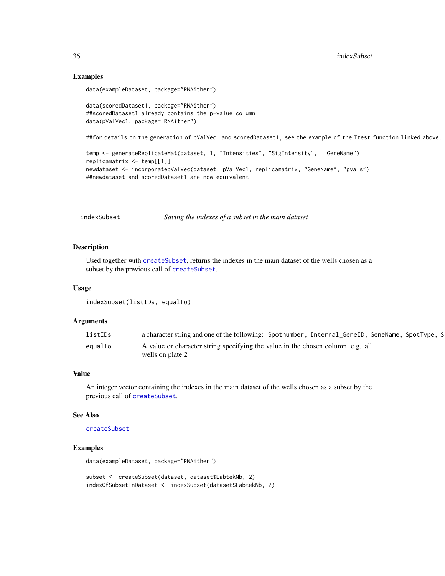<span id="page-35-0"></span>36 indexSubset

#### Examples

```
data(exampleDataset, package="RNAither")
data(scoredDataset1, package="RNAither")
##scoredDataset1 already contains the p-value column
data(pValVec1, package="RNAither")
##for details on the generation of pValVec1 and scoredDataset1, see the example of the Ttest function linked above.
temp <- generateReplicateMat(dataset, 1, "Intensities", "SigIntensity", "GeneName")
replicamatrix <- temp[[1]]
```

```
newdataset <- incorporatepValVec(dataset, pValVec1, replicamatrix, "GeneName", "pvals")
##newdataset and scoredDataset1 are now equivalent
```
<span id="page-35-1"></span>indexSubset *Saving the indexes of a subset in the main dataset*

#### Description

Used together with [createSubset](#page-15-1), returns the indexes in the main dataset of the wells chosen as a subset by the previous call of [createSubset](#page-15-1).

#### Usage

```
indexSubset(listIDs, equalTo)
```
#### Arguments

| listIDs | a character string and one of the following: Spotnumber, Internal_GeneID, GeneName, SpotType, S |
|---------|-------------------------------------------------------------------------------------------------|
| equalTo | A value or character string specifying the value in the chosen column, e.g. all                 |
|         | wells on plate 2                                                                                |

#### Value

An integer vector containing the indexes in the main dataset of the wells chosen as a subset by the previous call of [createSubset](#page-15-1).

#### See Also

[createSubset](#page-15-1)

# Examples

data(exampleDataset, package="RNAither")

subset <- createSubset(dataset, dataset\$LabtekNb, 2) indexOfSubsetInDataset <- indexSubset(dataset\$LabtekNb, 2)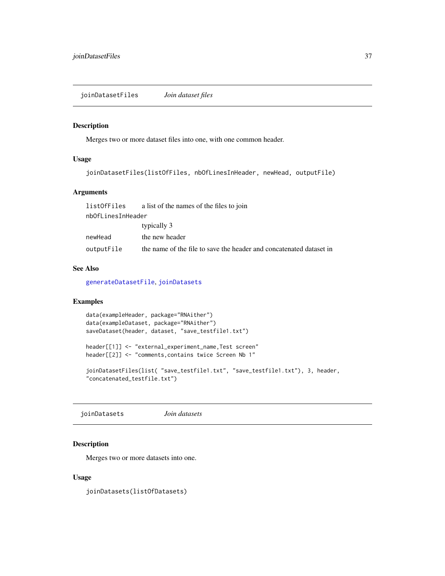<span id="page-36-1"></span>joinDatasetFiles *Join dataset files*

#### Description

Merges two or more dataset files into one, with one common header.

## Usage

```
joinDatasetFiles(listOfFiles, nbOfLinesInHeader, newHead, outputFile)
```
# Arguments

| listOfFiles       | a list of the names of the files to join                            |
|-------------------|---------------------------------------------------------------------|
| nbOfLinesInHeader |                                                                     |
|                   | typically 3                                                         |
| newHead           | the new header                                                      |
| outputFile        | the name of the file to save the header and concatenated dataset in |

# See Also

[generateDatasetFile](#page-23-0), [joinDatasets](#page-36-0)

#### Examples

```
data(exampleHeader, package="RNAither")
data(exampleDataset, package="RNAither")
saveDataset(header, dataset, "save_testfile1.txt")
header[[1]] <- "external_experiment_name,Test screen"
header[[2]] <- "comments, contains twice Screen Nb 1"
joinDatasetFiles(list( "save_testfile1.txt", "save_testfile1.txt"), 3, header,
"concatenated_testfile.txt")
```
<span id="page-36-0"></span>joinDatasets *Join datasets*

## Description

Merges two or more datasets into one.

#### Usage

joinDatasets(listOfDatasets)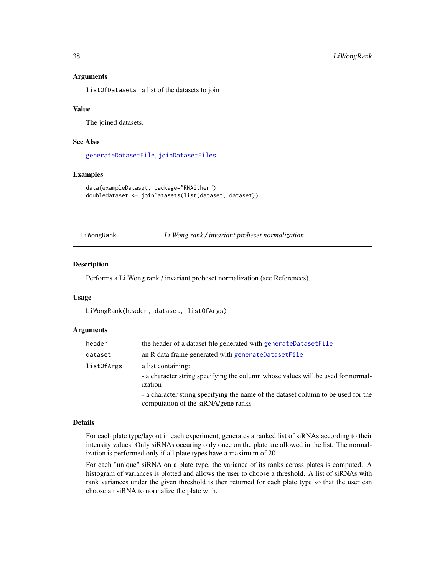## Arguments

listOfDatasets a list of the datasets to join

#### Value

The joined datasets.

#### See Also

[generateDatasetFile](#page-23-0), [joinDatasetFiles](#page-36-1)

#### Examples

```
data(exampleDataset, package="RNAither")
doubledataset <- joinDatasets(list(dataset, dataset))
```
<span id="page-37-0"></span>LiWongRank *Li Wong rank / invariant probeset normalization*

#### Description

Performs a Li Wong rank / invariant probeset normalization (see References).

#### Usage

LiWongRank(header, dataset, listOfArgs)

#### Arguments

| header     | the header of a dataset file generated with generateDatasetFile                                                          |
|------------|--------------------------------------------------------------------------------------------------------------------------|
| dataset    | an R data frame generated with generateDatasetFile                                                                       |
| listOfArgs | a list containing:                                                                                                       |
|            | - a character string specifying the column whose values will be used for normal-<br>ization                              |
|            | - a character string specifying the name of the dataset column to be used for the<br>computation of the siRNA/gene ranks |

#### Details

For each plate type/layout in each experiment, generates a ranked list of siRNAs according to their intensity values. Only siRNAs occuring only once on the plate are allowed in the list. The normalization is performed only if all plate types have a maximum of 20

For each "unique" siRNA on a plate type, the variance of its ranks across plates is computed. A histogram of variances is plotted and allows the user to choose a threshold. A list of siRNAs with rank variances under the given threshold is then returned for each plate type so that the user can choose an siRNA to normalize the plate with.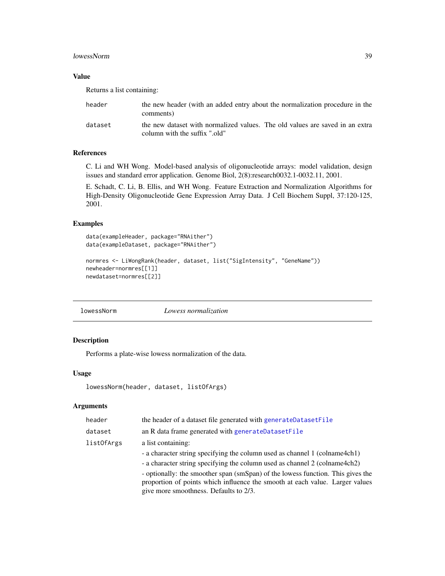#### lowessNorm 39

#### Value

Returns a list containing:

| header  | the new header (with an added entry about the normalization procedure in the<br>comments)                     |
|---------|---------------------------------------------------------------------------------------------------------------|
| dataset | the new dataset with normalized values. The old values are saved in an extra<br>column with the suffix ".old" |

#### References

C. Li and WH Wong. Model-based analysis of oligonucleotide arrays: model validation, design issues and standard error application. Genome Biol, 2(8):research0032.1-0032.11, 2001.

E. Schadt, C. Li, B. Ellis, and WH Wong. Feature Extraction and Normalization Algorithms for High-Density Oligonucleotide Gene Expression Array Data. J Cell Biochem Suppl, 37:120-125, 2001.

# Examples

```
data(exampleHeader, package="RNAither")
data(exampleDataset, package="RNAither")
normres <- LiWongRank(header, dataset, list("SigIntensity", "GeneName"))
newheader=normres[[1]]
newdataset=normres[[2]]
```
<span id="page-38-0"></span>lowessNorm *Lowess normalization*

# Description

Performs a plate-wise lowess normalization of the data.

## Usage

```
lowessNorm(header, dataset, listOfArgs)
```
# Arguments

| header     | the header of a dataset file generated with generateDatasetFile                                                                                                                                           |
|------------|-----------------------------------------------------------------------------------------------------------------------------------------------------------------------------------------------------------|
| dataset    | an R data frame generated with generateDatasetFile                                                                                                                                                        |
| listOfArgs | a list containing:                                                                                                                                                                                        |
|            | - a character string specifying the column used as channel 1 (colname4ch1)                                                                                                                                |
|            | - a character string specifying the column used as channel 2 (colname4ch2)                                                                                                                                |
|            | - optionally: the smoother span (smSpan) of the lowess function. This gives the<br>proportion of points which influence the smooth at each value. Larger values<br>give more smoothness. Defaults to 2/3. |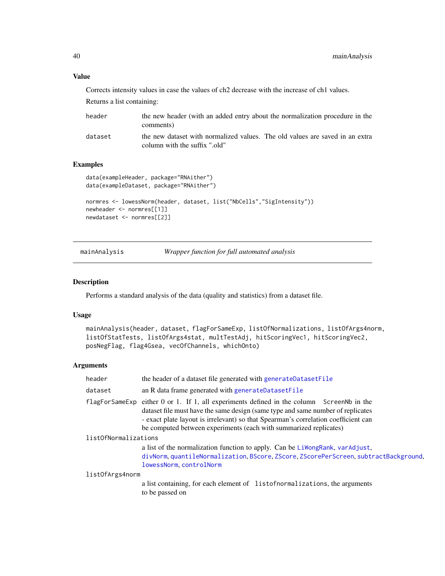#### Value

Corrects intensity values in case the values of ch2 decrease with the increase of ch1 values.

Returns a list containing:

| header  | the new header (with an added entry about the normalization procedure in the<br>comments)                     |
|---------|---------------------------------------------------------------------------------------------------------------|
| dataset | the new dataset with normalized values. The old values are saved in an extra<br>column with the suffix ".old" |

# Examples

```
data(exampleHeader, package="RNAither")
data(exampleDataset, package="RNAither")
normres <- lowessNorm(header, dataset, list("NbCells","SigIntensity"))
newheader <- normres[[1]]
```

```
newdataset <- normres[[2]]
```
mainAnalysis *Wrapper function for full automated analysis*

#### Description

Performs a standard analysis of the data (quality and statistics) from a dataset file.

#### Usage

```
mainAnalysis(header, dataset, flagForSameExp, listOfNormalizations, listOfArgs4norm,
listOfStatTests, listOfArgs4stat, multTestAdj, hitScoringVec1, hitScoringVec2,
posNegFlag, flag4Gsea, vecOfChannels, whichOnto)
```
# Arguments

| header               | the header of a dataset file generated with generateDatasetFile                                                                                                                                                                                                                                                                         |  |
|----------------------|-----------------------------------------------------------------------------------------------------------------------------------------------------------------------------------------------------------------------------------------------------------------------------------------------------------------------------------------|--|
| dataset              | an R data frame generated with generateDatasetFile                                                                                                                                                                                                                                                                                      |  |
|                      | flagForSameExp either 0 or 1. If 1, all experiments defined in the column ScreenNb in the<br>dataset file must have the same design (same type and same number of replicates<br>- exact plate layout is irrelevant) so that Spearman's correlation coefficient can<br>be computed between experiments (each with summarized replicates) |  |
| list0fNormalizations |                                                                                                                                                                                                                                                                                                                                         |  |
|                      | a list of the normalization function to apply. Can be Liwong Rank, varadjust,                                                                                                                                                                                                                                                           |  |
|                      | divNorm, quantileNormalization, BScore, ZScore, ZScorePerScreen, subtractBackground,<br>lowessNorm.controlNorm                                                                                                                                                                                                                          |  |
| list0fArgs4norm      |                                                                                                                                                                                                                                                                                                                                         |  |
|                      | a list containing, for each element of listofnormalizations, the arguments<br>to be passed on                                                                                                                                                                                                                                           |  |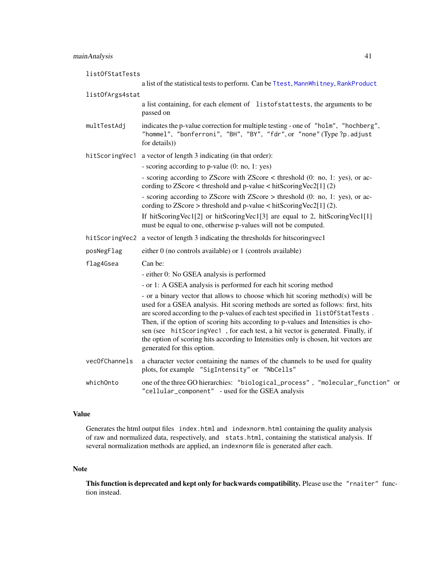| list0fStatTests |                                                                                                                                                                                                                                                                                                                                                                                                                                                                                                                                                     |  |
|-----------------|-----------------------------------------------------------------------------------------------------------------------------------------------------------------------------------------------------------------------------------------------------------------------------------------------------------------------------------------------------------------------------------------------------------------------------------------------------------------------------------------------------------------------------------------------------|--|
|                 | a list of the statistical tests to perform. Can be Ttest, MannWhitney, RankProduct                                                                                                                                                                                                                                                                                                                                                                                                                                                                  |  |
| listOfArgs4stat |                                                                                                                                                                                                                                                                                                                                                                                                                                                                                                                                                     |  |
|                 | a list containing, for each element of listofstattests, the arguments to be<br>passed on                                                                                                                                                                                                                                                                                                                                                                                                                                                            |  |
| multTestAdj     | indicates the p-value correction for multiple testing - one of "holm", "hochberg",<br>"hommel", "bonferroni", "BH", "BY", "fdr", or "none" (Type ?p. adjust<br>for details))                                                                                                                                                                                                                                                                                                                                                                        |  |
| hitScoringVec1  | a vector of length 3 indicating (in that order):                                                                                                                                                                                                                                                                                                                                                                                                                                                                                                    |  |
|                 | - scoring according to p-value (0: no, 1: yes)                                                                                                                                                                                                                                                                                                                                                                                                                                                                                                      |  |
|                 | - scoring according to ZScore with ZScore < threshold (0: no, 1: yes), or ac-<br>cording to $ZScore$ < threshold and p-value < hitScoringVec2[1] (2)                                                                                                                                                                                                                                                                                                                                                                                                |  |
|                 | - scoring according to ZScore with ZScore > threshold (0: no, 1: yes), or ac-<br>cording to $ZScore$ > threshold and p-value < hit $ScoringVec2[1]$ (2).                                                                                                                                                                                                                                                                                                                                                                                            |  |
|                 | If hitScoringVec1[2] or hitScoringVec1[3] are equal to 2, hitScoringVec1[1]<br>must be equal to one, otherwise p-values will not be computed.                                                                                                                                                                                                                                                                                                                                                                                                       |  |
|                 | hitScoringVec2 a vector of length 3 indicating the thresholds for hitscoringvec1                                                                                                                                                                                                                                                                                                                                                                                                                                                                    |  |
| posNegFlag      | either 0 (no controls available) or 1 (controls available)                                                                                                                                                                                                                                                                                                                                                                                                                                                                                          |  |
| flag4Gsea       | Can be:                                                                                                                                                                                                                                                                                                                                                                                                                                                                                                                                             |  |
|                 | - either 0: No GSEA analysis is performed                                                                                                                                                                                                                                                                                                                                                                                                                                                                                                           |  |
|                 | - or 1: A GSEA analysis is performed for each hit scoring method                                                                                                                                                                                                                                                                                                                                                                                                                                                                                    |  |
|                 | - or a binary vector that allows to choose which hit scoring method(s) will be<br>used for a GSEA analysis. Hit scoring methods are sorted as follows: first, hits<br>are scored according to the p-values of each test specified in list Of StatTests.<br>Then, if the option of scoring hits according to p-values and Intensities is cho-<br>sen (see hitScoringVec1, for each test, a hit vector is generated. Finally, if<br>the option of scoring hits according to Intensities only is chosen, hit vectors are<br>generated for this option. |  |
| vecOfChannels   | a character vector containing the names of the channels to be used for quality<br>plots, for example "SigIntensity" or "NbCells"                                                                                                                                                                                                                                                                                                                                                                                                                    |  |
| whichOnto       | one of the three GO hierarchies: "biological_process", "molecular_function" or<br>"cellular_component" - used for the GSEA analysis                                                                                                                                                                                                                                                                                                                                                                                                                 |  |

# Value

Generates the html output files index.html and indexnorm.html containing the quality analysis of raw and normalized data, respectively, and stats.html, containing the statistical analysis. If several normalization methods are applied, an indexnorm file is generated after each.

## Note

This function is deprecated and kept only for backwards compatibility. Please use the "rnaiter" function instead.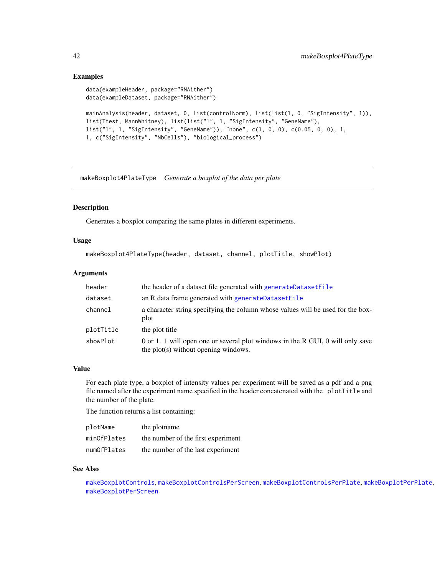## Examples

```
data(exampleHeader, package="RNAither")
data(exampleDataset, package="RNAither")
mainAnalysis(header, dataset, 0, list(controlNorm), list(list(1, 0, "SigIntensity", 1)),
list(Ttest, MannWhitney), list(list("l", 1, "SigIntensity", "GeneName"),
list("l", 1, "SigIntensity", "GeneName")), "none", c(1, 0, 0), c(0.05, 0, 0), 1,
1, c("SigIntensity", "NbCells"), "biological_process")
```
makeBoxplot4PlateType *Generate a boxplot of the data per plate*

# Description

Generates a boxplot comparing the same plates in different experiments.

#### Usage

```
makeBoxplot4PlateType(header, dataset, channel, plotTitle, showPlot)
```
#### Arguments

| header    | the header of a dataset file generated with generateDatasetFile                                                        |
|-----------|------------------------------------------------------------------------------------------------------------------------|
| dataset   | an R data frame generated with generateDatasetFile                                                                     |
| channel   | a character string specifying the column whose values will be used for the box-<br>plot                                |
| plotTitle | the plot title                                                                                                         |
| showPlot  | 0 or 1. 1 will open one or several plot windows in the R GUI, 0 will only save<br>the plot(s) without opening windows. |

#### Value

For each plate type, a boxplot of intensity values per experiment will be saved as a pdf and a png file named after the experiment name specified in the header concatenated with the plotTitle and the number of the plate.

The function returns a list containing:

| plotName    | the plotname                       |
|-------------|------------------------------------|
| minOfPlates | the number of the first experiment |
| numOfPlates | the number of the last experiment  |

# See Also

[makeBoxplotControls](#page-42-0), [makeBoxplotControlsPerScreen](#page-44-0), [makeBoxplotControlsPerPlate](#page-43-0), [makeBoxplotPerPlate](#page-45-0), [makeBoxplotPerScreen](#page-46-0)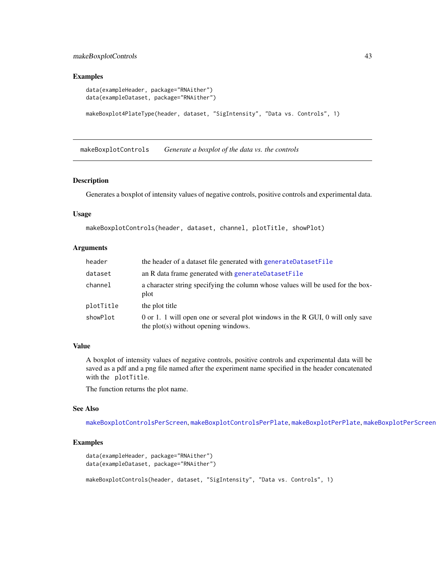# makeBoxplotControls 43

#### Examples

```
data(exampleHeader, package="RNAither")
data(exampleDataset, package="RNAither")
makeBoxplot4PlateType(header, dataset, "SigIntensity", "Data vs. Controls", 1)
```
<span id="page-42-0"></span>makeBoxplotControls *Generate a boxplot of the data vs. the controls*

#### Description

Generates a boxplot of intensity values of negative controls, positive controls and experimental data.

#### Usage

makeBoxplotControls(header, dataset, channel, plotTitle, showPlot)

# Arguments

| header    | the header of a dataset file generated with generateDatasetFile                                                        |
|-----------|------------------------------------------------------------------------------------------------------------------------|
| dataset   | an R data frame generated with generateDatasetFile                                                                     |
| channel   | a character string specifying the column whose values will be used for the box-<br>plot                                |
| plotTitle | the plot title                                                                                                         |
| showPlot  | 0 or 1. 1 will open one or several plot windows in the R GUI, 0 will only save<br>the plot(s) without opening windows. |

## Value

A boxplot of intensity values of negative controls, positive controls and experimental data will be saved as a pdf and a png file named after the experiment name specified in the header concatenated with the plotTitle.

The function returns the plot name.

#### See Also

[makeBoxplotControlsPerScreen](#page-44-0), [makeBoxplotControlsPerPlate](#page-43-0), [makeBoxplotPerPlate](#page-45-0), [makeBoxplotPerScreen](#page-46-0)

```
data(exampleHeader, package="RNAither")
data(exampleDataset, package="RNAither")
makeBoxplotControls(header, dataset, "SigIntensity", "Data vs. Controls", 1)
```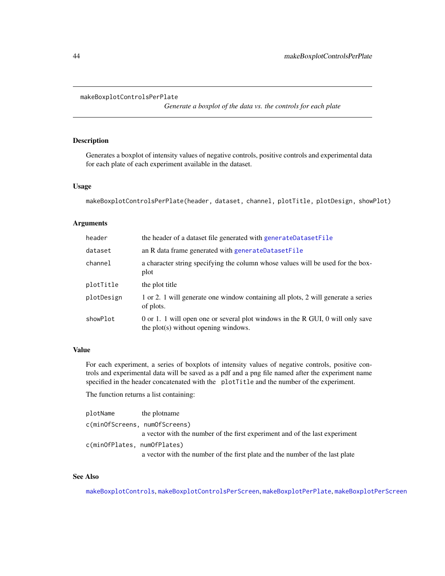#### <span id="page-43-0"></span>makeBoxplotControlsPerPlate

*Generate a boxplot of the data vs. the controls for each plate*

# Description

Generates a boxplot of intensity values of negative controls, positive controls and experimental data for each plate of each experiment available in the dataset.

#### Usage

```
makeBoxplotControlsPerPlate(header, dataset, channel, plotTitle, plotDesign, showPlot)
```
# Arguments

| header     | the header of a dataset file generated with generateDatasetFile                                                        |
|------------|------------------------------------------------------------------------------------------------------------------------|
| dataset    | an R data frame generated with generateDatasetFile                                                                     |
| channel    | a character string specifying the column whose values will be used for the box-<br>plot                                |
| plotTitle  | the plot title                                                                                                         |
| plotDesign | 1 or 2. 1 will generate one window containing all plots, 2 will generate a series<br>of plots.                         |
| showPlot   | 0 or 1. 1 will open one or several plot windows in the R GUI, 0 will only save<br>the plot(s) without opening windows. |

# Value

For each experiment, a series of boxplots of intensity values of negative controls, positive controls and experimental data will be saved as a pdf and a png file named after the experiment name specified in the header concatenated with the plotTitle and the number of the experiment.

The function returns a list containing:

| plotName                      | the plotname                                                                 |
|-------------------------------|------------------------------------------------------------------------------|
| c(minOfScreens, numOfScreens) |                                                                              |
|                               | a vector with the number of the first experiment and of the last experiment  |
| c(minOfPlates, numOfPlates)   |                                                                              |
|                               | a vector with the number of the first plate and the number of the last plate |

# See Also

[makeBoxplotControls](#page-42-0), [makeBoxplotControlsPerScreen](#page-44-0), [makeBoxplotPerPlate](#page-45-0), [makeBoxplotPerScreen](#page-46-0)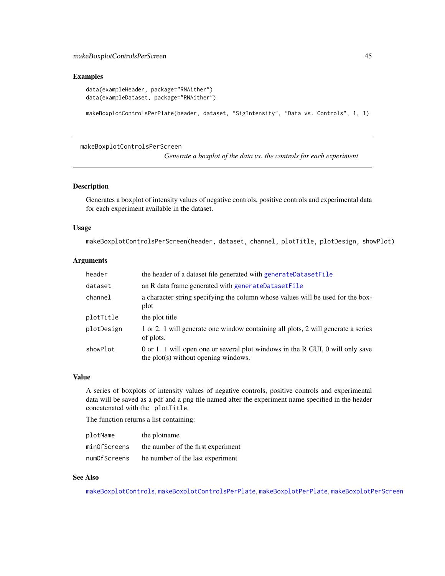#### Examples

```
data(exampleHeader, package="RNAither")
data(exampleDataset, package="RNAither")
```
makeBoxplotControlsPerPlate(header, dataset, "SigIntensity", "Data vs. Controls", 1, 1)

<span id="page-44-0"></span>makeBoxplotControlsPerScreen

*Generate a boxplot of the data vs. the controls for each experiment*

#### Description

Generates a boxplot of intensity values of negative controls, positive controls and experimental data for each experiment available in the dataset.

#### Usage

makeBoxplotControlsPerScreen(header, dataset, channel, plotTitle, plotDesign, showPlot)

#### Arguments

| header     | the header of a dataset file generated with generateDatasetFile                                                        |
|------------|------------------------------------------------------------------------------------------------------------------------|
| dataset    | an R data frame generated with generateDatasetFile                                                                     |
| channel    | a character string specifying the column whose values will be used for the box-<br>plot                                |
| plotTitle  | the plot title                                                                                                         |
| plotDesign | 1 or 2. 1 will generate one window containing all plots, 2 will generate a series<br>of plots.                         |
| showPlot   | 0 or 1. 1 will open one or several plot windows in the R GUI, 0 will only save<br>the plot(s) without opening windows. |

#### Value

A series of boxplots of intensity values of negative controls, positive controls and experimental data will be saved as a pdf and a png file named after the experiment name specified in the header concatenated with the plotTitle.

The function returns a list containing:

| plotName     | the plotname                       |
|--------------|------------------------------------|
| minOfScreens | the number of the first experiment |
| numOfScreens | he number of the last experiment   |

#### See Also

[makeBoxplotControls](#page-42-0), [makeBoxplotControlsPerPlate](#page-43-0), [makeBoxplotPerPlate](#page-45-0), [makeBoxplotPerScreen](#page-46-0)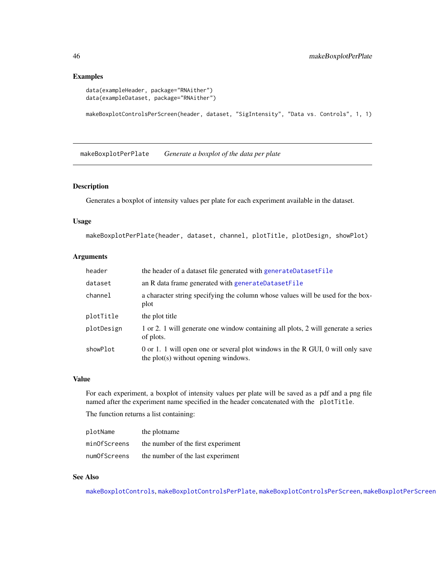#### Examples

```
data(exampleHeader, package="RNAither")
data(exampleDataset, package="RNAither")
```
makeBoxplotControlsPerScreen(header, dataset, "SigIntensity", "Data vs. Controls", 1, 1)

<span id="page-45-0"></span>makeBoxplotPerPlate *Generate a boxplot of the data per plate*

#### Description

Generates a boxplot of intensity values per plate for each experiment available in the dataset.

## Usage

```
makeBoxplotPerPlate(header, dataset, channel, plotTitle, plotDesign, showPlot)
```
## Arguments

| header     | the header of a dataset file generated with generateDatasetFile                                                        |
|------------|------------------------------------------------------------------------------------------------------------------------|
| dataset    | an R data frame generated with generateDatasetFile                                                                     |
| channel    | a character string specifying the column whose values will be used for the box-<br>plot                                |
| plotTitle  | the plot title                                                                                                         |
| plotDesign | 1 or 2. 1 will generate one window containing all plots, 2 will generate a series<br>of plots.                         |
| showPlot   | 0 or 1. 1 will open one or several plot windows in the R GUI, 0 will only save<br>the plot(s) without opening windows. |

#### Value

For each experiment, a boxplot of intensity values per plate will be saved as a pdf and a png file named after the experiment name specified in the header concatenated with the plotTitle.

The function returns a list containing:

| plotName     | the plotname                       |
|--------------|------------------------------------|
| minOfScreens | the number of the first experiment |
| numOfScreens | the number of the last experiment  |

# See Also

[makeBoxplotControls](#page-42-0), [makeBoxplotControlsPerPlate](#page-43-0), [makeBoxplotControlsPerScreen](#page-44-0), [makeBoxplotPerScreen](#page-46-0)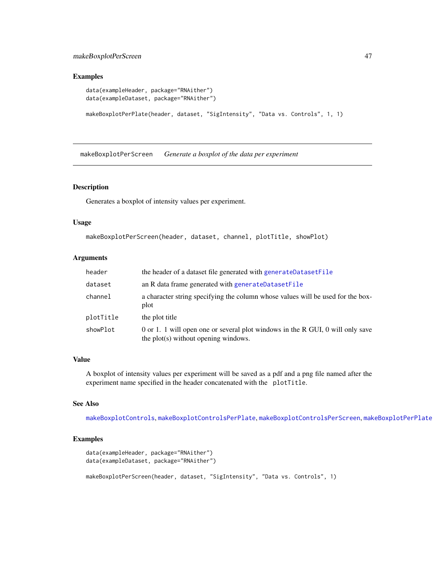# makeBoxplotPerScreen 47

#### Examples

```
data(exampleHeader, package="RNAither")
data(exampleDataset, package="RNAither")
```
makeBoxplotPerPlate(header, dataset, "SigIntensity", "Data vs. Controls", 1, 1)

<span id="page-46-0"></span>makeBoxplotPerScreen *Generate a boxplot of the data per experiment*

#### Description

Generates a boxplot of intensity values per experiment.

#### Usage

```
makeBoxplotPerScreen(header, dataset, channel, plotTitle, showPlot)
```
# Arguments

| header    | the header of a dataset file generated with generateDatasetFile                                                        |
|-----------|------------------------------------------------------------------------------------------------------------------------|
| dataset   | an R data frame generated with generateDatasetFile                                                                     |
| channel   | a character string specifying the column whose values will be used for the box-<br>plot                                |
| plotTitle | the plot title                                                                                                         |
| showPlot  | 0 or 1. 1 will open one or several plot windows in the R GUI, 0 will only save<br>the plot(s) without opening windows. |

# Value

A boxplot of intensity values per experiment will be saved as a pdf and a png file named after the experiment name specified in the header concatenated with the plotTitle.

# See Also

[makeBoxplotControls](#page-42-0), [makeBoxplotControlsPerPlate](#page-43-0), [makeBoxplotControlsPerScreen](#page-44-0), [makeBoxplotPerPlate](#page-45-0)

```
data(exampleHeader, package="RNAither")
data(exampleDataset, package="RNAither")
makeBoxplotPerScreen(header, dataset, "SigIntensity", "Data vs. Controls", 1)
```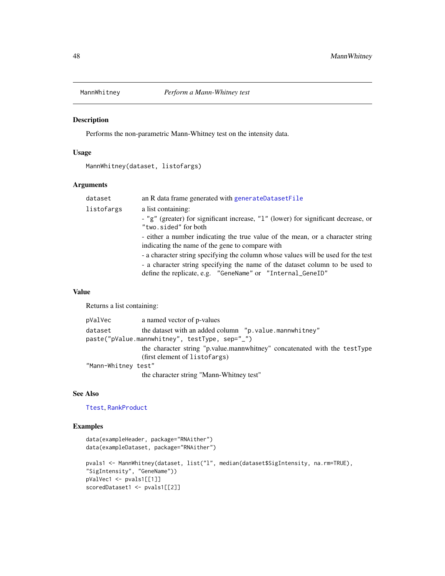<span id="page-47-0"></span>

Performs the non-parametric Mann-Whitney test on the intensity data.

# Usage

```
MannWhitney(dataset, listofargs)
```
# Arguments

| dataset    | an R data frame generated with generateDatasetFile                                 |
|------------|------------------------------------------------------------------------------------|
| listofargs | a list containing:                                                                 |
|            | - "g" (greater) for significant increase, "1" (lower) for significant decrease, or |
|            | "two.sided" for both                                                               |
|            | - either a number indicating the true value of the mean, or a character string     |
|            | indicating the name of the gene to compare with                                    |
|            | - a character string specifying the column whose values will be used for the test  |
|            | - a character string specifying the name of the dataset column to be used to       |
|            | define the replicate, e.g. "GeneName" or "Internal_GeneID"                         |

## Value

Returns a list containing:

| pValVec             | a named vector of p-values                                                |
|---------------------|---------------------------------------------------------------------------|
| dataset             | the dataset with an added column "p.value.mannwhitney"                    |
|                     | paste("pValue.mannwhitney", testType, sep="_")                            |
|                     | the character string "p.value.mannwhitney" concatenated with the testType |
|                     | (first element of listofargs)                                             |
| "Mann-Whitney test" |                                                                           |
|                     | the character string "Mann-Whitney test"                                  |

#### See Also

[Ttest](#page-80-0), [RankProduct](#page-62-0)

```
data(exampleHeader, package="RNAither")
data(exampleDataset, package="RNAither")
pvals1 <- MannWhitney(dataset, list("l", median(dataset$SigIntensity, na.rm=TRUE),
"SigIntensity", "GeneName"))
pValVec1 <- pvals1[[1]]
scoredDataset1 <- pvals1[[2]]
```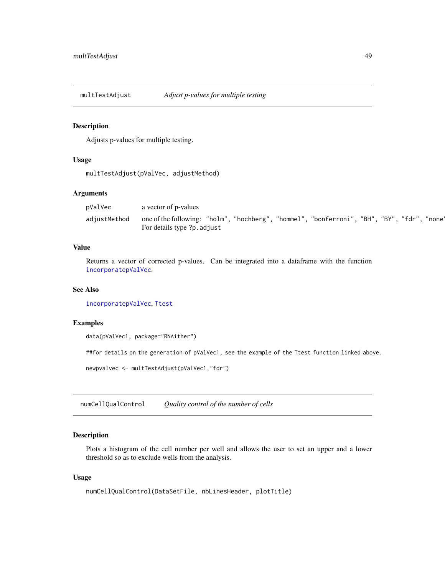multTestAdjust *Adjust p-values for multiple testing*

#### Description

Adjusts p-values for multiple testing.

# Usage

multTestAdjust(pValVec, adjustMethod)

# Arguments

| pValVec      | a vector of p-values                                                                        |
|--------------|---------------------------------------------------------------------------------------------|
| adjustMethod | one of the following: "holm", "hochberg", "hommel", "bonferroni", "BH", "BY", "fdr", "none" |
|              | For details type ?p. adjust                                                                 |

# Value

Returns a vector of corrected p-values. Can be integrated into a dataframe with the function [incorporatepValVec](#page-34-0).

## See Also

[incorporatepValVec](#page-34-0), [Ttest](#page-80-0)

# Examples

data(pValVec1, package="RNAither")

##for details on the generation of pValVec1, see the example of the Ttest function linked above.

newpvalvec <- multTestAdjust(pValVec1,"fdr")

<span id="page-48-0"></span>numCellQualControl *Quality control of the number of cells*

## Description

Plots a histogram of the cell number per well and allows the user to set an upper and a lower threshold so as to exclude wells from the analysis.

#### Usage

```
numCellQualControl(DataSetFile, nbLinesHeader, plotTitle)
```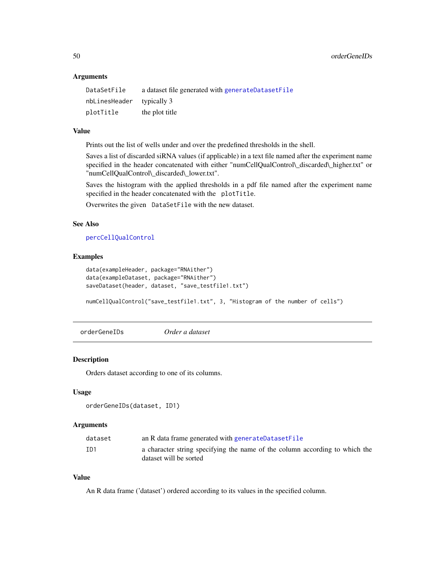50 orderGeneIDs

#### **Arguments**

| DataSetFile               | a dataset file generated with generateDatasetFile |
|---------------------------|---------------------------------------------------|
| nbLinesHeader typically 3 |                                                   |
| plotTitle                 | the plot title                                    |

# Value

Prints out the list of wells under and over the predefined thresholds in the shell.

Saves a list of discarded siRNA values (if applicable) in a text file named after the experiment name specified in the header concatenated with either "numCellQualControl\\_discarded\\_higher.txt" or "numCellQualControl\\_discarded\\_lower.txt".

Saves the histogram with the applied thresholds in a pdf file named after the experiment name specified in the header concatenated with the plotTitle.

Overwrites the given DataSetFile with the new dataset.

#### See Also

[percCellQualControl](#page-50-0)

#### Examples

```
data(exampleHeader, package="RNAither")
data(exampleDataset, package="RNAither")
saveDataset(header, dataset, "save_testfile1.txt")
```
numCellQualControl("save\_testfile1.txt", 3, "Histogram of the number of cells")

orderGeneIDs *Order a dataset*

# Description

Orders dataset according to one of its columns.

# Usage

```
orderGeneIDs(dataset, ID1)
```
# **Arguments**

| dataset | an R data frame generated with generateDatasetFile                                                    |
|---------|-------------------------------------------------------------------------------------------------------|
| ID1     | a character string specifying the name of the column according to which the<br>dataset will be sorted |

# Value

An R data frame ('dataset') ordered according to its values in the specified column.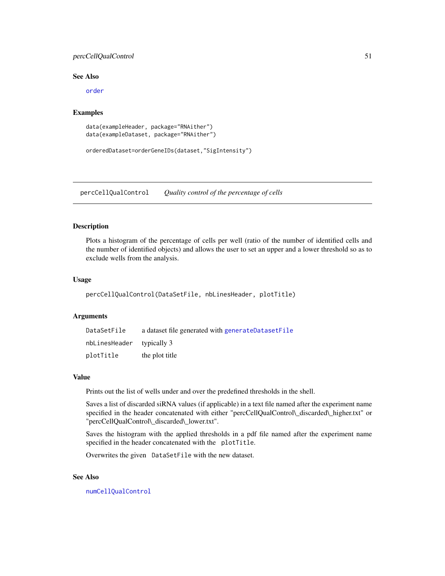# percCellQualControl 51

#### See Also

[order](#page-0-0)

## Examples

```
data(exampleHeader, package="RNAither")
data(exampleDataset, package="RNAither")
```

```
orderedDataset=orderGeneIDs(dataset,"SigIntensity")
```
<span id="page-50-0"></span>percCellQualControl *Quality control of the percentage of cells*

#### Description

Plots a histogram of the percentage of cells per well (ratio of the number of identified cells and the number of identified objects) and allows the user to set an upper and a lower threshold so as to exclude wells from the analysis.

# Usage

```
percCellQualControl(DataSetFile, nbLinesHeader, plotTitle)
```
#### Arguments

| DataSetFile               | a dataset file generated with generateDatasetFile |
|---------------------------|---------------------------------------------------|
| nbLinesHeader typically 3 |                                                   |
| plotTitle                 | the plot title                                    |

#### Value

Prints out the list of wells under and over the predefined thresholds in the shell.

Saves a list of discarded siRNA values (if applicable) in a text file named after the experiment name specified in the header concatenated with either "percCellQualControl\\_discarded\\_higher.txt" or "percCellQualControl\\_discarded\\_lower.txt".

Saves the histogram with the applied thresholds in a pdf file named after the experiment name specified in the header concatenated with the plotTitle.

Overwrites the given DataSetFile with the new dataset.

# See Also

[numCellQualControl](#page-48-0)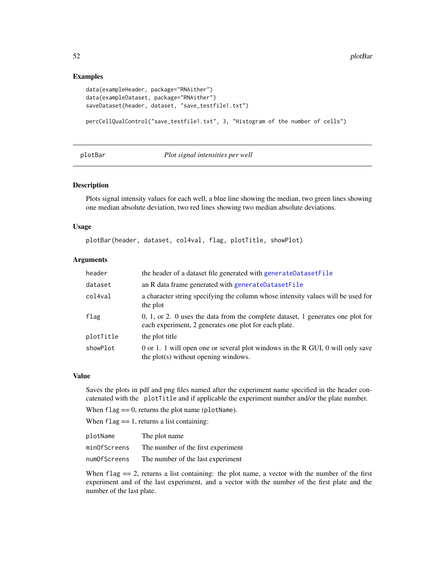## Examples

```
data(exampleHeader, package="RNAither")
data(exampleDataset, package="RNAither")
saveDataset(header, dataset, "save_testfile1.txt")
percCellQualControl("save_testfile1.txt", 3, "Histogram of the number of cells")
```
#### plotBar *Plot signal intensities per well*

#### Description

Plots signal intensity values for each well, a blue line showing the median, two green lines showing one median absolute deviation, two red lines showing two median absolute deviations.

#### Usage

plotBar(header, dataset, col4val, flag, plotTitle, showPlot)

# Arguments

| header    | the header of a dataset file generated with generateDatasetFile                                                                            |
|-----------|--------------------------------------------------------------------------------------------------------------------------------------------|
| dataset   | an R data frame generated with generateDatasetFile                                                                                         |
| col4val   | a character string specifying the column whose intensity values will be used for<br>the plot                                               |
| flag      | $0, 1,$ or 2. 0 uses the data from the complete dataset, 1 generates one plot for<br>each experiment, 2 generates one plot for each plate. |
| plotTitle | the plot title                                                                                                                             |
| showPlot  | 0 or 1. 1 will open one or several plot windows in the R GUI, 0 will only save<br>the plot(s) without opening windows.                     |

#### Value

Saves the plots in pdf and png files named after the experiment name specified in the header concatenated with the plotTitle and if applicable the experiment number and/or the plate number.

When  $flag == 0$ , returns the plot name (plotName).

When  $flag == 1$ , returns a list containing:

| plotName     | The plot name                      |
|--------------|------------------------------------|
| minOfScreens | The number of the first experiment |
| numOfScreens | The number of the last experiment  |

When  $flag = 2$ , returns a list containing: the plot name, a vector with the number of the first experiment and of the last experiment, and a vector with the number of the first plate and the number of the last plate.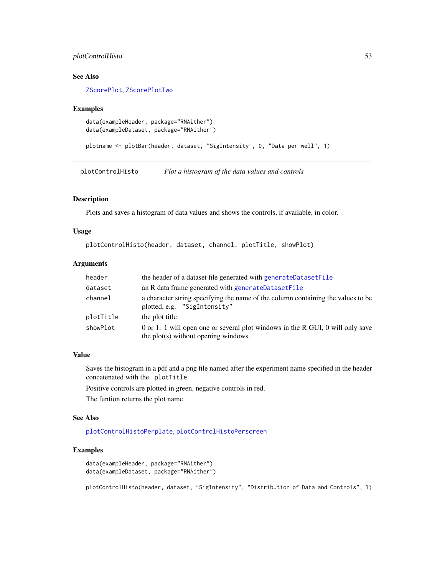# plotControlHisto 53

# See Also

[ZScorePlot](#page-87-0), [ZScorePlotTwo](#page-88-0)

#### Examples

```
data(exampleHeader, package="RNAither")
data(exampleDataset, package="RNAither")
```
plotname <- plotBar(header, dataset, "SigIntensity", 0, "Data per well", 1)

<span id="page-52-0"></span>plotControlHisto *Plot a histogram of the data values and controls*

#### Description

Plots and saves a histogram of data values and shows the controls, if available, in color.

#### Usage

```
plotControlHisto(header, dataset, channel, plotTitle, showPlot)
```
# Arguments

| header    | the header of a dataset file generated with generateDatasetFile                                                        |
|-----------|------------------------------------------------------------------------------------------------------------------------|
| dataset   | an R data frame generated with generateDatasetFile                                                                     |
| channel   | a character string specifying the name of the column containing the values to be<br>plotted, e.g. "SigIntensity"       |
| plotTitle | the plot title                                                                                                         |
| showPlot  | 0 or 1. 1 will open one or several plot windows in the R GUI, 0 will only save<br>the plot(s) without opening windows. |

#### Value

Saves the histogram in a pdf and a png file named after the experiment name specified in the header concatenated with the plotTitle.

Positive controls are plotted in green, negative controls in red.

The funtion returns the plot name.

#### See Also

[plotControlHistoPerplate](#page-53-0), [plotControlHistoPerscreen](#page-54-0)

## Examples

```
data(exampleHeader, package="RNAither")
data(exampleDataset, package="RNAither")
```
plotControlHisto(header, dataset, "SigIntensity", "Distribution of Data and Controls", 1)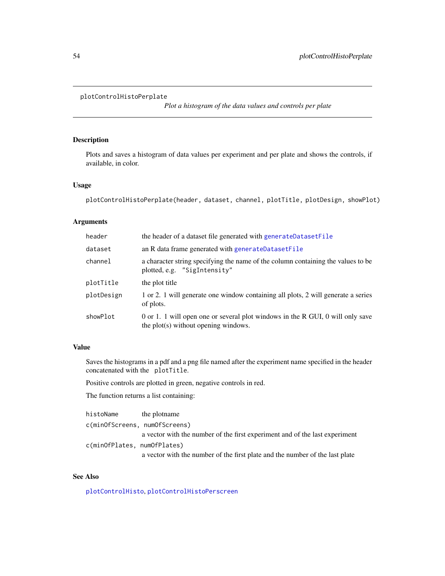#### <span id="page-53-0"></span>plotControlHistoPerplate

*Plot a histogram of the data values and controls per plate*

# Description

Plots and saves a histogram of data values per experiment and per plate and shows the controls, if available, in color.

# Usage

```
plotControlHistoPerplate(header, dataset, channel, plotTitle, plotDesign, showPlot)
```
# Arguments

| header     | the header of a dataset file generated with generateDatasetFile                                                        |
|------------|------------------------------------------------------------------------------------------------------------------------|
| dataset    | an R data frame generated with generateDatasetFile                                                                     |
| channel    | a character string specifying the name of the column containing the values to be<br>plotted, e.g. "SigIntensity"       |
| plotTitle  | the plot title                                                                                                         |
| plotDesign | 1 or 2. 1 will generate one window containing all plots, 2 will generate a series<br>of plots.                         |
| showPlot   | 0 or 1. 1 will open one or several plot windows in the R GUI, 0 will only save<br>the plot(s) without opening windows. |

# Value

Saves the histograms in a pdf and a png file named after the experiment name specified in the header concatenated with the plotTitle.

Positive controls are plotted in green, negative controls in red.

The function returns a list containing:

| histoName                     | the plotname                                                                 |
|-------------------------------|------------------------------------------------------------------------------|
| c(minOfScreens, numOfScreens) |                                                                              |
|                               | a vector with the number of the first experiment and of the last experiment  |
| c(minOfPlates, numOfPlates)   |                                                                              |
|                               | a vector with the number of the first plate and the number of the last plate |

# See Also

[plotControlHisto](#page-52-0), [plotControlHistoPerscreen](#page-54-0)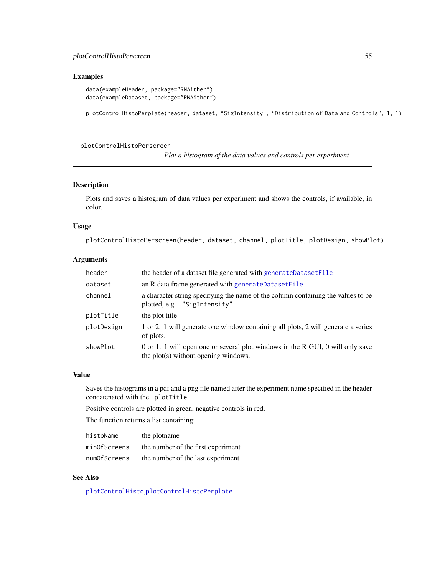#### Examples

```
data(exampleHeader, package="RNAither")
data(exampleDataset, package="RNAither")
```
plotControlHistoPerplate(header, dataset, "SigIntensity", "Distribution of Data and Controls", 1, 1)

<span id="page-54-0"></span>plotControlHistoPerscreen

*Plot a histogram of the data values and controls per experiment*

# Description

Plots and saves a histogram of data values per experiment and shows the controls, if available, in color.

#### Usage

plotControlHistoPerscreen(header, dataset, channel, plotTitle, plotDesign, showPlot)

# Arguments

| header     | the header of a dataset file generated with generateDatasetFile                                                        |
|------------|------------------------------------------------------------------------------------------------------------------------|
| dataset    | an R data frame generated with generateDatasetFile                                                                     |
| channel    | a character string specifying the name of the column containing the values to be<br>plotted, e.g. "SigIntensity"       |
| plotTitle  | the plot title                                                                                                         |
| plotDesign | 1 or 2. 1 will generate one window containing all plots, 2 will generate a series<br>of plots.                         |
| showPlot   | 0 or 1. 1 will open one or several plot windows in the R GUI, 0 will only save<br>the plot(s) without opening windows. |

# Value

Saves the histograms in a pdf and a png file named after the experiment name specified in the header concatenated with the plotTitle.

Positive controls are plotted in green, negative controls in red.

The function returns a list containing:

| histoName    | the plotname                       |
|--------------|------------------------------------|
| minOfScreens | the number of the first experiment |
| numOfScreens | the number of the last experiment  |

#### See Also

[plotControlHisto](#page-52-0),[plotControlHistoPerplate](#page-53-0)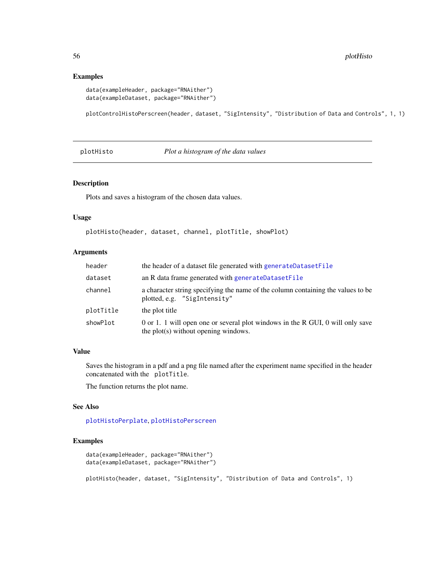#### Examples

```
data(exampleHeader, package="RNAither")
data(exampleDataset, package="RNAither")
```
plotControlHistoPerscreen(header, dataset, "SigIntensity", "Distribution of Data and Controls", 1, 1)

<span id="page-55-0"></span>plotHisto *Plot a histogram of the data values*

#### Description

Plots and saves a histogram of the chosen data values.

#### Usage

```
plotHisto(header, dataset, channel, plotTitle, showPlot)
```
# Arguments

| header    | the header of a dataset file generated with generateDatasetFile                                                        |
|-----------|------------------------------------------------------------------------------------------------------------------------|
| dataset   | an R data frame generated with generateDatasetFile                                                                     |
| channel   | a character string specifying the name of the column containing the values to be<br>plotted, e.g. "SigIntensity"       |
| plotTitle | the plot title                                                                                                         |
| showPlot  | 0 or 1. 1 will open one or several plot windows in the R GUI, 0 will only save<br>the plot(s) without opening windows. |

## Value

Saves the histogram in a pdf and a png file named after the experiment name specified in the header concatenated with the plotTitle.

The function returns the plot name.

#### See Also

[plotHistoPerplate](#page-56-0), [plotHistoPerscreen](#page-57-0)

```
data(exampleHeader, package="RNAither")
data(exampleDataset, package="RNAither")
plotHisto(header, dataset, "SigIntensity", "Distribution of Data and Controls", 1)
```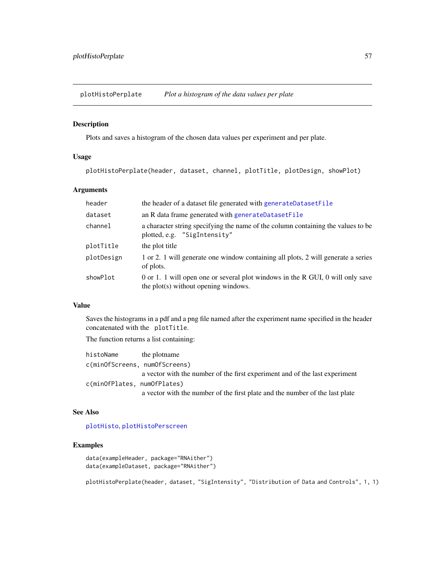<span id="page-56-0"></span>plotHistoPerplate *Plot a histogram of the data values per plate*

# Description

Plots and saves a histogram of the chosen data values per experiment and per plate.

#### Usage

plotHistoPerplate(header, dataset, channel, plotTitle, plotDesign, showPlot)

# Arguments

| header     | the header of a dataset file generated with generateDatasetFile                                                        |
|------------|------------------------------------------------------------------------------------------------------------------------|
| dataset    | an R data frame generated with generateDatasetFile                                                                     |
| channel    | a character string specifying the name of the column containing the values to be<br>plotted, e.g. "SigIntensity"       |
| plotTitle  | the plot title                                                                                                         |
| plotDesign | 1 or 2. 1 will generate one window containing all plots, 2 will generate a series<br>of plots.                         |
| showPlot   | 0 or 1. 1 will open one or several plot windows in the R GUI, 0 will only save<br>the plot(s) without opening windows. |

# Value

Saves the histograms in a pdf and a png file named after the experiment name specified in the header concatenated with the plotTitle.

The function returns a list containing:

| histoName                     | the plotname                                                                 |
|-------------------------------|------------------------------------------------------------------------------|
| c(minOfScreens, numOfScreens) |                                                                              |
|                               | a vector with the number of the first experiment and of the last experiment  |
| c(minOfPlates, numOfPlates)   |                                                                              |
|                               | a vector with the number of the first plate and the number of the last plate |

# See Also

[plotHisto](#page-55-0), [plotHistoPerscreen](#page-57-0)

# Examples

```
data(exampleHeader, package="RNAither")
data(exampleDataset, package="RNAither")
```
plotHistoPerplate(header, dataset, "SigIntensity", "Distribution of Data and Controls", 1, 1)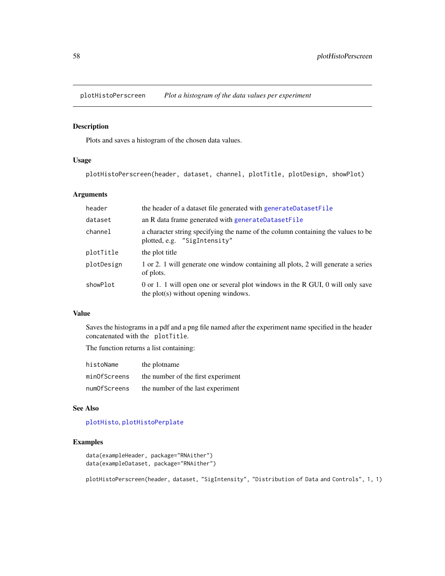<span id="page-57-0"></span>plotHistoPerscreen *Plot a histogram of the data values per experiment*

#### Description

Plots and saves a histogram of the chosen data values.

# Usage

plotHistoPerscreen(header, dataset, channel, plotTitle, plotDesign, showPlot)

# Arguments

| header     | the header of a dataset file generated with generateDatasetFile                                                        |
|------------|------------------------------------------------------------------------------------------------------------------------|
| dataset    | an R data frame generated with generateDatasetFile                                                                     |
| channel    | a character string specifying the name of the column containing the values to be<br>plotted, e.g. "SigIntensity"       |
| plotTitle  | the plot title                                                                                                         |
| plotDesign | 1 or 2. 1 will generate one window containing all plots, 2 will generate a series<br>of plots.                         |
| showPlot   | 0 or 1. 1 will open one or several plot windows in the R GUI, 0 will only save<br>the plot(s) without opening windows. |

#### Value

Saves the histograms in a pdf and a png file named after the experiment name specified in the header concatenated with the plotTitle.

The function returns a list containing:

| histoName    | the plotname                       |
|--------------|------------------------------------|
| minOfScreens | the number of the first experiment |
| numOfScreens | the number of the last experiment  |

## See Also

#### [plotHisto](#page-55-0), [plotHistoPerplate](#page-56-0)

# Examples

```
data(exampleHeader, package="RNAither")
data(exampleDataset, package="RNAither")
```
plotHistoPerscreen(header, dataset, "SigIntensity", "Distribution of Data and Controls", 1, 1)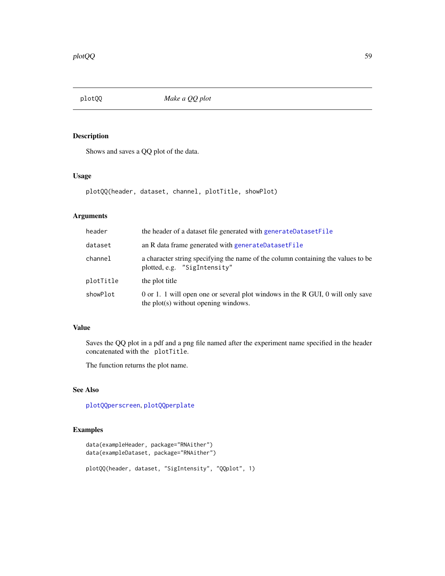<span id="page-58-0"></span>

Shows and saves a QQ plot of the data.

# Usage

plotQQ(header, dataset, channel, plotTitle, showPlot)

# Arguments

| header    | the header of a dataset file generated with generateDatasetFile                                                        |  |
|-----------|------------------------------------------------------------------------------------------------------------------------|--|
| dataset   | an R data frame generated with generateDatasetFile                                                                     |  |
| channel   | a character string specifying the name of the column containing the values to be<br>plotted, e.g. "SigIntensity"       |  |
| plotTitle | the plot title                                                                                                         |  |
| showPlot  | 0 or 1. 1 will open one or several plot windows in the R GUI, 0 will only save<br>the plot(s) without opening windows. |  |

## Value

Saves the QQ plot in a pdf and a png file named after the experiment name specified in the header concatenated with the plotTitle.

The function returns the plot name.

# See Also

[plotQQperscreen](#page-60-0), [plotQQperplate](#page-59-0)

```
data(exampleHeader, package="RNAither")
data(exampleDataset, package="RNAither")
plotQQ(header, dataset, "SigIntensity", "QQplot", 1)
```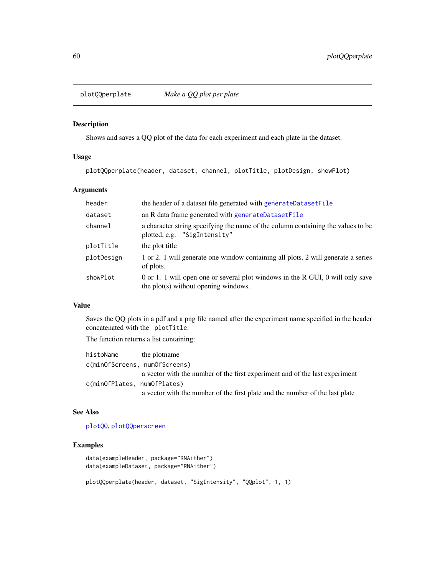<span id="page-59-0"></span>

Shows and saves a QQ plot of the data for each experiment and each plate in the dataset.

### Usage

plotQQperplate(header, dataset, channel, plotTitle, plotDesign, showPlot)

# Arguments

| header     | the header of a dataset file generated with generateDatasetFile                                                        |
|------------|------------------------------------------------------------------------------------------------------------------------|
| dataset    | an R data frame generated with generateDatasetFile                                                                     |
| channel    | a character string specifying the name of the column containing the values to be<br>plotted, e.g. "SigIntensity"       |
| plotTitle  | the plot title                                                                                                         |
| plotDesign | 1 or 2. 1 will generate one window containing all plots, 2 will generate a series<br>of plots.                         |
| showPlot   | 0 or 1. 1 will open one or several plot windows in the R GUI, 0 will only save<br>the plot(s) without opening windows. |

# Value

Saves the QQ plots in a pdf and a png file named after the experiment name specified in the header concatenated with the plotTitle.

The function returns a list containing:

| histoName                     | the plotname                                                                 |
|-------------------------------|------------------------------------------------------------------------------|
| c(minOfScreens, numOfScreens) |                                                                              |
|                               | a vector with the number of the first experiment and of the last experiment  |
| c(minOfPlates, numOfPlates)   |                                                                              |
|                               | a vector with the number of the first plate and the number of the last plate |

# See Also

[plotQQ](#page-58-0), [plotQQperscreen](#page-60-0)

# Examples

```
data(exampleHeader, package="RNAither")
data(exampleDataset, package="RNAither")
```
plotQQperplate(header, dataset, "SigIntensity", "QQplot", 1, 1)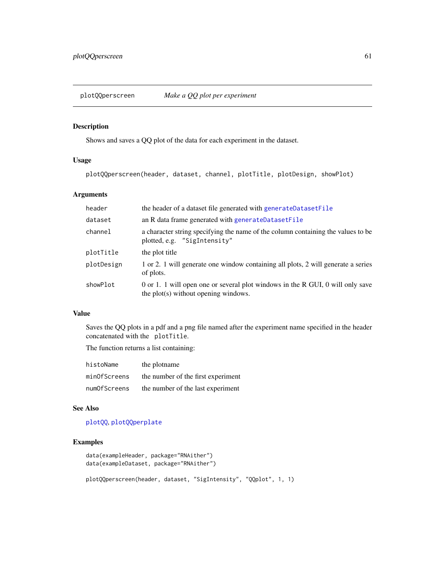<span id="page-60-0"></span>

Shows and saves a QQ plot of the data for each experiment in the dataset.

# Usage

plotQQperscreen(header, dataset, channel, plotTitle, plotDesign, showPlot)

# Arguments

| header     | the header of a dataset file generated with generateDatasetFile                                                        |
|------------|------------------------------------------------------------------------------------------------------------------------|
| dataset    | an R data frame generated with generateDatasetFile                                                                     |
| channel    | a character string specifying the name of the column containing the values to be<br>plotted, e.g. "SigIntensity"       |
| plotTitle  | the plot title                                                                                                         |
| plotDesign | 1 or 2. 1 will generate one window containing all plots, 2 will generate a series<br>of plots.                         |
| showPlot   | 0 or 1. 1 will open one or several plot windows in the R GUI, 0 will only save<br>the plot(s) without opening windows. |

#### Value

Saves the QQ plots in a pdf and a png file named after the experiment name specified in the header concatenated with the plotTitle.

The function returns a list containing:

| histoName    | the plotname                       |
|--------------|------------------------------------|
| minOfScreens | the number of the first experiment |
| numOfScreens | the number of the last experiment  |

#### See Also

#### [plotQQ](#page-58-0), [plotQQperplate](#page-59-0)

```
data(exampleHeader, package="RNAither")
data(exampleDataset, package="RNAither")
plotQQperscreen(header, dataset, "SigIntensity", "QQplot", 1, 1)
```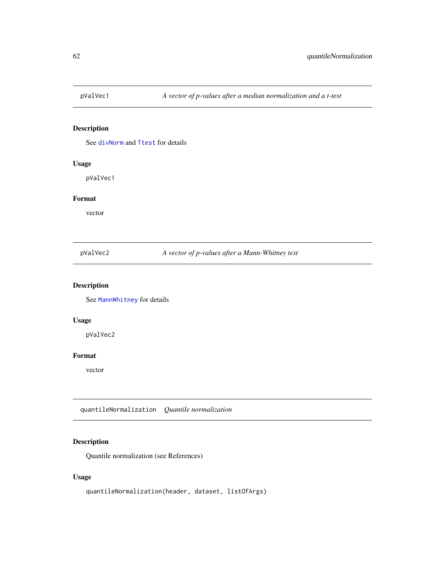See [divNorm](#page-19-0) and [Ttest](#page-80-0) for details

# Usage

pValVec1

#### Format

vector

pValVec2 *A vector of p-values after a Mann-Whitney test*

# Description

See [MannWhitney](#page-47-0) for details

# Usage

pValVec2

# Format

vector

<span id="page-61-0"></span>quantileNormalization *Quantile normalization*

# Description

Quantile normalization (see References)

# Usage

quantileNormalization(header, dataset, listOfArgs)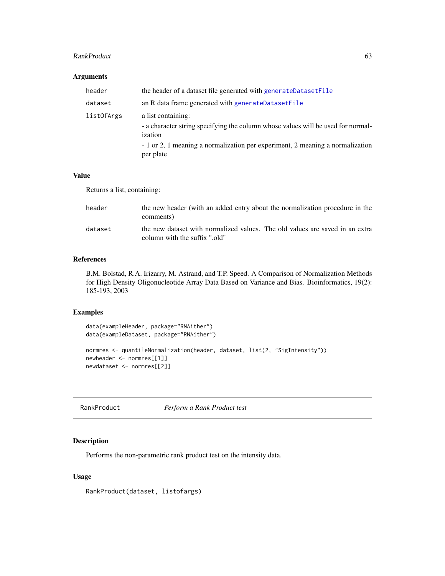#### RankProduct 63

## Arguments

| header     | the header of a dataset file generated with generateDatasetFile                                                   |
|------------|-------------------------------------------------------------------------------------------------------------------|
| dataset    | an R data frame generated with generateDatasetFile                                                                |
| listOfArgs | a list containing:<br>- a character string specifying the column whose values will be used for normal-<br>ization |
|            | - 1 or 2, 1 meaning a normalization per experiment, 2 meaning a normalization<br>per plate                        |

### Value

Returns a list, containing:

| header  | the new header (with an added entry about the normalization procedure in the<br>comments)                     |
|---------|---------------------------------------------------------------------------------------------------------------|
| dataset | the new dataset with normalized values. The old values are saved in an extra<br>column with the suffix ".old" |

# References

B.M. Bolstad, R.A. Irizarry, M. Astrand, and T.P. Speed. A Comparison of Normalization Methods for High Density Oligonucleotide Array Data Based on Variance and Bias. Bioinformatics, 19(2): 185-193, 2003

# Examples

```
data(exampleHeader, package="RNAither")
data(exampleDataset, package="RNAither")
normres <- quantileNormalization(header, dataset, list(2, "SigIntensity"))
newheader <- normres[[1]]
newdataset <- normres[[2]]
```
<span id="page-62-0"></span>RankProduct *Perform a Rank Product test*

## Description

Performs the non-parametric rank product test on the intensity data.

# Usage

RankProduct(dataset, listofargs)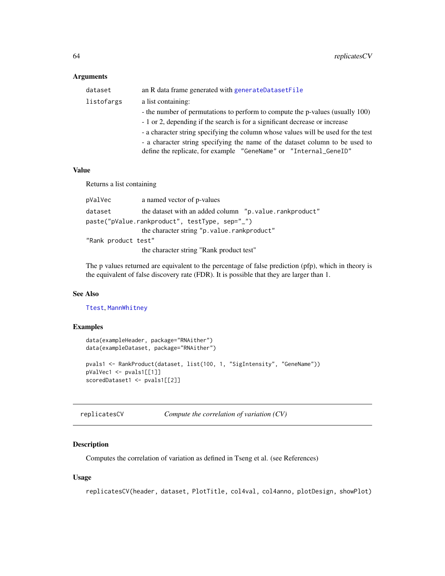# Arguments

| dataset    | an R data frame generated with generateDatasetFile                                |
|------------|-----------------------------------------------------------------------------------|
| listofargs | a list containing:                                                                |
|            | - the number of permutations to perform to compute the p-values (usually 100)     |
|            | - 1 or 2, depending if the search is for a significant decrease or increase       |
|            | - a character string specifying the column whose values will be used for the test |
|            | - a character string specifying the name of the dataset column to be used to      |
|            | define the replicate, for example "GeneName" or "Internal_GeneID"                 |

#### Value

Returns a list containing

| pValVec             | a named vector of p-values                               |  |
|---------------------|----------------------------------------------------------|--|
| dataset             | the dataset with an added column "p. value. rankproduct" |  |
|                     | paste("pValue.rankproduct", testType, sep="_")           |  |
|                     | the character string "p.value.rankproduct"               |  |
| "Rank product test" |                                                          |  |
|                     | the character string "Rank product test"                 |  |
|                     |                                                          |  |

The p values returned are equivalent to the percentage of false prediction (pfp), which in theory is the equivalent of false discovery rate (FDR). It is possible that they are larger than 1.

#### See Also

[Ttest](#page-80-0), [MannWhitney](#page-47-0)

# Examples

```
data(exampleHeader, package="RNAither")
data(exampleDataset, package="RNAither")
pvals1 <- RankProduct(dataset, list(100, 1, "SigIntensity", "GeneName"))
pValVec1 <- pvals1[[1]]
scoredDataset1 <- pvals1[[2]]
```
replicatesCV *Compute the correlation of variation (CV)*

# Description

Computes the correlation of variation as defined in Tseng et al. (see References)

#### Usage

replicatesCV(header, dataset, PlotTitle, col4val, col4anno, plotDesign, showPlot)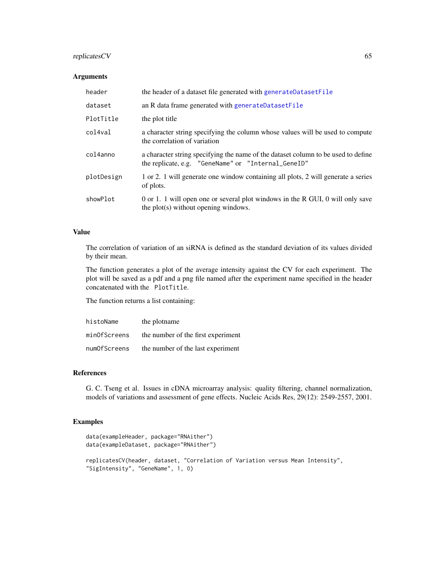# replicatesCV 65

# Arguments

| header     | the header of a dataset file generated with generateDatasetFile                                                                          |
|------------|------------------------------------------------------------------------------------------------------------------------------------------|
| dataset    | an R data frame generated with generateDatasetFile                                                                                       |
| PlotTitle  | the plot title                                                                                                                           |
| col4val    | a character string specifying the column whose values will be used to compute<br>the correlation of variation                            |
| col4anno   | a character string specifying the name of the dataset column to be used to define<br>the replicate, e.g. "GeneName" or "Internal_GeneID" |
| plotDesign | 1 or 2. 1 will generate one window containing all plots, 2 will generate a series<br>of plots.                                           |
| showPlot   | 0 or 1. 1 will open one or several plot windows in the R GUI, 0 will only save<br>the plot(s) without opening windows.                   |

## Value

The correlation of variation of an siRNA is defined as the standard deviation of its values divided by their mean.

The function generates a plot of the average intensity against the CV for each experiment. The plot will be saved as a pdf and a png file named after the experiment name specified in the header concatenated with the PlotTitle.

The function returns a list containing:

| histoName    | the plotname                       |
|--------------|------------------------------------|
| minOfScreens | the number of the first experiment |
| numOfScreens | the number of the last experiment  |

## References

G. C. Tseng et al. Issues in cDNA microarray analysis: quality filtering, channel normalization, models of variations and assessment of gene effects. Nucleic Acids Res, 29(12): 2549-2557, 2001.

```
data(exampleHeader, package="RNAither")
data(exampleDataset, package="RNAither")
replicatesCV(header, dataset, "Correlation of Variation versus Mean Intensity",
"SigIntensity", "GeneName", 1, 0)
```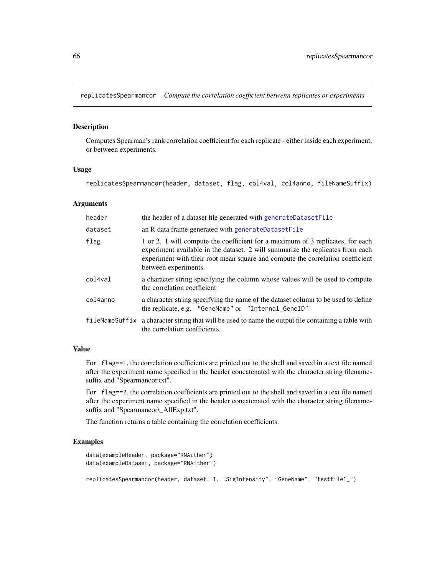replicatesSpearmancor *Compute the correlation coefficient betwenn replicates or experiments*

#### Description

Computes Spearman's rank correlation coefficient for each replicate - either inside each experiment, or between experiments.

#### Usage

replicatesSpearmancor(header, dataset, flag, col4val, col4anno, fileNameSuffix)

#### Arguments

| header   | the header of a dataset file generated with generateDatasetFile                                                                                                                                                                                                            |
|----------|----------------------------------------------------------------------------------------------------------------------------------------------------------------------------------------------------------------------------------------------------------------------------|
| dataset  | an R data frame generated with generateDatasetFile                                                                                                                                                                                                                         |
| flag     | 1 or 2. 1 will compute the coefficient for a maximum of 3 replicates, for each<br>experiment available in the dataset. 2 will summarize the replicates from each<br>experiment with their root mean square and compute the correlation coefficient<br>between experiments. |
| col4val  | a character string specifying the column whose values will be used to compute<br>the correlation coefficient                                                                                                                                                               |
| col4anno | a character string specifying the name of the dataset column to be used to define<br>the replicate, e.g. "GeneName" or "Internal_GeneID"                                                                                                                                   |
|          | fileNameSuffix a character string that will be used to name the output file containing a table with<br>the correlation coefficients.                                                                                                                                       |

#### Value

For flag==1, the correlation coefficients are printed out to the shell and saved in a text file named after the experiment name specified in the header concatenated with the character string filenamesuffix and "Spearmancor.txt".

For flag==2, the correlation coefficients are printed out to the shell and saved in a text file named after the experiment name specified in the header concatenated with the character string filenamesuffix and "Spearmancor\\_AllExp.txt".

The function returns a table containing the correlation coefficients.

```
data(exampleHeader, package="RNAither")
data(exampleDataset, package="RNAither")
replicatesSpearmancor(header, dataset, 1, "SigIntensity", "GeneName", "testfile1_")
```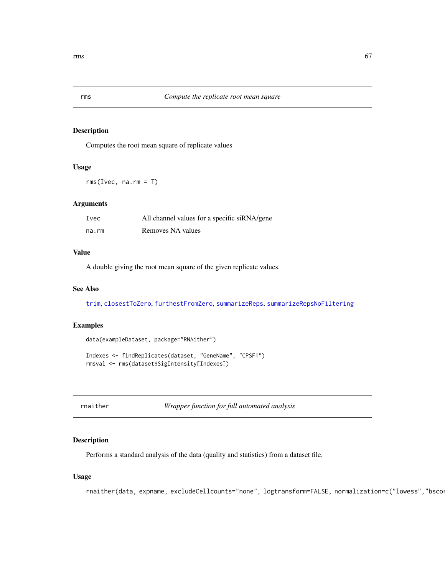Computes the root mean square of replicate values

# Usage

 $rms(Ivec, na.rm = T)$ 

# Arguments

| Ivec  | All channel values for a specific siRNA/gene |
|-------|----------------------------------------------|
| na.rm | Removes NA values                            |

# Value

A double giving the root mean square of the given replicate values.

#### See Also

[trim](#page-79-0), [closestToZero](#page-5-0), [furthestFromZero](#page-22-0), [summarizeReps](#page-77-0), [summarizeRepsNoFiltering](#page-78-0)

# Examples

```
data(exampleDataset, package="RNAither")
```

```
Indexes <- findReplicates(dataset, "GeneName", "CPSF1")
rmsval <- rms(dataset$SigIntensity[Indexes])
```
rnaither *Wrapper function for full automated analysis*

# Description

Performs a standard analysis of the data (quality and statistics) from a dataset file.

# Usage

rnaither(data, expname, excludeCellcounts="none", logtransform=FALSE, normalization=c("lowess","bsco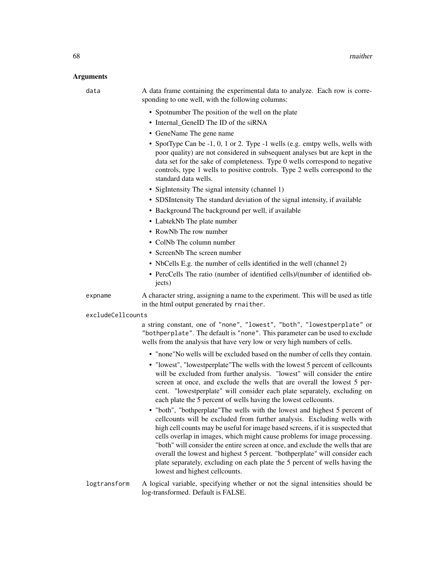#### Arguments

data A data frame containing the experimental data to analyze. Each row is corresponding to one well, with the following columns:

- Spotnumber The position of the well on the plate
- Internal GeneID The ID of the siRNA
- GeneName The gene name
- SpotType Can be -1, 0, 1 or 2. Type -1 wells (e.g. emtpy wells, wells with poor quality) are not considered in subsequent analyses but are kept in the data set for the sake of completeness. Type 0 wells correspond to negative controls, type 1 wells to positive controls. Type 2 wells correspond to the standard data wells.
- SigIntensity The signal intensity (channel 1)
- SDSIntensity The standard deviation of the signal intensity, if available
- Background The background per well, if available
- LabtekNb The plate number
- RowNb The row number
- ColNb The column number
- ScreenNb The screen number
- NbCells E.g. the number of cells identified in the well (channel 2)
- PercCells The ratio (number of identified cells)/(number of identified objects)
- expname A character string, assigning a name to the experiment. This will be used as title in the html output generated by rnaither.
- excludeCellcounts

a string constant, one of "none", "lowest", "both", "lowestperplate" or "bothperplate". The default is "none". This parameter can be used to exclude wells from the analysis that have very low or very high numbers of cells.

- "none"No wells will be excluded based on the number of cells they contain.
- "lowest", "lowestperplate"The wells with the lowest 5 percent of cellcounts will be excluded from further analysis. "lowest" will consider the entire screen at once, and exclude the wells that are overall the lowest 5 percent. "lowestperplate" will consider each plate separately, excluding on each plate the 5 percent of wells having the lowest cellcounts.
- "both", "bothperplate"The wells with the lowest and highest 5 percent of cellcounts will be excluded from further analysis. Excluding wells with high cell counts may be useful for image based screens, if it is suspected that cells overlap in images, which might cause problems for image processing. "both" will consider the entire screen at once, and exclude the wells that are overall the lowest and highest 5 percent. "bothperplate" will consider each plate separately, excluding on each plate the 5 percent of wells having the lowest and highest cellcounts.
- logtransform A logical variable, specifying whether or not the signal intensities should be log-transformed. Default is FALSE.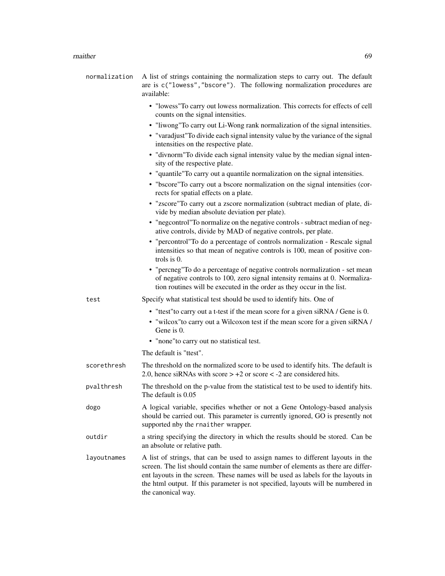#### rnaither **69**

| normalization | A list of strings containing the normalization steps to carry out. The default<br>are is c("lowess", "bscore"). The following normalization procedures are<br>available:                                                                                                                                                                                          |
|---------------|-------------------------------------------------------------------------------------------------------------------------------------------------------------------------------------------------------------------------------------------------------------------------------------------------------------------------------------------------------------------|
|               | • "lowess" To carry out lowess normalization. This corrects for effects of cell<br>counts on the signal intensities.                                                                                                                                                                                                                                              |
|               | • "liwong"To carry out Li-Wong rank normalization of the signal intensities.                                                                                                                                                                                                                                                                                      |
|               | • "varadjust" To divide each signal intensity value by the variance of the signal<br>intensities on the respective plate.                                                                                                                                                                                                                                         |
|               | • "divnorm" To divide each signal intensity value by the median signal inten-<br>sity of the respective plate.                                                                                                                                                                                                                                                    |
|               | • "quantile"To carry out a quantile normalization on the signal intensities.                                                                                                                                                                                                                                                                                      |
|               | • "bscore"To carry out a bscore normalization on the signal intensities (cor-<br>rects for spatial effects on a plate.                                                                                                                                                                                                                                            |
|               | · "zscore"To carry out a zscore normalization (subtract median of plate, di-<br>vide by median absolute deviation per plate).                                                                                                                                                                                                                                     |
|               | • "negcontrol"To normalize on the negative controls - subtract median of neg-<br>ative controls, divide by MAD of negative controls, per plate.                                                                                                                                                                                                                   |
|               | • "percontrol"To do a percentage of controls normalization - Rescale signal<br>intensities so that mean of negative controls is 100, mean of positive con-<br>trols is 0.                                                                                                                                                                                         |
|               | • "percneg"To do a percentage of negative controls normalization - set mean<br>of negative controls to 100, zero signal intensity remains at 0. Normaliza-<br>tion routines will be executed in the order as they occur in the list.                                                                                                                              |
| test          | Specify what statistical test should be used to identify hits. One of                                                                                                                                                                                                                                                                                             |
|               | • "ttest" to carry out a t-test if the mean score for a given siRNA / Gene is 0.                                                                                                                                                                                                                                                                                  |
|               | • "wilcox" to carry out a Wilcoxon test if the mean score for a given siRNA /<br>Gene is 0.                                                                                                                                                                                                                                                                       |
|               | • "none"to carry out no statistical test.                                                                                                                                                                                                                                                                                                                         |
|               | The default is "ttest".                                                                                                                                                                                                                                                                                                                                           |
| scorethresh   | The threshold on the normalized score to be used to identify hits. The default is<br>2.0, hence siRNAs with score $> +2$ or score $< -2$ are considered hits.                                                                                                                                                                                                     |
| pvalthresh    | The threshold on the p-value from the statistical test to be used to identify hits.<br>The default is 0.05                                                                                                                                                                                                                                                        |
| dogo          | A logical variable, specifies whether or not a Gene Ontology-based analysis<br>should be carried out. This parameter is currently ignored, GO is presently not<br>supported nby the rnaither wrapper.                                                                                                                                                             |
| outdir        | a string specifying the directory in which the results should be stored. Can be<br>an absolute or relative path.                                                                                                                                                                                                                                                  |
| layoutnames   | A list of strings, that can be used to assign names to different layouts in the<br>screen. The list should contain the same number of elements as there are differ-<br>ent layouts in the screen. These names will be used as labels for the layouts in<br>the html output. If this parameter is not specified, layouts will be numbered in<br>the canonical way. |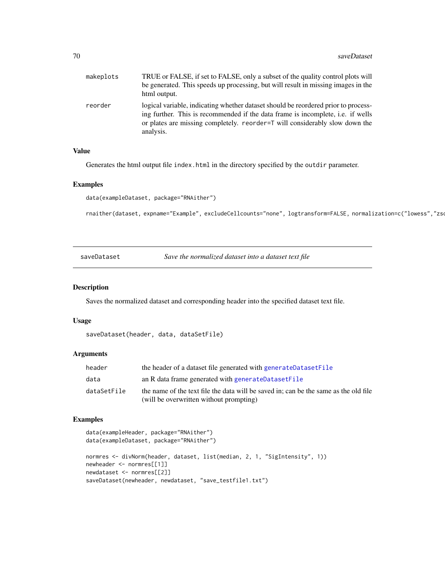| makeplots | TRUE or FALSE, if set to FALSE, only a subset of the quality control plots will<br>be generated. This speeds up processing, but will result in missing images in the<br>html output.                                                                              |
|-----------|-------------------------------------------------------------------------------------------------------------------------------------------------------------------------------------------------------------------------------------------------------------------|
| reorder   | logical variable, indicating whether dataset should be reordered prior to process-<br>ing further. This is recommended if the data frame is incomplete, i.e. if wells<br>or plates are missing completely. reorder=T will considerably slow down the<br>analysis. |

#### Value

Generates the html output file index.html in the directory specified by the outdir parameter.

#### Examples

```
data(exampleDataset, package="RNAither")
```
rnaither(dataset, expname="Example", excludeCellcounts="none", logtransform=FALSE, normalization=c("lowess","zso

saveDataset *Save the normalized dataset into a dataset text file*

#### Description

Saves the normalized dataset and corresponding header into the specified dataset text file.

#### Usage

```
saveDataset(header, data, dataSetFile)
```
#### Arguments

| header      | the header of a dataset file generated with generateDatasetFile                                                                 |
|-------------|---------------------------------------------------------------------------------------------------------------------------------|
| data        | an R data frame generated with generateDatasetFile                                                                              |
| dataSetFile | the name of the text file the data will be saved in; can be the same as the old file<br>(will be overwritten without prompting) |

```
data(exampleHeader, package="RNAither")
data(exampleDataset, package="RNAither")
normres <- divNorm(header, dataset, list(median, 2, 1, "SigIntensity", 1))
newheader <- normres[[1]]
newdataset <- normres[[2]]
saveDataset(newheader, newdataset, "save_testfile1.txt")
```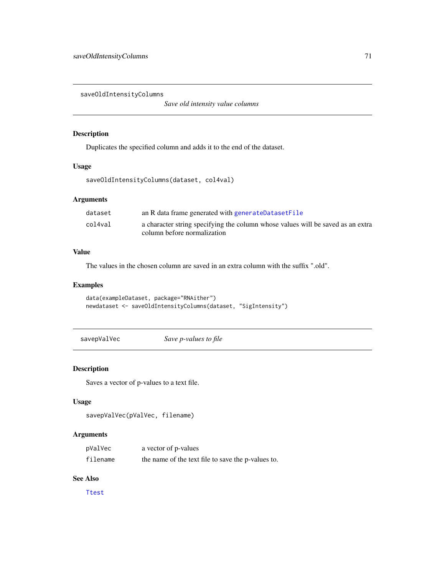saveOldIntensityColumns

*Save old intensity value columns*

## Description

Duplicates the specified column and adds it to the end of the dataset.

#### Usage

saveOldIntensityColumns(dataset, col4val)

# Arguments

| dataset | an R data frame generated with generateDatasetFile                              |
|---------|---------------------------------------------------------------------------------|
| col4val | a character string specifying the column whose values will be saved as an extra |
|         | column before normalization                                                     |

# Value

The values in the chosen column are saved in an extra column with the suffix ".old".

#### Examples

```
data(exampleDataset, package="RNAither")
newdataset <- saveOldIntensityColumns(dataset, "SigIntensity")
```
savepValVec *Save p-values to file*

## Description

Saves a vector of p-values to a text file.

# Usage

```
savepValVec(pValVec, filename)
```
# Arguments

| pValVec  | a vector of p-values                               |
|----------|----------------------------------------------------|
| filename | the name of the text file to save the p-values to. |

# See Also

[Ttest](#page-80-0)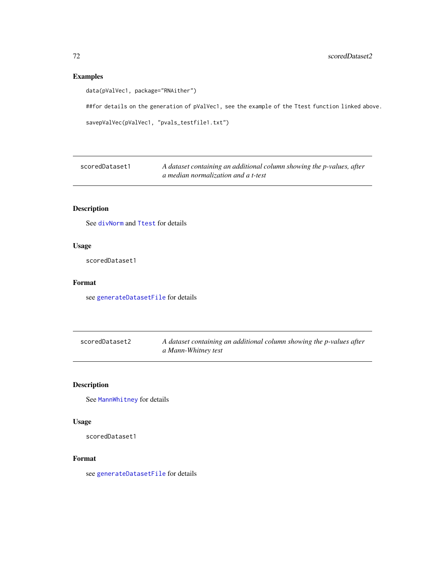# Examples

data(pValVec1, package="RNAither")

##for details on the generation of pValVec1, see the example of the Ttest function linked above.

```
savepValVec(pValVec1, "pvals_testfile1.txt")
```

| scoredDataset1 | A dataset containing an additional column showing the p-values, after |
|----------------|-----------------------------------------------------------------------|
|                | a median normalization and a t-test                                   |

# Description

See [divNorm](#page-19-0) and [Ttest](#page-80-0) for details

# Usage

scoredDataset1

# Format

see [generateDatasetFile](#page-23-0) for details

| scoredDataset2 | A dataset containing an additional column showing the p-values after |
|----------------|----------------------------------------------------------------------|
|                | a Mann-Whitney test                                                  |

# Description

See [MannWhitney](#page-47-0) for details

# Usage

scoredDataset1

#### Format

see [generateDatasetFile](#page-23-0) for details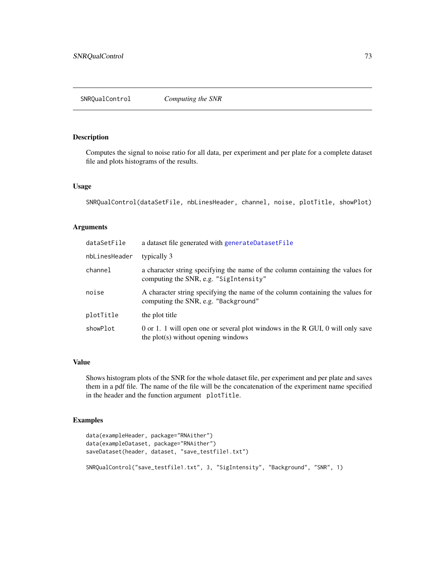<span id="page-72-0"></span>Computes the signal to noise ratio for all data, per experiment and per plate for a complete dataset file and plots histograms of the results.

#### Usage

```
SNRQualControl(dataSetFile, nbLinesHeader, channel, noise, plotTitle, showPlot)
```
# Arguments

| dataSetFile   | a dataset file generated with generateDatasetFile                                                                        |
|---------------|--------------------------------------------------------------------------------------------------------------------------|
| nbLinesHeader | typically 3                                                                                                              |
| channel       | a character string specifying the name of the column containing the values for<br>computing the SNR, e.g. "SigIntensity" |
| noise         | A character string specifying the name of the column containing the values for<br>computing the SNR, e.g. "Background"   |
| plotTitle     | the plot title                                                                                                           |
| showPlot      | 0 or 1. 1 will open one or several plot windows in the R GUI, 0 will only save<br>the plot(s) without opening windows    |

#### Value

Shows histogram plots of the SNR for the whole dataset file, per experiment and per plate and saves them in a pdf file. The name of the file will be the concatenation of the experiment name specified in the header and the function argument plotTitle.

```
data(exampleHeader, package="RNAither")
data(exampleDataset, package="RNAither")
saveDataset(header, dataset, "save_testfile1.txt")
SNRQualControl("save_testfile1.txt", 3, "SigIntensity", "Background", "SNR", 1)
```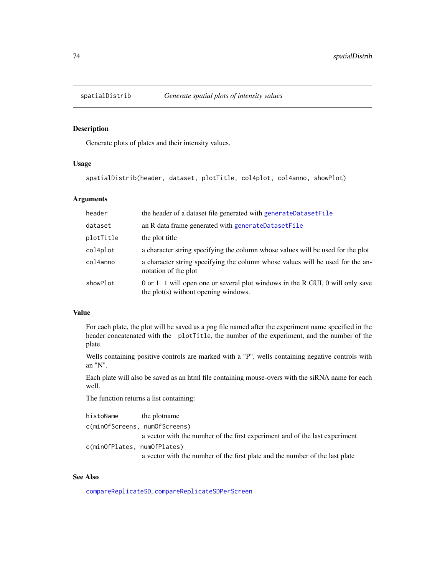<span id="page-73-0"></span>

Generate plots of plates and their intensity values.

# Usage

spatialDistrib(header, dataset, plotTitle, col4plot, col4anno, showPlot)

#### Arguments

| header    | the header of a dataset file generated with generateDatasetFile                                                        |
|-----------|------------------------------------------------------------------------------------------------------------------------|
| dataset   | an R data frame generated with generateDatasetFile                                                                     |
| plotTitle | the plot title                                                                                                         |
| col4plot  | a character string specifying the column whose values will be used for the plot                                        |
| col4anno  | a character string specifying the column whose values will be used for the an-<br>notation of the plot                 |
| showPlot  | 0 or 1. 1 will open one or several plot windows in the R GUI, 0 will only save<br>the plot(s) without opening windows. |

#### Value

For each plate, the plot will be saved as a png file named after the experiment name specified in the header concatenated with the plotTitle, the number of the experiment, and the number of the plate.

Wells containing positive controls are marked with a "P", wells containing negative controls with an "N".

Each plate will also be saved as an html file containing mouse-overs with the siRNA name for each well.

The function returns a list containing:

| histoName                     | the plotname                                                                 |
|-------------------------------|------------------------------------------------------------------------------|
| c(minOfScreens, numOfScreens) |                                                                              |
|                               | a vector with the number of the first experiment and of the last experiment  |
| c(minOfPlates, numOfPlates)   |                                                                              |
|                               | a vector with the number of the first plate and the number of the last plate |

# See Also

[compareReplicateSD](#page-9-0), [compareReplicateSDPerScreen](#page-10-0)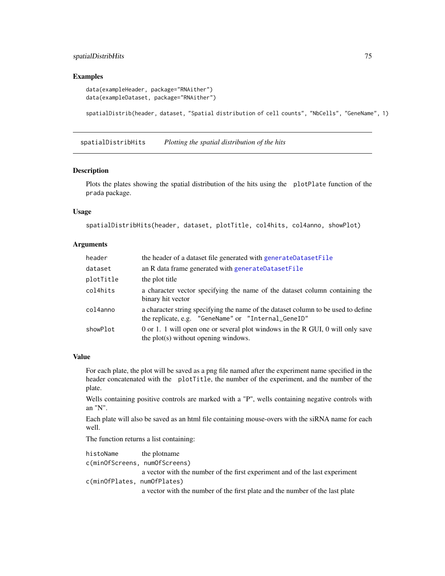# <span id="page-74-0"></span>spatialDistribHits 75

#### Examples

```
data(exampleHeader, package="RNAither")
data(exampleDataset, package="RNAither")
```
spatialDistrib(header, dataset, "Spatial distribution of cell counts", "NbCells", "GeneName", 1)

spatialDistribHits *Plotting the spatial distribution of the hits*

#### Description

Plots the plates showing the spatial distribution of the hits using the plotPlate function of the prada package.

# Usage

```
spatialDistribHits(header, dataset, plotTitle, col4hits, col4anno, showPlot)
```
# Arguments

| header    | the header of a dataset file generated with generateDatasetFile                                                                          |
|-----------|------------------------------------------------------------------------------------------------------------------------------------------|
| dataset   | an R data frame generated with generateDatasetFile                                                                                       |
| plotTitle | the plot title                                                                                                                           |
| col4hits  | a character vector specifying the name of the dataset column containing the<br>binary hit vector                                         |
| col4anno  | a character string specifying the name of the dataset column to be used to define<br>the replicate, e.g. "GeneName" or "Internal_GeneID" |
| showPlot  | 0 or 1. 1 will open one or several plot windows in the R GUI, 0 will only save<br>the plot(s) without opening windows.                   |

#### Value

For each plate, the plot will be saved as a png file named after the experiment name specified in the header concatenated with the plotTitle, the number of the experiment, and the number of the plate.

Wells containing positive controls are marked with a "P", wells containing negative controls with an "N".

Each plate will also be saved as an html file containing mouse-overs with the siRNA name for each well.

The function returns a list containing:

```
histoName the plotname
c(minOfScreens, numOfScreens)
                 a vector with the number of the first experiment and of the last experiment
c(minOfPlates, numOfPlates)
                 a vector with the number of the first plate and the number of the last plate
```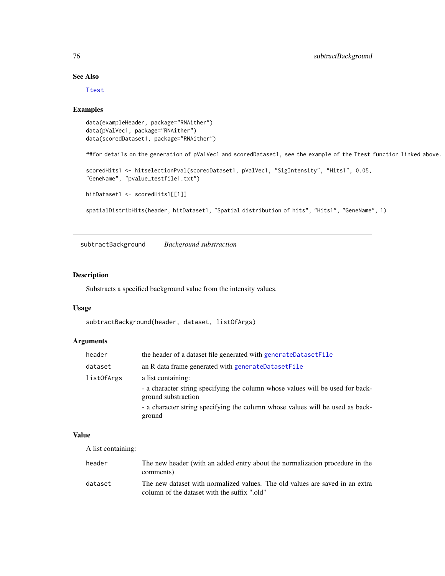# See Also

[Ttest](#page-80-0)

#### Examples

```
data(exampleHeader, package="RNAither")
data(pValVec1, package="RNAither")
data(scoredDataset1, package="RNAither")
```
##for details on the generation of pValVec1 and scoredDataset1, see the example of the Ttest function linked above.

```
scoredHits1 <- hitselectionPval(scoredDataset1, pValVec1, "SigIntensity", "Hits1", 0.05,
"GeneName", "pvalue_testfile1.txt")
```

```
hitDataset1 <- scoredHits1[[1]]
```
spatialDistribHits(header, hitDataset1, "Spatial distribution of hits", "Hits1", "GeneName", 1)

subtractBackground *Background substraction*

# Description

Substracts a specified background value from the intensity values.

# Usage

```
subtractBackground(header, dataset, listOfArgs)
```
# Arguments

| header     | the header of a dataset file generated with generateDatasetFile                                                                                                                                              |
|------------|--------------------------------------------------------------------------------------------------------------------------------------------------------------------------------------------------------------|
| dataset    | an R data frame generated with generateDatasetFile                                                                                                                                                           |
| listOfArgs | a list containing:<br>- a character string specifying the column whose values will be used for back-<br>ground substraction<br>- a character string specifying the column whose values will be used as back- |
|            | ground                                                                                                                                                                                                       |

# Value

A list containing:

| header  | The new header (with an added entry about the normalization procedure in the<br>comments)                                    |
|---------|------------------------------------------------------------------------------------------------------------------------------|
| dataset | The new dataset with normalized values. The old values are saved in an extra<br>column of the dataset with the suffix ".old" |

<span id="page-75-0"></span>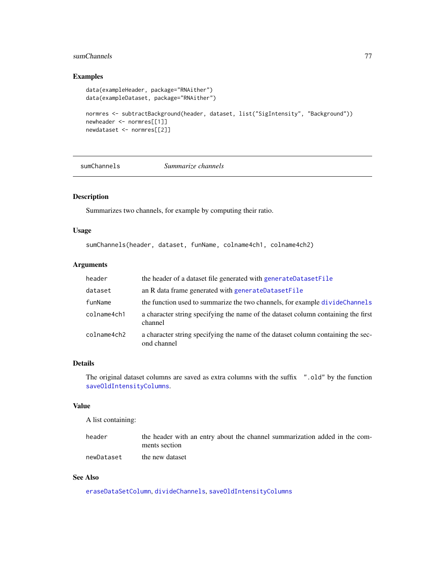# <span id="page-76-0"></span>sumChannels 77

# Examples

```
data(exampleHeader, package="RNAither")
data(exampleDataset, package="RNAither")
normres <- subtractBackground(header, dataset, list("SigIntensity", "Background"))
newheader <- normres[[1]]
newdataset <- normres[[2]]
```
sumChannels *Summarize channels*

# Description

Summarizes two channels, for example by computing their ratio.

#### Usage

sumChannels(header, dataset, funName, colname4ch1, colname4ch2)

# Arguments

| header      | the header of a dataset file generated with generateDatasetFile                                 |
|-------------|-------------------------------------------------------------------------------------------------|
| dataset     | an R data frame generated with generateDatasetFile                                              |
| funName     | the function used to summarize the two channels, for example divideChannels                     |
| colname4ch1 | a character string specifying the name of the dataset column containing the first<br>channel    |
| colname4ch2 | a character string specifying the name of the dataset column containing the sec-<br>ond channel |

# Details

The original dataset columns are saved as extra columns with the suffix ".old" by the function [saveOldIntensityColumns](#page-70-0).

# Value

A list containing:

| header     | the header with an entry about the channel summarization added in the com- |
|------------|----------------------------------------------------------------------------|
|            | ments section                                                              |
| newDataset | the new dataset                                                            |

# See Also

[eraseDataSetColumn](#page-21-0), [divideChannels](#page-18-0), [saveOldIntensityColumns](#page-70-0)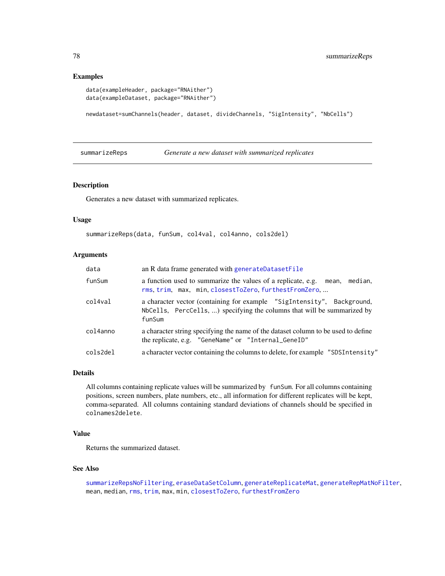#### Examples

```
data(exampleHeader, package="RNAither")
data(exampleDataset, package="RNAither")
```
newdataset=sumChannels(header, dataset, divideChannels, "SigIntensity", "NbCells")

<span id="page-77-0"></span>summarizeReps *Generate a new dataset with summarized replicates*

#### Description

Generates a new dataset with summarized replicates.

# Usage

```
summarizeReps(data, funSum, col4val, col4anno, cols2del)
```
#### Arguments

| data     | an R data frame generated with generateDatasetFile                                                                                                          |
|----------|-------------------------------------------------------------------------------------------------------------------------------------------------------------|
| funSum   | a function used to summarize the values of a replicate, e.g.<br>median.<br>mean.<br>rms, trim, max, min, closestToZero, furthestFromZero,                   |
| col4val  | a character vector (containing for example "SigIntensity", Background,<br>NbCells, PercCells, ) specifying the columns that will be summarized by<br>funSum |
| col4anno | a character string specifying the name of the dataset column to be used to define<br>the replicate, e.g. "GeneName" or "Internal_GeneID"                    |
| cols2del | a character vector containing the columns to delete, for example "SDSIntensity"                                                                             |

#### Details

All columns containing replicate values will be summarized by funSum. For all columns containing positions, screen numbers, plate numbers, etc., all information for different replicates will be kept, comma-separated. All columns containing standard deviations of channels should be specified in colnames2delete.

# Value

Returns the summarized dataset.

#### See Also

```
summarizeRepsNoFiltering, eraseDataSetColumn, generateReplicateMat, generateRepMatNoFilter,
mean, median, rms, trim, max, min, closestToZero, furthestFromZero
```
<span id="page-77-1"></span>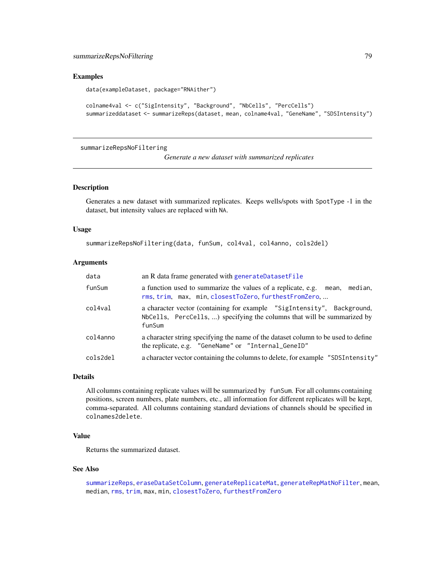#### <span id="page-78-1"></span>Examples

```
data(exampleDataset, package="RNAither")
```

```
colname4val <- c("SigIntensity", "Background", "NbCells", "PercCells")
summarizeddataset <- summarizeReps(dataset, mean, colname4val, "GeneName", "SDSIntensity")
```
<span id="page-78-0"></span>summarizeRepsNoFiltering

*Generate a new dataset with summarized replicates*

# Description

Generates a new dataset with summarized replicates. Keeps wells/spots with SpotType -1 in the dataset, but intensity values are replaced with NA.

#### Usage

```
summarizeRepsNoFiltering(data, funSum, col4val, col4anno, cols2del)
```
#### Arguments

| data     | an R data frame generated with generateDatasetFile                                                                                                          |
|----------|-------------------------------------------------------------------------------------------------------------------------------------------------------------|
| funSum   | a function used to summarize the values of a replicate, e.g.<br>median,<br>mean.<br>rms, trim, max, min, closestToZero, furthestFromZero,                   |
| col4val  | a character vector (containing for example "SigIntensity", Background,<br>NbCells, PercCells, ) specifying the columns that will be summarized by<br>funSum |
| col4anno | a character string specifying the name of the dataset column to be used to define<br>the replicate, e.g. "GeneName" or "Internal_GeneID"                    |
| cols2del | a character vector containing the columns to delete, for example "SDSIntensity"                                                                             |

#### Details

All columns containing replicate values will be summarized by funSum. For all columns containing positions, screen numbers, plate numbers, etc., all information for different replicates will be kept, comma-separated. All columns containing standard deviations of channels should be specified in colnames2delete.

# Value

Returns the summarized dataset.

# See Also

```
summarizeReps, eraseDataSetColumn, generateReplicateMat, generateRepMatNoFilter, mean,
median, rms, trim, max, min, closestToZero, furthestFromZero
```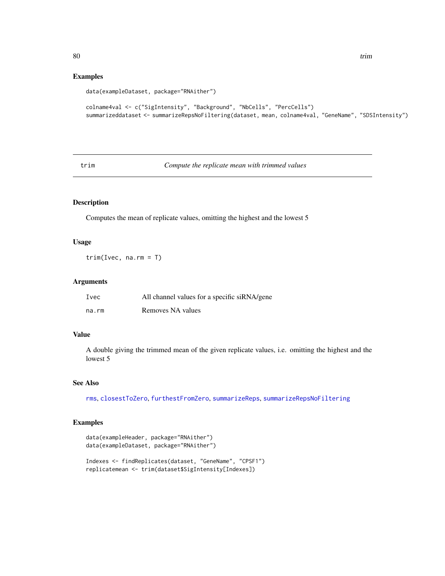# <span id="page-79-1"></span>Examples

```
data(exampleDataset, package="RNAither")
```

```
colname4val <- c("SigIntensity", "Background", "NbCells", "PercCells")
summarizeddataset <- summarizeRepsNoFiltering(dataset, mean, colname4val, "GeneName", "SDSIntensity")
```
<span id="page-79-0"></span>trim *Compute the replicate mean with trimmed values*

# Description

Computes the mean of replicate values, omitting the highest and the lowest 5

### Usage

trim(Ivec, na.rm = T)

# Arguments

| Ivec  | All channel values for a specific siRNA/gene |
|-------|----------------------------------------------|
| na.rm | Removes NA values                            |

# Value

A double giving the trimmed mean of the given replicate values, i.e. omitting the highest and the lowest 5

# See Also

[rms](#page-66-0), [closestToZero](#page-5-0), [furthestFromZero](#page-22-0), [summarizeReps](#page-77-0), [summarizeRepsNoFiltering](#page-78-0)

```
data(exampleHeader, package="RNAither")
data(exampleDataset, package="RNAither")
Indexes <- findReplicates(dataset, "GeneName", "CPSF1")
replicatemean <- trim(dataset$SigIntensity[Indexes])
```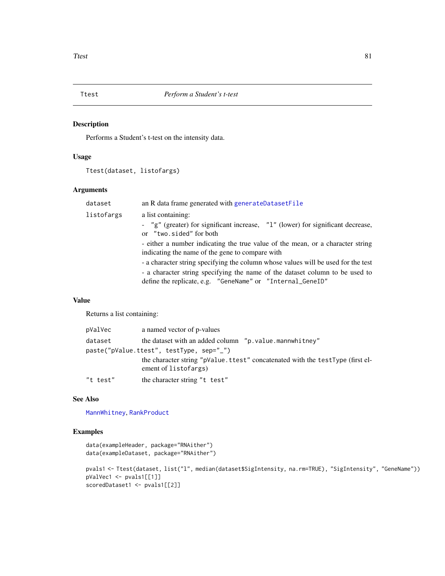<span id="page-80-1"></span><span id="page-80-0"></span>

Performs a Student's t-test on the intensity data.

# Usage

Ttest(dataset, listofargs)

# Arguments

| dataset    | an R data frame generated with generateDatasetFile                                                                                         |
|------------|--------------------------------------------------------------------------------------------------------------------------------------------|
| listofargs | a list containing:                                                                                                                         |
|            | - "g" (greater) for significant increase, "1" (lower) for significant decrease,<br>or "two.sided" for both                                 |
|            | - either a number indicating the true value of the mean, or a character string<br>indicating the name of the gene to compare with          |
|            | - a character string specifying the column whose values will be used for the test                                                          |
|            | - a character string specifying the name of the dataset column to be used to<br>define the replicate, e.g. "GeneName" or "Internal_GeneID" |
|            |                                                                                                                                            |

# Value

Returns a list containing:

| pValVec  | a named vector of p-values                                                                             |
|----------|--------------------------------------------------------------------------------------------------------|
| dataset  | the dataset with an added column "p.value.mannwhitney"                                                 |
|          | paste("pValue.ttest", testType, sep="_")                                                               |
|          | the character string "pValue. ttest" concatenated with the testType (first el-<br>ement of listofargs) |
| "t test" | the character string "t test"                                                                          |

# See Also

[MannWhitney](#page-47-0), [RankProduct](#page-62-0)

```
data(exampleHeader, package="RNAither")
data(exampleDataset, package="RNAither")
```

```
pvals1 <- Ttest(dataset, list("l", median(dataset$SigIntensity, na.rm=TRUE), "SigIntensity", "GeneName"))
pValVec1 <- pvals1[[1]]
scoredDataset1 <- pvals1[[2]]
```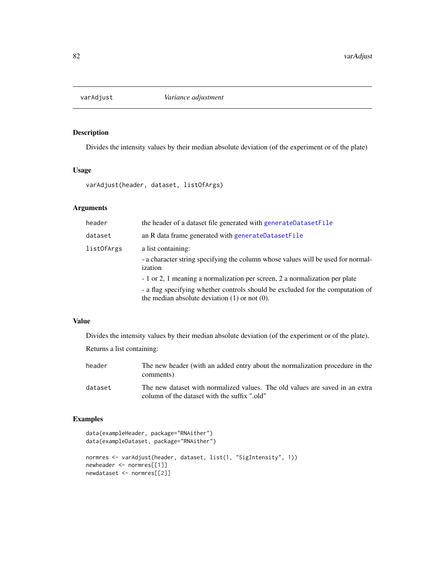<span id="page-81-0"></span>

Divides the intensity values by their median absolute deviation (of the experiment or of the plate)

# Usage

varAdjust(header, dataset, listOfArgs)

# Arguments

| header     | the header of a dataset file generated with generateDatasetFile                                                                      |
|------------|--------------------------------------------------------------------------------------------------------------------------------------|
| dataset    | an R data frame generated with generateDatasetFile                                                                                   |
| listOfArgs | a list containing:<br>- a character string specifying the column whose values will be used for normal-<br>ization                    |
|            | - 1 or 2, 1 meaning a normalization per screen, 2 a normalization per plate                                                          |
|            | - a flag specifying whether controls should be excluded for the computation of<br>the median absolute deviation $(1)$ or not $(0)$ . |

#### Value

Divides the intensity values by their median absolute deviation (of the experiment or of the plate).

Returns a list containing:

| header  | The new header (with an added entry about the normalization procedure in the<br>comments)                                    |
|---------|------------------------------------------------------------------------------------------------------------------------------|
| dataset | The new dataset with normalized values. The old values are saved in an extra<br>column of the dataset with the suffix ".old" |

```
data(exampleHeader, package="RNAither")
data(exampleDataset, package="RNAither")
normres <- varAdjust(header, dataset, list(1, "SigIntensity", 1))
newheader <- normres[[1]]
newdataset <- normres[[2]]
```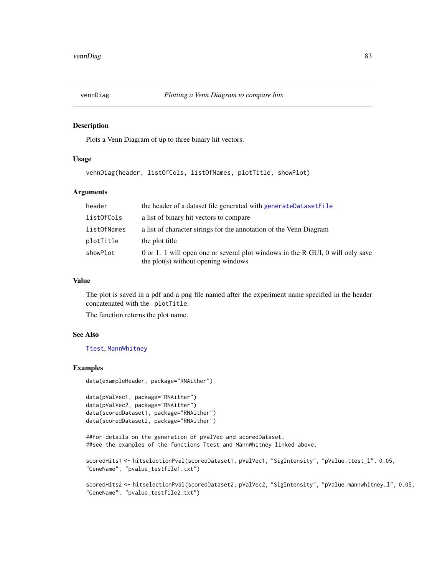<span id="page-82-0"></span>

Plots a Venn Diagram of up to three binary hit vectors.

# Usage

vennDiag(header, listOfCols, listOfNames, plotTitle, showPlot)

# Arguments

| header      | the header of a dataset file generated with generateDatasetFile                                                       |
|-------------|-----------------------------------------------------------------------------------------------------------------------|
| listOfCols  | a list of binary hit vectors to compare                                                                               |
| listOfNames | a list of character strings for the annotation of the Venn Diagram                                                    |
| plotTitle   | the plot title                                                                                                        |
| showPlot    | 0 or 1. 1 will open one or several plot windows in the R GUI, 0 will only save<br>the plot(s) without opening windows |

# Value

The plot is saved in a pdf and a png file named after the experiment name specified in the header concatenated with the plotTitle.

The function returns the plot name.

#### See Also

[Ttest](#page-80-0), [MannWhitney](#page-47-0)

```
data(exampleHeader, package="RNAither")
```

```
data(pValVec1, package="RNAither")
data(pValVec2, package="RNAither")
data(scoredDataset1, package="RNAither")
data(scoredDataset2, package="RNAither")
```

```
##for details on the generation of pValVec and scoredDataset,
##see the examples of the functions Ttest and MannWhitney linked above.
```

```
scoredHits1 <- hitselectionPval(scoredDataset1, pValVec1, "SigIntensity", "pValue.ttest_l", 0.05,
"GeneName", "pvalue_testfile1.txt")
```

```
scoredHits2 <- hitselectionPval(scoredDataset2, pValVec2, "SigIntensity", "pValue.mannwhitney_l", 0.05,
"GeneName", "pvalue_testfile2.txt")
```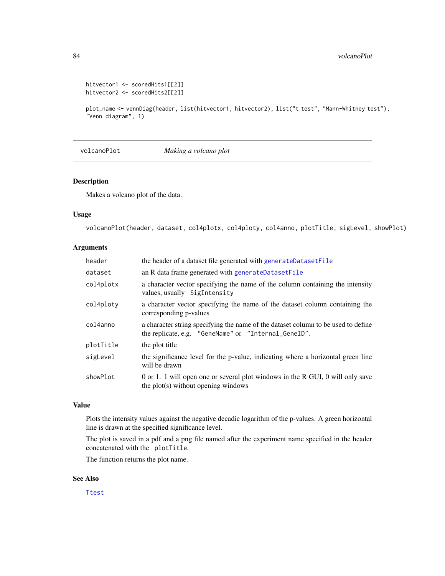```
hitvector1 <- scoredHits1[[2]]
hitvector2 <- scoredHits2[[2]]
```
plot\_name <- vennDiag(header, list(hitvector1, hitvector2), list("t test", "Mann-Whitney test"), "Venn diagram", 1)

volcanoPlot *Making a volcano plot*

#### Description

Makes a volcano plot of the data.

#### Usage

volcanoPlot(header, dataset, col4plotx, col4ploty, col4anno, plotTitle, sigLevel, showPlot)

# Arguments

| header    | the header of a dataset file generated with generateDatasetFile                                                                           |
|-----------|-------------------------------------------------------------------------------------------------------------------------------------------|
| dataset   | an R data frame generated with generateDatasetFile                                                                                        |
| col4plotx | a character vector specifying the name of the column containing the intensity<br>values, usually SigIntensity                             |
| col4ploty | a character vector specifying the name of the dataset column containing the<br>corresponding p-values                                     |
| col4anno  | a character string specifying the name of the dataset column to be used to define<br>the replicate, e.g. "GeneName" or "Internal_GeneID". |
| plotTitle | the plot title                                                                                                                            |
| sigLevel  | the significance level for the p-value, indicating where a horizontal green line<br>will be drawn                                         |
| showPlot  | 0 or 1. 1 will open one or several plot windows in the R GUI, 0 will only save<br>the plot(s) without opening windows                     |

#### Value

Plots the intensity values against the negative decadic logarithm of the p-values. A green horizontal line is drawn at the specified significance level.

The plot is saved in a pdf and a png file named after the experiment name specified in the header concatenated with the plotTitle.

The function returns the plot name.

# See Also

[Ttest](#page-80-0)

<span id="page-83-0"></span>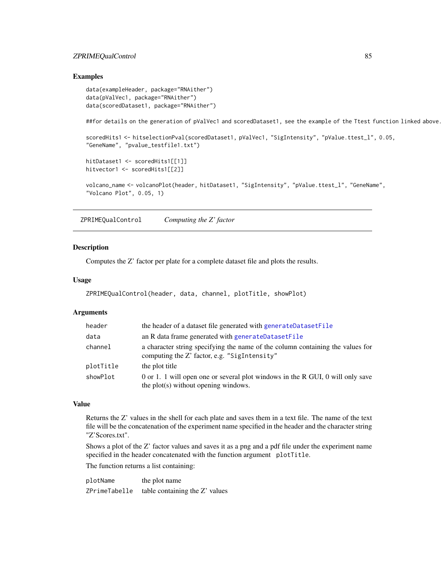# <span id="page-84-0"></span>ZPRIMEQualControl 85

#### Examples

```
data(exampleHeader, package="RNAither")
data(pValVec1, package="RNAither")
data(scoredDataset1, package="RNAither")
##for details on the generation of pValVec1 and scoredDataset1, see the example of the Ttest function linked above.
scoredHits1 <- hitselectionPval(scoredDataset1, pValVec1, "SigIntensity", "pValue.ttest_l", 0.05,
"GeneName", "pvalue_testfile1.txt")
hitDataset1 <- scoredHits1[[1]]
hitvector1 <- scoredHits1[[2]]
volcano_name <- volcanoPlot(header, hitDataset1, "SigIntensity", "pValue.ttest_l", "GeneName",
"Volcano Plot", 0.05, 1)
```
ZPRIMEQualControl *Computing the Z' factor*

#### Description

Computes the Z' factor per plate for a complete dataset file and plots the results.

#### Usage

```
ZPRIMEQualControl(header, data, channel, plotTitle, showPlot)
```
# Arguments

| header    | the header of a dataset file generated with generateDatasetFile                                                                |
|-----------|--------------------------------------------------------------------------------------------------------------------------------|
| data      | an R data frame generated with generateDatasetFile                                                                             |
| channel   | a character string specifying the name of the column containing the values for<br>computing the Z' factor, e.g. "SigIntensity" |
| plotTitle | the plot title                                                                                                                 |
| showPlot  | 0 or 1. 1 will open one or several plot windows in the R GUI, 0 will only save<br>the plot(s) without opening windows.         |

# Value

Returns the Z' values in the shell for each plate and saves them in a text file. The name of the text file will be the concatenation of the experiment name specified in the header and the character string "Z'Scores.txt".

Shows a plot of the Z' factor values and saves it as a png and a pdf file under the experiment name specified in the header concatenated with the function argument plotTitle.

The function returns a list containing:

plotName the plot name ZPrimeTabelle table containing the Z' values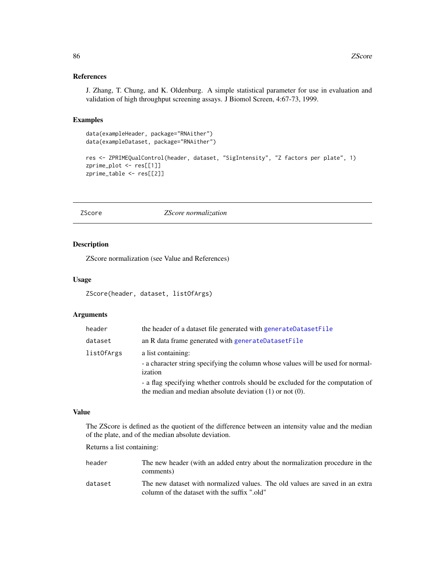# References

J. Zhang, T. Chung, and K. Oldenburg. A simple statistical parameter for use in evaluation and validation of high throughput screening assays. J Biomol Screen, 4:67-73, 1999.

# Examples

```
data(exampleHeader, package="RNAither")
data(exampleDataset, package="RNAither")
res <- ZPRIMEQualControl(header, dataset, "SigIntensity", "Z factors per plate", 1)
zprime_plot <- res[[1]]
zprime_table <- res[[2]]
```
<span id="page-85-0"></span>ZScore *ZScore normalization*

# Description

ZScore normalization (see Value and References)

# Usage

ZScore(header, dataset, listOfArgs)

#### Arguments

| header     | the header of a dataset file generated with generateDatasetFile                                                                                 |
|------------|-------------------------------------------------------------------------------------------------------------------------------------------------|
| dataset    | an R data frame generated with generateDatasetFile                                                                                              |
| listOfArgs | a list containing:<br>- a character string specifying the column whose values will be used for normal-<br>ization                               |
|            | - a flag specifying whether controls should be excluded for the computation of<br>the median and median absolute deviation $(1)$ or not $(0)$ . |

# Value

The ZScore is defined as the quotient of the difference between an intensity value and the median of the plate, and of the median absolute deviation.

Returns a list containing:

| header  | The new header (with an added entry about the normalization procedure in the<br>comments)                                    |
|---------|------------------------------------------------------------------------------------------------------------------------------|
| dataset | The new dataset with normalized values. The old values are saved in an extra<br>column of the dataset with the suffix ".old" |

<span id="page-85-1"></span>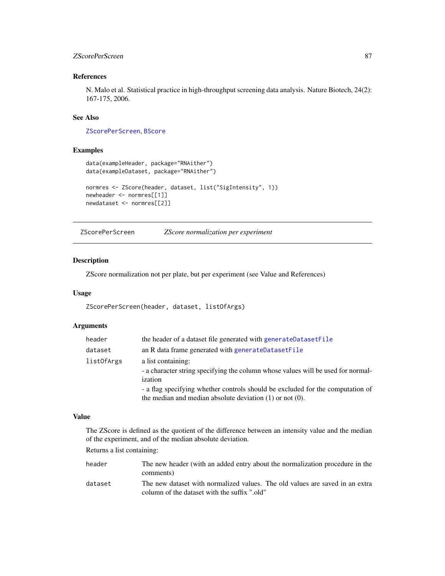# <span id="page-86-1"></span>zScorePerScreen 87

# References

N. Malo et al. Statistical practice in high-throughput screening data analysis. Nature Biotech, 24(2): 167-175, 2006.

# See Also

[ZScorePerScreen](#page-86-0), [BScore](#page-3-0)

# Examples

```
data(exampleHeader, package="RNAither")
data(exampleDataset, package="RNAither")
normres <- ZScore(header, dataset, list("SigIntensity", 1))
newheader <- normres[[1]]
newdataset <- normres[[2]]
```
<span id="page-86-0"></span>ZScorePerScreen *ZScore normalization per experiment*

#### Description

ZScore normalization not per plate, but per experiment (see Value and References)

#### Usage

ZScorePerScreen(header, dataset, listOfArgs)

# Arguments

| header            | the header of a dataset file generated with generateDatasetFile                             |
|-------------------|---------------------------------------------------------------------------------------------|
| dataset           | an R data frame generated with generateDatasetFile                                          |
| <i>listOfArgs</i> | a list containing:                                                                          |
|                   | - a character string specifying the column whose values will be used for normal-<br>ization |
|                   | - a flag specifying whether controls should be excluded for the computation of              |
|                   | the median and median absolute deviation $(1)$ or not $(0)$ .                               |

#### Value

The ZScore is defined as the quotient of the difference between an intensity value and the median of the experiment, and of the median absolute deviation.

Returns a list containing:

| header  | The new header (with an added entry about the normalization procedure in the |
|---------|------------------------------------------------------------------------------|
|         | comments)                                                                    |
| dataset | The new dataset with normalized values. The old values are saved in an extra |
|         | column of the dataset with the suffix ".old"                                 |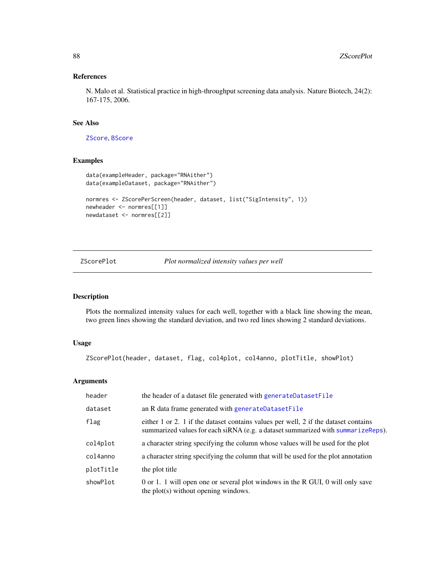# <span id="page-87-1"></span>References

N. Malo et al. Statistical practice in high-throughput screening data analysis. Nature Biotech, 24(2): 167-175, 2006.

#### See Also

[ZScore](#page-85-0), [BScore](#page-3-0)

# Examples

```
data(exampleHeader, package="RNAither")
data(exampleDataset, package="RNAither")
normres <- ZScorePerScreen(header, dataset, list("SigIntensity", 1))
newheader <- normres[[1]]
newdataset <- normres[[2]]
```
# <span id="page-87-0"></span>ZScorePlot *Plot normalized intensity values per well*

# Description

Plots the normalized intensity values for each well, together with a black line showing the mean, two green lines showing the standard deviation, and two red lines showing 2 standard deviations.

# Usage

```
ZScorePlot(header, dataset, flag, col4plot, col4anno, plotTitle, showPlot)
```
# Arguments

| header    | the header of a dataset file generated with generateDatasetFile                                                                                                         |
|-----------|-------------------------------------------------------------------------------------------------------------------------------------------------------------------------|
| dataset   | an R data frame generated with generateDatasetFile                                                                                                                      |
| flag      | either 1 or 2. 1 if the dataset contains values per well, 2 if the dataset contains<br>summarized values for each siRNA (e.g. a dataset summarized with summarizeReps). |
| col4plot  | a character string specifying the column whose values will be used for the plot                                                                                         |
| col4anno  | a character string specifying the column that will be used for the plot annotation                                                                                      |
| plotTitle | the plot title                                                                                                                                                          |
| showPlot  | 0 or 1. 1 will open one or several plot windows in the R GUI, 0 will only save<br>the plot(s) without opening windows.                                                  |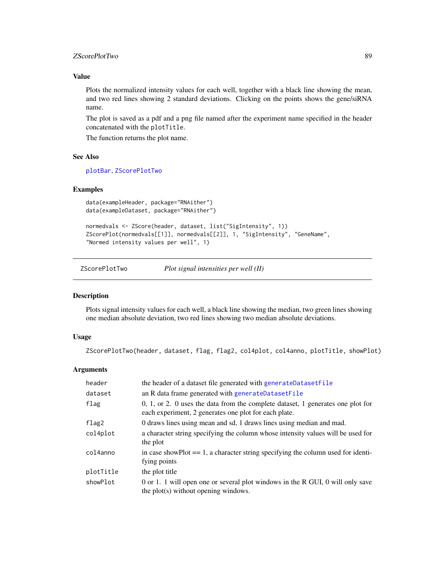# <span id="page-88-1"></span>zScorePlotTwo 89

# Value

Plots the normalized intensity values for each well, together with a black line showing the mean, and two red lines showing 2 standard deviations. Clicking on the points shows the gene/siRNA name.

The plot is saved as a pdf and a png file named after the experiment name specified in the header concatenated with the plotTitle.

The function returns the plot name.

#### See Also

[plotBar](#page-51-0), [ZScorePlotTwo](#page-88-0)

# Examples

```
data(exampleHeader, package="RNAither")
data(exampleDataset, package="RNAither")
```

```
normedvals <- ZScore(header, dataset, list("SigIntensity", 1))
ZScorePlot(normedvals[[1]], normedvals[[2]], 1, "SigIntensity", "GeneName",
"Normed intensity values per well", 1)
```
<span id="page-88-0"></span>ZScorePlotTwo *Plot signal intensities per well (II)*

# Description

Plots signal intensity values for each well, a black line showing the median, two green lines showing one median absolute deviation, two red lines showing two median absolute deviations.

# Usage

ZScorePlotTwo(header, dataset, flag, flag2, col4plot, col4anno, plotTitle, showPlot)

#### Arguments

| header    | the header of a dataset file generated with generateDatasetFile                                                                            |
|-----------|--------------------------------------------------------------------------------------------------------------------------------------------|
| dataset   | an R data frame generated with generateDatasetFile                                                                                         |
| flag      | $0, 1,$ or 2. 0 uses the data from the complete dataset, 1 generates one plot for<br>each experiment, 2 generates one plot for each plate. |
| flag2     | 0 draws lines using mean and sd, 1 draws lines using median and mad.                                                                       |
| col4plot  | a character string specifying the column whose intensity values will be used for<br>the plot                                               |
| col4anno  | in case showPlot $== 1$ , a character string specifying the column used for identi-<br>fying points                                        |
| plotTitle | the plot title                                                                                                                             |
| showPlot  | 0 or 1. 1 will open one or several plot windows in the R GUI, 0 will only save<br>the plot(s) without opening windows.                     |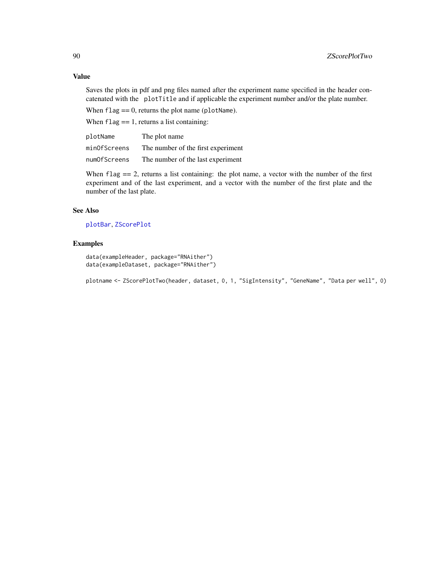# Value

Saves the plots in pdf and png files named after the experiment name specified in the header concatenated with the plotTitle and if applicable the experiment number and/or the plate number.

When  $flag == 0$ , returns the plot name (plotName).

When  $flag = 1$ , returns a list containing:

| plotName     | The plot name                      |
|--------------|------------------------------------|
| minOfScreens | The number of the first experiment |
| numOfScreens | The number of the last experiment  |

When flag  $= 2$ , returns a list containing: the plot name, a vector with the number of the first experiment and of the last experiment, and a vector with the number of the first plate and the number of the last plate.

### See Also

[plotBar](#page-51-0), [ZScorePlot](#page-87-0)

# Examples

data(exampleHeader, package="RNAither") data(exampleDataset, package="RNAither")

plotname <- ZScorePlotTwo(header, dataset, 0, 1, "SigIntensity", "GeneName", "Data per well", 0)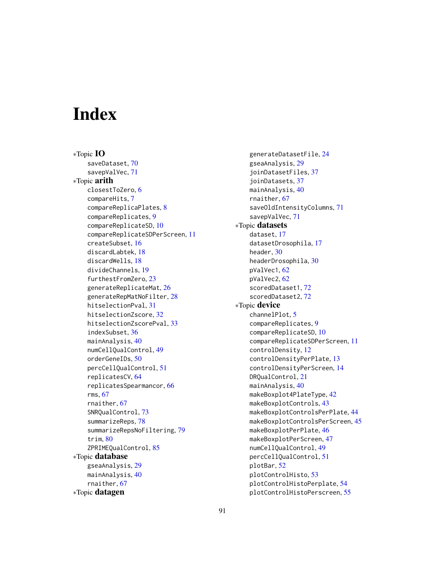# **Index**

∗Topic IO saveDataset, [70](#page-69-0) savepValVec, [71](#page-70-1) ∗Topic arith closestToZero, [6](#page-5-1) compareHits, [7](#page-6-0) compareReplicaPlates, [8](#page-7-0) compareReplicates, [9](#page-8-0) compareReplicateSD, [10](#page-9-1) compareReplicateSDPerScreen, [11](#page-10-1) createSubset, [16](#page-15-0) discardLabtek, [18](#page-17-0) discardWells, [18](#page-17-0) divideChannels, [19](#page-18-1) furthestFromZero, [23](#page-22-1) generateReplicateMat, [26](#page-25-1) generateRepMatNoFilter, [28](#page-27-1) hitselectionPval, [31](#page-30-0) hitselectionZscore, [32](#page-31-0) hitselectionZscorePval, [33](#page-32-0) indexSubset, [36](#page-35-0) mainAnalysis, [40](#page-39-0) numCellQualControl, [49](#page-48-0) orderGeneIDs, [50](#page-49-0) percCellQualControl, [51](#page-50-0) replicatesCV, [64](#page-63-0) replicatesSpearmancor, [66](#page-65-0) rms, [67](#page-66-1) rnaither, [67](#page-66-1) SNRQualControl, [73](#page-72-0) summarizeReps, [78](#page-77-1) summarizeRepsNoFiltering, [79](#page-78-1) trim, [80](#page-79-1) ZPRIMEQualControl, [85](#page-84-0) ∗Topic database gseaAnalysis, [29](#page-28-0) mainAnalysis, [40](#page-39-0) rnaither, [67](#page-66-1) ∗Topic datagen

generateDatasetFile, [24](#page-23-1) gseaAnalysis, [29](#page-28-0) joinDatasetFiles, [37](#page-36-0) joinDatasets, [37](#page-36-0) mainAnalysis, [40](#page-39-0) rnaither, [67](#page-66-1) saveOldIntensityColumns, [71](#page-70-1) savepValVec, [71](#page-70-1) ∗Topic datasets dataset, [17](#page-16-0) datasetDrosophila, [17](#page-16-0) header, [30](#page-29-0) headerDrosophila, [30](#page-29-0) pValVec1, [62](#page-61-0) pValVec2, [62](#page-61-0) scoredDataset1, [72](#page-71-0) scoredDataset2, [72](#page-71-0) ∗Topic device channelPlot, [5](#page-4-0) compareReplicates, [9](#page-8-0) compareReplicateSD, [10](#page-9-1) compareReplicateSDPerScreen, [11](#page-10-1) controlDensity, [12](#page-11-0) controlDensityPerPlate, [13](#page-12-0) controlDensityPerScreen, [14](#page-13-0) DRQualControl, [21](#page-20-0) mainAnalysis, [40](#page-39-0) makeBoxplot4PlateType, [42](#page-41-0) makeBoxplotControls, [43](#page-42-0) makeBoxplotControlsPerPlate, [44](#page-43-0) makeBoxplotControlsPerScreen, [45](#page-44-0) makeBoxplotPerPlate, [46](#page-45-0) makeBoxplotPerScreen, [47](#page-46-0) numCellQualControl, [49](#page-48-0) percCellQualControl, [51](#page-50-0) plotBar, [52](#page-51-1) plotControlHisto, [53](#page-52-0) plotControlHistoPerplate, [54](#page-53-0) plotControlHistoPerscreen, [55](#page-54-0)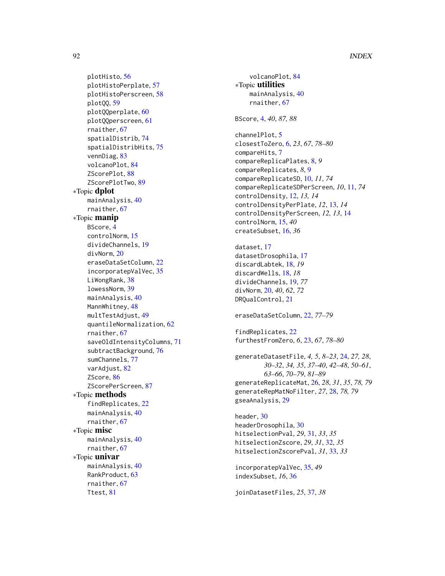# 92 **INDEX**

plotHisto, [56](#page-55-0) plotHistoPerplate, [57](#page-56-0) plotHistoPerscreen, [58](#page-57-0) plotQQ, [59](#page-58-0) plotQQperplate, [60](#page-59-0) plotQQperscreen, [61](#page-60-0) rnaither, [67](#page-66-1) spatialDistrib, [74](#page-73-0) spatialDistribHits, [75](#page-74-0) vennDiag, [83](#page-82-0) volcanoPlot, [84](#page-83-0) ZScorePlot, [88](#page-87-1) ZScorePlotTwo, [89](#page-88-1) ∗Topic dplot mainAnalysis, [40](#page-39-0) rnaither, [67](#page-66-1) ∗Topic manip BScore, [4](#page-3-1) controlNorm, [15](#page-14-0) divideChannels, [19](#page-18-1) divNorm, [20](#page-19-0) eraseDataSetColumn, [22](#page-21-1) incorporatepValVec, [35](#page-34-0) LiWongRank, [38](#page-37-0) lowessNorm, [39](#page-38-0) mainAnalysis, [40](#page-39-0) MannWhitney, [48](#page-47-1) multTestAdjust, [49](#page-48-0) quantileNormalization, [62](#page-61-0) rnaither, [67](#page-66-1) saveOldIntensityColumns, [71](#page-70-1) subtractBackground, [76](#page-75-0) sumChannels, [77](#page-76-0) varAdjust, [82](#page-81-0) ZScore, [86](#page-85-1) ZScorePerScreen, [87](#page-86-1) ∗Topic methods findReplicates, [22](#page-21-1) mainAnalysis, [40](#page-39-0) rnaither, [67](#page-66-1) ∗Topic misc mainAnalysis, [40](#page-39-0) rnaither, [67](#page-66-1) ∗Topic univar mainAnalysis, [40](#page-39-0) RankProduct, [63](#page-62-1) rnaither, [67](#page-66-1) Ttest, [81](#page-80-1)

volcanoPlot, [84](#page-83-0) ∗Topic utilities mainAnalysis, [40](#page-39-0) rnaither, [67](#page-66-1) BScore, [4,](#page-3-1) *40*, *87, 88* channelPlot, [5](#page-4-0) closestToZero, [6,](#page-5-1) *23*, *67*, *78–80* compareHits, [7](#page-6-0) compareReplicaPlates, [8,](#page-7-0) *9* compareReplicates, *8*, [9](#page-8-0) compareReplicateSD, [10,](#page-9-1) *11*, *74* compareReplicateSDPerScreen, *10*, [11,](#page-10-1) *74* controlDensity, [12,](#page-11-0) *13, 14* controlDensityPerPlate, *12*, [13,](#page-12-0) *14* controlDensityPerScreen, *12, 13*, [14](#page-13-0) controlNorm, [15,](#page-14-0) *40* createSubset, [16,](#page-15-0) *36* dataset, [17](#page-16-0) datasetDrosophila, [17](#page-16-0) discardLabtek, [18,](#page-17-0) *19* discardWells, [18,](#page-17-0) *18* divideChannels, [19,](#page-18-1) *77* divNorm, [20,](#page-19-0) *40*, *62*, *72* DRQualControl, [21](#page-20-0) eraseDataSetColumn, [22,](#page-21-1) *77–79* findReplicates, [22](#page-21-1) furthestFromZero, *6*, [23,](#page-22-1) *67*, *78–80* generateDatasetFile, *4, 5*, *8–23*, [24,](#page-23-1) *27, 28*, *30–32*, *34, 35*, *37–40*, *42–48*, *50–61*, *63–66*, *70–79*, *81–89* generateReplicateMat, [26,](#page-25-1) *28*, *31*, *35*, *78, 79* generateRepMatNoFilter, *27*, [28,](#page-27-1) *78, 79* gseaAnalysis, [29](#page-28-0) header, [30](#page-29-0) headerDrosophila, [30](#page-29-0) hitselectionPval, *29*, [31,](#page-30-0) *33*, *35* hitselectionZscore, *29*, *31*, [32,](#page-31-0) *35* hitselectionZscorePval, *31*, [33,](#page-32-0) *33* incorporatepValVec, [35,](#page-34-0) *49* indexSubset, *16*, [36](#page-35-0)

joinDatasetFiles, *25*, [37,](#page-36-0) *38*